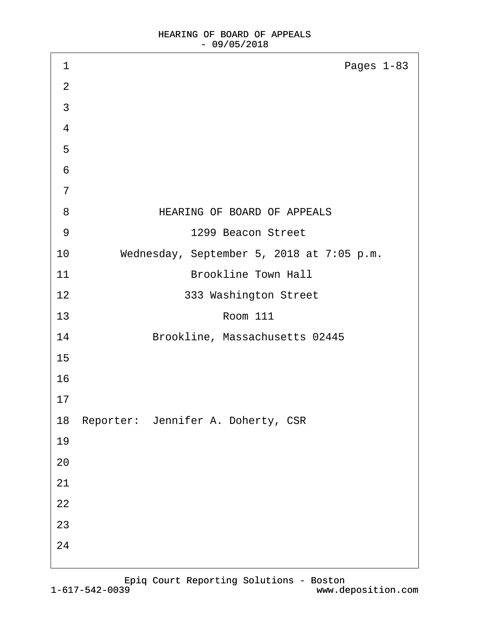| 1              | Pages 1-83                                |
|----------------|-------------------------------------------|
| $\overline{2}$ |                                           |
| 3              |                                           |
| 4              |                                           |
| 5              |                                           |
| 6              |                                           |
| $\overline{7}$ |                                           |
| 8              | HEARING OF BOARD OF APPEALS               |
| 9              | 1299 Beacon Street                        |
| 10             | Wednesday, September 5, 2018 at 7:05 p.m. |
| 11             | <b>Brookline Town Hall</b>                |
| 12             | 333 Washington Street                     |
| 13             | <b>Room 111</b>                           |
| 14             | Brookline, Massachusetts 02445            |
| 15             |                                           |
| 16             |                                           |
| 17             |                                           |
|                | 18 Reporter: Jennifer A. Doherty, CSR     |
| 19             |                                           |
| 20             |                                           |
| 21             |                                           |
| 22             |                                           |
| 23             |                                           |
| 24             |                                           |
|                |                                           |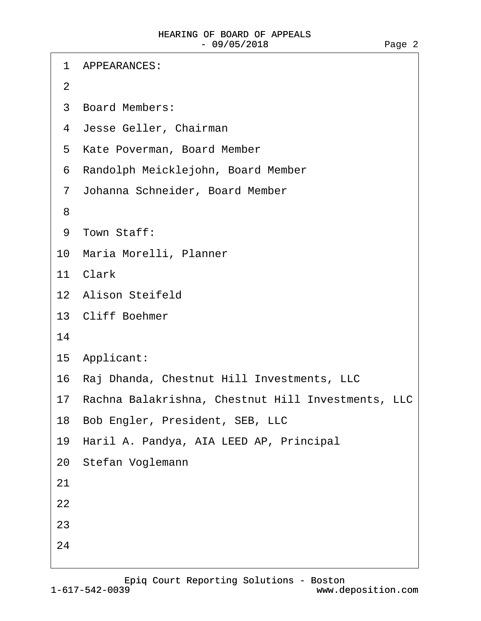·1· APPEARANCES: ·2 ·3· Board Members: 4 Jesse Geller, Chairman 5 Kate Poverman, Board Member ·6· Randolph Meicklejohn, Board Member ·7· Johanna Schneider, Board Member ·8 9 Town Staff: 10 Maria Morelli, Planner 11 Clark 12 Alison Steifeld 13 Cliff Boehmer 14 15 Applicant: 16 Raj Dhanda, Chestnut Hill Investments, LLC 17 Rachna Balakrishna, Chestnut Hill Investments, LLC 18 Bob Engler, President, SEB, LLC 19 Haril A. Pandya, AIA LEED AP, Principal 20· Stefan Voglemann 21 22 23 24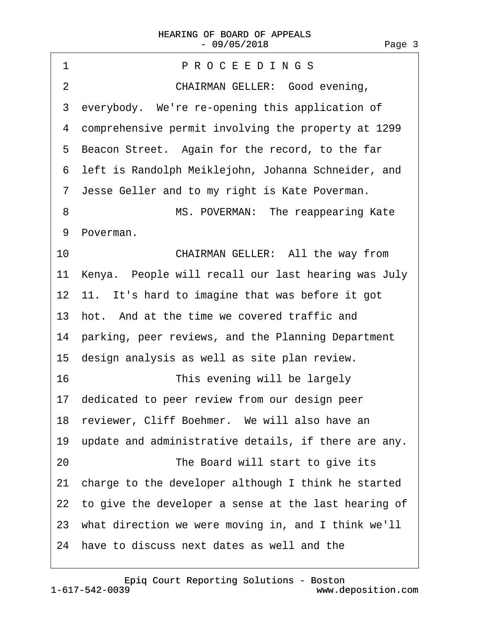| PROCEEDINGS<br>1                                        |
|---------------------------------------------------------|
| CHAIRMAN GELLER: Good evening,<br>$\overline{2}$        |
| 3 everybody. We're re-opening this application of       |
| 4 comprehensive permit involving the property at 1299   |
| 5 Beacon Street. Again for the record, to the far       |
| 6 left is Randolph Meiklejohn, Johanna Schneider, and   |
| 7 Jesse Geller and to my right is Kate Poverman.        |
| MS. POVERMAN: The reappearing Kate<br>8                 |
| 9 Poverman.                                             |
| CHAIRMAN GELLER: All the way from<br>10                 |
| 11 Kenya. People will recall our last hearing was July  |
| 12 11. It's hard to imagine that was before it got      |
| 13 hot. And at the time we covered traffic and          |
| 14 parking, peer reviews, and the Planning Department   |
| 15 design analysis as well as site plan review.         |
| 16<br>This evening will be largely                      |
| 17 dedicated to peer review from our design peer        |
| 18 reviewer, Cliff Boehmer. We will also have an        |
| 19 update and administrative details, if there are any. |
| The Board will start to give its<br>20                  |
| 21 charge to the developer although I think he started  |
| 22 to give the developer a sense at the last hearing of |
| 23 what direction we were moving in, and I think we'll  |
|                                                         |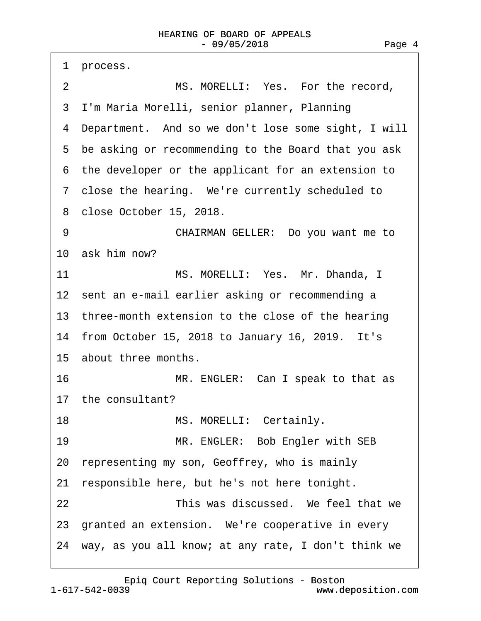| 1<br>process.                                          |
|--------------------------------------------------------|
| $\overline{2}$<br>MS. MORELLI: Yes. For the record,    |
| 3 I'm Maria Morelli, senior planner, Planning          |
| 4 Department. And so we don't lose some sight, I will  |
| 5 be asking or recommending to the Board that you ask  |
| 6 the developer or the applicant for an extension to   |
| 7 close the hearing. We're currently scheduled to      |
| 8 close October 15, 2018.                              |
| CHAIRMAN GELLER: Do you want me to<br>9                |
| 10 ask him now?                                        |
| 11<br>MS. MORELLI: Yes. Mr. Dhanda, I                  |
| 12 sent an e-mail earlier asking or recommending a     |
| 13 three-month extension to the close of the hearing   |
| 14 from October 15, 2018 to January 16, 2019. It's     |
| 15 about three months.                                 |
| 16<br>MR. ENGLER: Can I speak to that as               |
| 17 the consultant?                                     |
| MS. MORELLI: Certainly.<br>18                          |
| 19<br>MR. ENGLER: Bob Engler with SEB                  |
| 20 representing my son, Geoffrey, who is mainly        |
| responsible here, but he's not here tonight.<br>21     |
| This was discussed. We feel that we<br>22              |
| 23 granted an extension. We're cooperative in every    |
| 24 way, as you all know; at any rate, I don't think we |
|                                                        |

1-617-542-0039 [Epiq Court Reporting Solutions - Boston](http://www.deposition.com)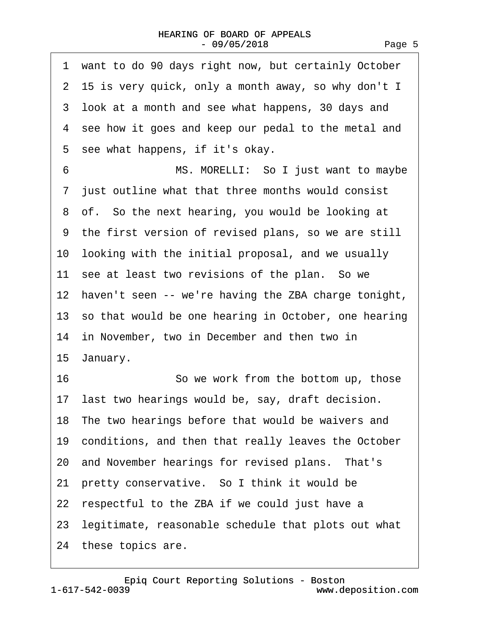| 1 want to do 90 days right now, but certainly October   |  |
|---------------------------------------------------------|--|
| 2 15 is very quick, only a month away, so why don't I   |  |
| 3 look at a month and see what happens, 30 days and     |  |
| 4 see how it goes and keep our pedal to the metal and   |  |
| 5 see what happens, if it's okay.                       |  |
| MS. MORELLI: So I just want to maybe<br>6               |  |
| 7 just outline what that three months would consist     |  |
| 8 of. So the next hearing, you would be looking at      |  |
| 9 the first version of revised plans, so we are still   |  |
| 10 looking with the initial proposal, and we usually    |  |
| 11 see at least two revisions of the plan. So we        |  |
| 12 haven't seen -- we're having the ZBA charge tonight, |  |
| 13 so that would be one hearing in October, one hearing |  |
| 14 in November, two in December and then two in         |  |
| 15 January.                                             |  |
| 16<br>So we work from the bottom up, those              |  |
| 17 last two hearings would be, say, draft decision.     |  |
| 18 The two hearings before that would be waivers and    |  |
| 19 conditions, and then that really leaves the October  |  |
| 20 and November hearings for revised plans. That's      |  |
| 21 pretty conservative. So I think it would be          |  |
| 22 respectful to the ZBA if we could just have a        |  |
| 23 legitimate, reasonable schedule that plots out what  |  |
| 24 these topics are.                                    |  |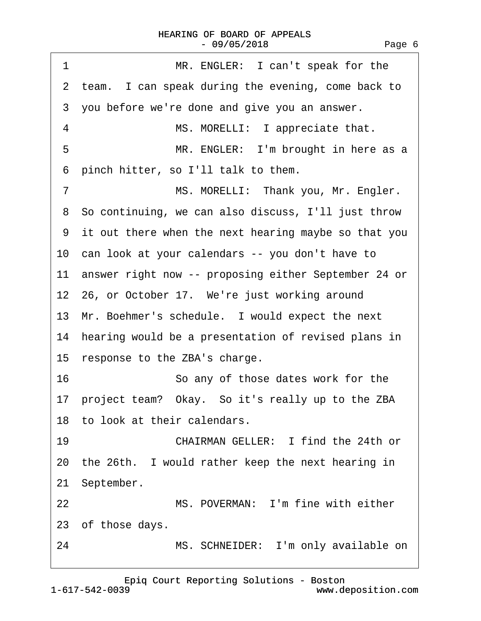| 1<br>MR. ENGLER: I can't speak for the                  |  |
|---------------------------------------------------------|--|
| 2 team. I can speak during the evening, come back to    |  |
| 3 you before we're done and give you an answer.         |  |
| MS. MORELLI: I appreciate that.<br>4                    |  |
| MR. ENGLER: I'm brought in here as a<br>5               |  |
| pinch hitter, so I'll talk to them.<br>6                |  |
| MS. MORELLI: Thank you, Mr. Engler.<br>$\overline{7}$   |  |
| 8 So continuing, we can also discuss, I'll just throw   |  |
| 9 it out there when the next hearing maybe so that you  |  |
| 10 can look at your calendars -- you don't have to      |  |
| 11 answer right now -- proposing either September 24 or |  |
| 12 26, or October 17. We're just working around         |  |
| 13 Mr. Boehmer's schedule. I would expect the next      |  |
| 14 hearing would be a presentation of revised plans in  |  |
| 15 response to the ZBA's charge.                        |  |
| 16<br>So any of those dates work for the                |  |
| 17 project team? Okay. So it's really up to the ZBA     |  |
| 18 to look at their calendars.                          |  |
| CHAIRMAN GELLER: I find the 24th or<br>19               |  |
| 20 the 26th. I would rather keep the next hearing in    |  |
| 21 September.                                           |  |
| MS. POVERMAN: I'm fine with either<br>22                |  |
| 23 of those days.                                       |  |
| 24<br>MS. SCHNEIDER: I'm only available on              |  |
|                                                         |  |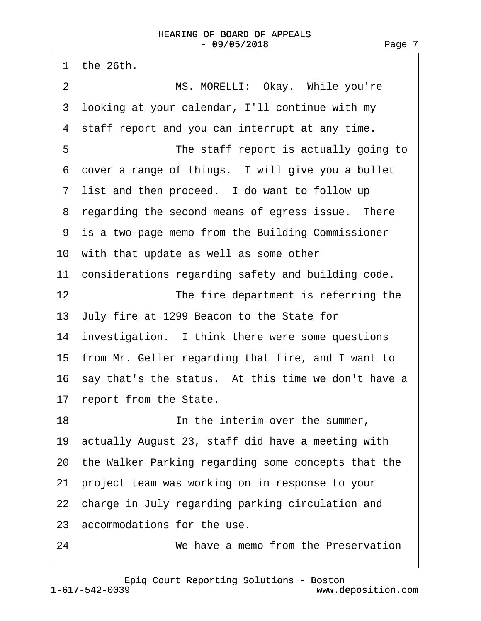|    | 1 the 26th.                                            |
|----|--------------------------------------------------------|
| 2  | MS. MORELLI: Okay. While you're                        |
|    | 3 looking at your calendar, I'll continue with my      |
|    | 4 staff report and you can interrupt at any time.      |
| 5  | The staff report is actually going to                  |
| 6  | cover a range of things. I will give you a bullet      |
|    | 7 list and then proceed. I do want to follow up        |
|    | 8 regarding the second means of egress issue. There    |
|    | 9 is a two-page memo from the Building Commissioner    |
|    | 10 with that update as well as some other              |
|    | 11 considerations regarding safety and building code.  |
| 12 | The fire department is referring the                   |
|    | 13 July fire at 1299 Beacon to the State for           |
|    | 14 investigation. I think there were some questions    |
|    | 15 from Mr. Geller regarding that fire, and I want to  |
|    | 16 say that's the status. At this time we don't have a |
|    | 17 report from the State.                              |
| 18 | In the interim over the summer,                        |
|    | 19 actually August 23, staff did have a meeting with   |
|    | 20 the Walker Parking regarding some concepts that the |
|    | 21 project team was working on in response to your     |
|    | 22 charge in July regarding parking circulation and    |
|    | 23 accommodations for the use.                         |
| 24 | We have a memo from the Preservation                   |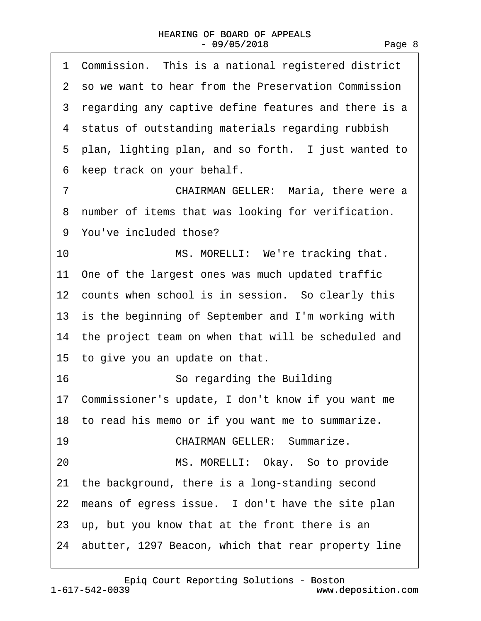| 1 Commission. This is a national registered district          |
|---------------------------------------------------------------|
| 2 so we want to hear from the Preservation Commission         |
| 3 regarding any captive define features and there is a        |
| 4 status of outstanding materials regarding rubbish           |
| 5 plan, lighting plan, and so forth. I just wanted to         |
| keep track on your behalf.<br>6                               |
| $\overline{7}$<br><b>CHAIRMAN GELLER: Maria, there were a</b> |
| 8 number of items that was looking for verification.          |
| 9 You've included those?                                      |
| MS. MORELLI: We're tracking that.<br>10                       |
| 11 One of the largest ones was much updated traffic           |
| 12 counts when school is in session. So clearly this          |
| 13 is the beginning of September and I'm working with         |
| 14 the project team on when that will be scheduled and        |
| 15 to give you an update on that.                             |
| 16<br>So regarding the Building                               |
| 17 Commissioner's update, I don't know if you want me         |
| 18 to read his memo or if you want me to summarize.           |
| <b>CHAIRMAN GELLER: Summarize.</b><br>19                      |
| MS. MORELLI: Okay. So to provide<br>20                        |
| 21 the background, there is a long-standing second            |
| 22 means of egress issue. I don't have the site plan          |
| 23 up, but you know that at the front there is an             |
| 24 abutter, 1297 Beacon, which that rear property line        |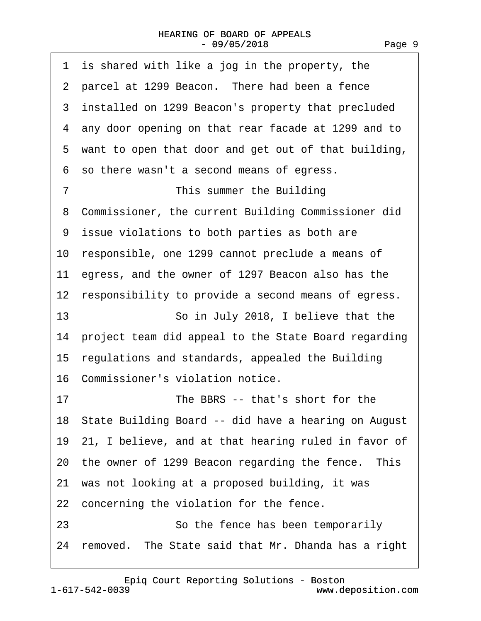| 1 is shared with like a jog in the property, the         |
|----------------------------------------------------------|
| 2 parcel at 1299 Beacon. There had been a fence          |
| 3 installed on 1299 Beacon's property that precluded     |
| 4 any door opening on that rear facade at 1299 and to    |
| 5 want to open that door and get out of that building,   |
| 6 so there wasn't a second means of egress.              |
| This summer the Building<br>7                            |
| Commissioner, the current Building Commissioner did<br>8 |
| 9 issue violations to both parties as both are           |
| 10 responsible, one 1299 cannot preclude a means of      |
| 11 egress, and the owner of 1297 Beacon also has the     |
| 12 responsibility to provide a second means of egress.   |
| 13<br>So in July 2018, I believe that the                |
| 14 project team did appeal to the State Board regarding  |
| 15 regulations and standards, appealed the Building      |
| 16 Commissioner's violation notice.                      |
| The BBRS -- that's short for the<br>17                   |
| 18 State Building Board -- did have a hearing on August  |
| 19 21, I believe, and at that hearing ruled in favor of  |
| 20 the owner of 1299 Beacon regarding the fence. This    |
| 21 was not looking at a proposed building, it was        |
| 22 concerning the violation for the fence.               |
| 23<br>So the fence has been temporarily                  |
| 24 removed. The State said that Mr. Dhanda has a right   |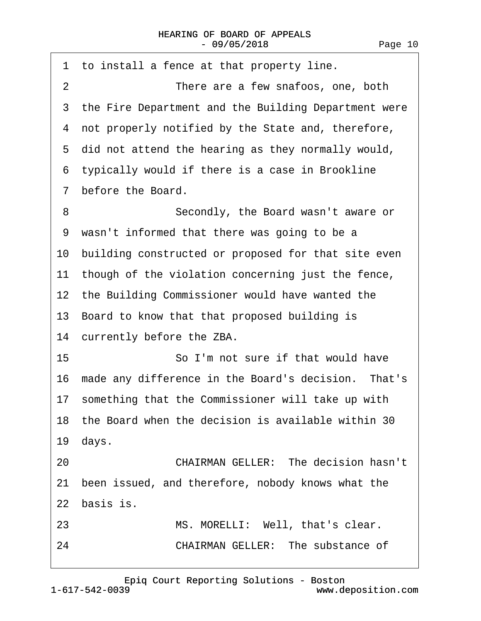|                | 1 to install a fence at that property line.            |
|----------------|--------------------------------------------------------|
| $\overline{2}$ | There are a few snafoos, one, both                     |
|                | 3 the Fire Department and the Building Department were |
|                | 4 not properly notified by the State and, therefore,   |
|                | 5 did not attend the hearing as they normally would,   |
|                | 6 typically would if there is a case in Brookline      |
| $\mathcal{I}$  | before the Board.                                      |
| 8              | Secondly, the Board wasn't aware or                    |
|                | 9 wasn't informed that there was going to be a         |
|                | 10 building constructed or proposed for that site even |
|                | 11 though of the violation concerning just the fence,  |
|                | 12 the Building Commissioner would have wanted the     |
|                | 13 Board to know that that proposed building is        |
|                | 14 currently before the ZBA.                           |
| 15             | So I'm not sure if that would have                     |
|                | 16 made any difference in the Board's decision. That's |
|                | 17 something that the Commissioner will take up with   |
|                | 18 the Board when the decision is available within 30  |
|                | 19 days.                                               |
| 20             | <b>CHAIRMAN GELLER: The decision hasn't</b>            |
|                | 21 been issued, and therefore, nobody knows what the   |
|                | 22 basis is.                                           |
| 23             | MS. MORELLI: Well, that's clear.                       |
| 24             | <b>CHAIRMAN GELLER: The substance of</b>               |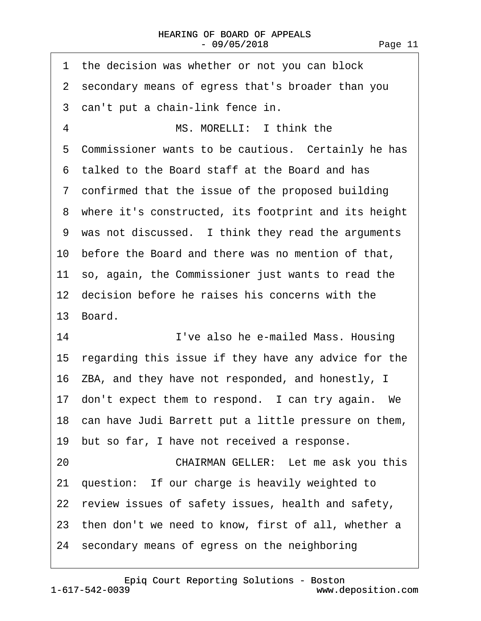|    | 1 the decision was whether or not you can block         |
|----|---------------------------------------------------------|
|    | 2 secondary means of egress that's broader than you     |
|    | 3 can't put a chain-link fence in.                      |
| 4  | MS. MORELLI: I think the                                |
|    | 5 Commissioner wants to be cautious. Certainly he has   |
|    | 6 talked to the Board staff at the Board and has        |
|    | 7 confirmed that the issue of the proposed building     |
|    | 8 where it's constructed, its footprint and its height  |
|    | 9 was not discussed. I think they read the arguments    |
|    | 10 before the Board and there was no mention of that,   |
|    | 11 so, again, the Commissioner just wants to read the   |
|    | 12 decision before he raises his concerns with the      |
|    | 13 Board.                                               |
| 14 | I've also he e-mailed Mass. Housing                     |
|    | 15 regarding this issue if they have any advice for the |
|    | 16 ZBA, and they have not responded, and honestly, I    |
|    | 17 don't expect them to respond. I can try again. We    |
|    | 18 can have Judi Barrett put a little pressure on them, |
|    | 19 but so far, I have not received a response.          |
| 20 | CHAIRMAN GELLER: Let me ask you this                    |
|    | 21 question: If our charge is heavily weighted to       |
|    | 22 review issues of safety issues, health and safety,   |
|    | 23 then don't we need to know, first of all, whether a  |
|    | 24 secondary means of egress on the neighboring         |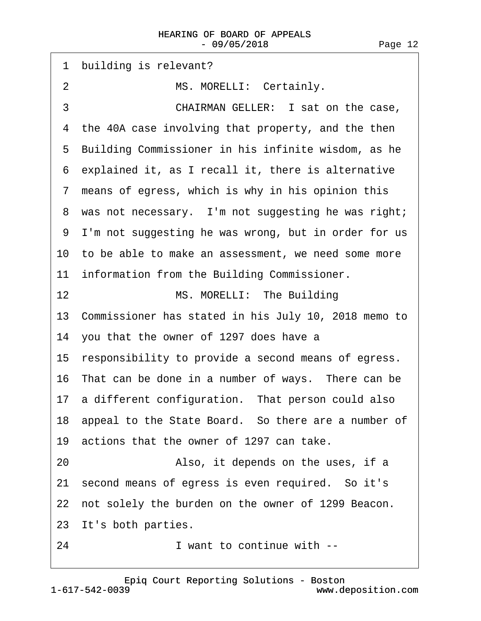1 building is relevant? 2 MS. MORELLI: Certainly. 3 **CHAIRMAN GELLER:** I sat on the case, 4 the 40A case involving that property, and the then 5 Building Commissioner in his infinite wisdom, as he ·6· explained it, as I recall it, there is alternative 7 means of egress, which is why in his opinion this 8 was not necessary. I'm not suggesting he was right; ·9· I'm not suggesting he was wrong, but in order for us 10 to be able to make an assessment, we need some more 11 information from the Building Commissioner. 12 MS. MORELLI: The Building 13· Commissioner has stated in his July 10, 2018 memo to 14· you that the owner of 1297 does have a 15 responsibility to provide a second means of egress. 16 That can be done in a number of ways. There can be 17 a different configuration. That person could also 18 appeal to the State Board. So there are a number of 19 actions that the owner of 1297 can take. 20 • **Also, it depends on the uses, if a** 21 second means of egress is even required. So it's 22 not solely the burden on the owner of 1299 Beacon. 23 It's both parties. 24 I want to continue with --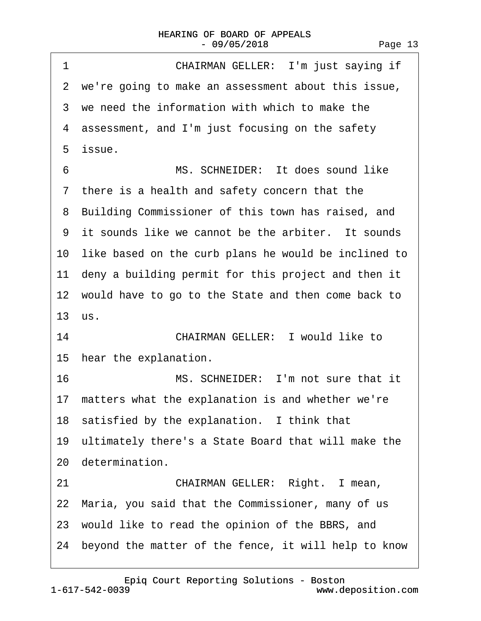| 1  | CHAIRMAN GELLER: I'm just saying if                     |
|----|---------------------------------------------------------|
|    | 2 we're going to make an assessment about this issue,   |
|    | 3 we need the information with which to make the        |
|    | 4 assessment, and I'm just focusing on the safety       |
|    | 5 issue.                                                |
| 6  | MS. SCHNEIDER: It does sound like                       |
|    | 7 there is a health and safety concern that the         |
|    | 8 Building Commissioner of this town has raised, and    |
|    | 9 it sounds like we cannot be the arbiter. It sounds    |
|    | 10 like based on the curb plans he would be inclined to |
|    | 11 deny a building permit for this project and then it  |
|    | 12 would have to go to the State and then come back to  |
|    | 13 us.                                                  |
| 14 | <b>CHAIRMAN GELLER: I would like to</b>                 |
|    | 15 hear the explanation.                                |
| 16 | MS. SCHNEIDER: I'm not sure that it                     |
|    | 17 matters what the explanation is and whether we're    |
|    | 18 satisfied by the explanation. I think that           |
|    | 19 ultimately there's a State Board that will make the  |
|    | 20 determination.                                       |
| 21 | CHAIRMAN GELLER: Right. I mean,                         |
|    | 22 Maria, you said that the Commissioner, many of us    |
|    | 23 would like to read the opinion of the BBRS, and      |
|    | 24 beyond the matter of the fence, it will help to know |
|    |                                                         |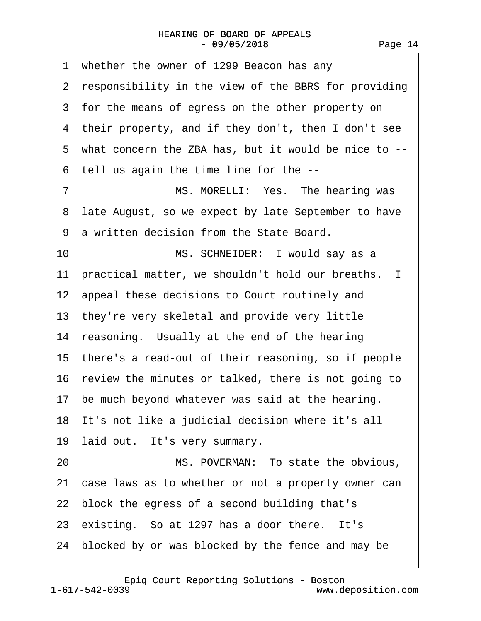| whether the owner of 1299 Beacon has any<br>1          |
|--------------------------------------------------------|
| 2 responsibility in the view of the BBRS for providing |
| 3 for the means of egress on the other property on     |
| 4 their property, and if they don't, then I don't see  |
| 5 what concern the ZBA has, but it would be nice to -- |
| 6 tell us again the time line for the --               |
| $\overline{7}$<br>MS. MORELLI: Yes. The hearing was    |
| 8 late August, so we expect by late September to have  |
| 9 a written decision from the State Board.             |
| 10<br>MS. SCHNEIDER: I would say as a                  |
| 11 practical matter, we shouldn't hold our breaths. I  |
| 12 appeal these decisions to Court routinely and       |
| 13 they're very skeletal and provide very little       |
| 14 reasoning. Usually at the end of the hearing        |
| 15 there's a read-out of their reasoning, so if people |
| 16 review the minutes or talked, there is not going to |
| 17 be much beyond whatever was said at the hearing.    |
| 18 It's not like a judicial decision where it's all    |
| 19 laid out. It's very summary.                        |
| MS. POVERMAN: To state the obvious,<br>20              |
| 21 case laws as to whether or not a property owner can |
| 22 block the egress of a second building that's        |
| 23 existing. So at 1297 has a door there. It's         |
| 24 blocked by or was blocked by the fence and may be   |

[Epiq Court Reporting Solutions - Boston](http://www.deposition.com)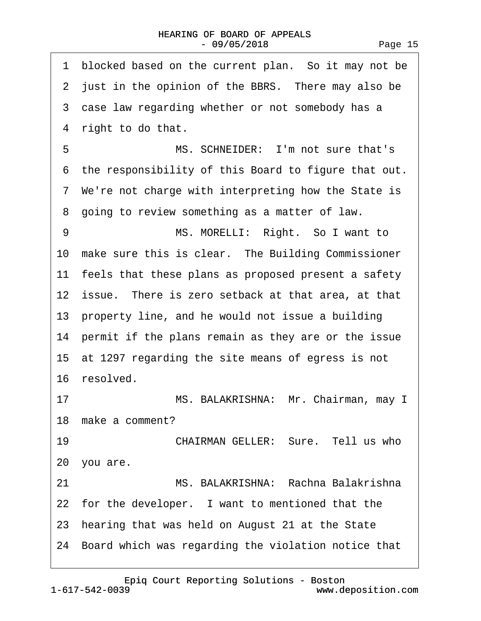| blocked based on the current plan. So it may not be<br>1 |
|----------------------------------------------------------|
| 2 just in the opinion of the BBRS. There may also be     |
| 3 case law regarding whether or not somebody has a       |
| 4 right to do that.                                      |
| MS. SCHNEIDER: I'm not sure that's<br>5                  |
| 6 the responsibility of this Board to figure that out.   |
| 7 We're not charge with interpreting how the State is    |
| 8 going to review something as a matter of law.          |
| 9<br>MS. MORELLI: Right. So I want to                    |
| 10 make sure this is clear. The Building Commissioner    |
| 11 feels that these plans as proposed present a safety   |
| 12 issue. There is zero setback at that area, at that    |
| 13 property line, and he would not issue a building      |
| 14 permit if the plans remain as they are or the issue   |
| 15 at 1297 regarding the site means of egress is not     |
| 16 resolved.                                             |
| 17<br>MS. BALAKRISHNA: Mr. Chairman, may I               |
| 18 make a comment?                                       |
| CHAIRMAN GELLER: Sure, Tell us who<br>19                 |
| 20 you are.                                              |
| MS. BALAKRISHNA: Rachna Balakrishna<br>21                |
| 22 for the developer. I want to mentioned that the       |
| 23 hearing that was held on August 21 at the State       |
| 24 Board which was regarding the violation notice that   |
|                                                          |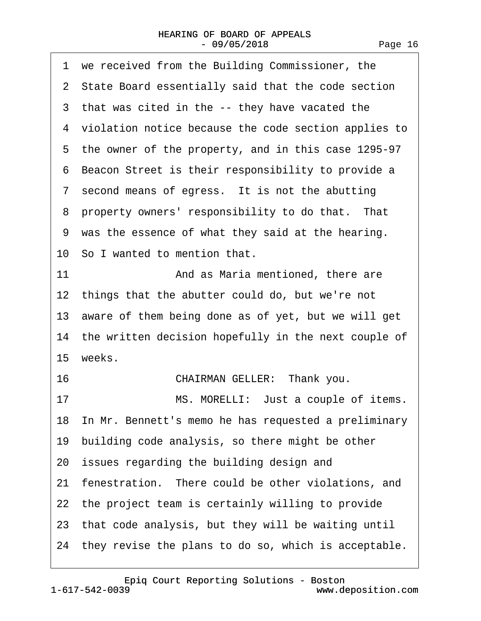| 1 we received from the Building Commissioner, the       |
|---------------------------------------------------------|
| 2 State Board essentially said that the code section    |
| 3 that was cited in the -- they have vacated the        |
| 4 violation notice because the code section applies to  |
| 5 the owner of the property, and in this case 1295-97   |
| 6 Beacon Street is their responsibility to provide a    |
| 7 second means of egress. It is not the abutting        |
| 8 property owners' responsibility to do that. That      |
| 9 was the essence of what they said at the hearing.     |
| 10 So I wanted to mention that.                         |
| 11<br>And as Maria mentioned, there are                 |
| 12 things that the abutter could do, but we're not      |
| 13 aware of them being done as of yet, but we will get  |
| 14 the written decision hopefully in the next couple of |
| 15 weeks.                                               |
| CHAIRMAN GELLER: Thank you.<br>16                       |
| MS. MORELLI: Just a couple of items.<br>17              |
| 18 In Mr. Bennett's memo he has requested a preliminary |
| 19 building code analysis, so there might be other      |
| 20 issues regarding the building design and             |
| 21 fenestration. There could be other violations, and   |
| 22 the project team is certainly willing to provide     |
| 23 that code analysis, but they will be waiting until   |
| 24 they revise the plans to do so, which is acceptable. |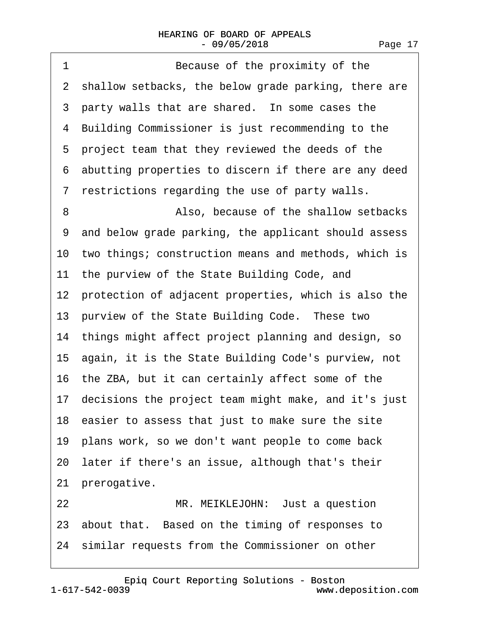## HEARING OF BOARD OF APPEALS - 09/05/2018

1 **Because of the proximity of the** 2 shallow setbacks, the below grade parking, there are 3 party walls that are shared. In some cases the 4 Building Commissioner is just recommending to the 5 project team that they reviewed the deeds of the ·6· abutting properties to discern if there are any deed ·7· restrictions regarding the use of party walls. 8 **8** Also, because of the shallow setbacks ·9· and below grade parking, the applicant should assess 10 two things; construction means and methods, which is 11 the purview of the State Building Code, and 12 protection of adjacent properties, which is also the 13 purview of the State Building Code. These two 14 things might affect project planning and design, so 15· again, it is the State Building Code's purview, not 16 the ZBA, but it can certainly affect some of the 17· decisions the project team might make, and it's just 18 easier to assess that just to make sure the site 19· plans work, so we don't want people to come back 20· later if there's an issue, although that's their 21 prerogative. 22 MR. MEIKLEJOHN: Just a question 23 about that. Based on the timing of responses to 24 similar requests from the Commissioner on other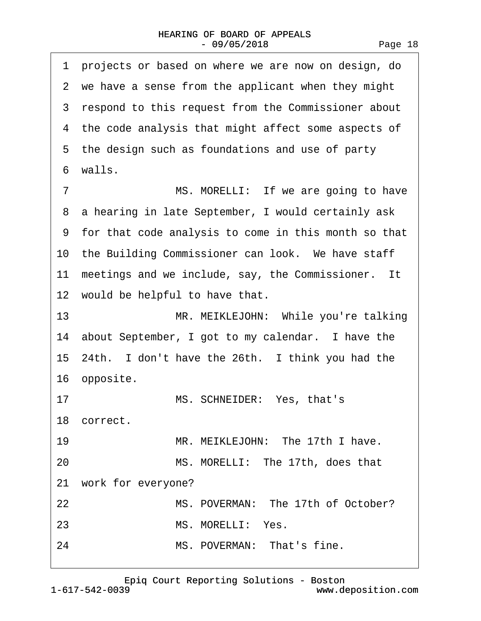·1· projects or based on where we are now on design, do 2 we have a sense from the applicant when they might 3 respond to this request from the Commissioner about 4 the code analysis that might affect some aspects of 5 the design such as foundations and use of party ·6· walls. 7 MS. MORELLI: If we are going to have 8 a hearing in late September, I would certainly ask ·9· for that code analysis to come in this month so that 10 the Building Commissioner can look. We have staff 11 meetings and we include, say, the Commissioner. It 12 would be helpful to have that. 13 MR. MEIKLEJOHN: While you're talking 14 about September, I got to my calendar. I have the 15–24th. I don't have the 26th. I think you had the 16 opposite. 17 MS. SCHNEIDER: Yes, that's 18 correct. 19 MR. MEIKLEJOHN: The 17th I have. 20 MS. MORELLI: The 17th, does that 21 work for everyone? 22 MS. POVERMAN: The 17th of October? 23 MS. MORELLI: Yes. 24 MS. POVERMAN: That's fine.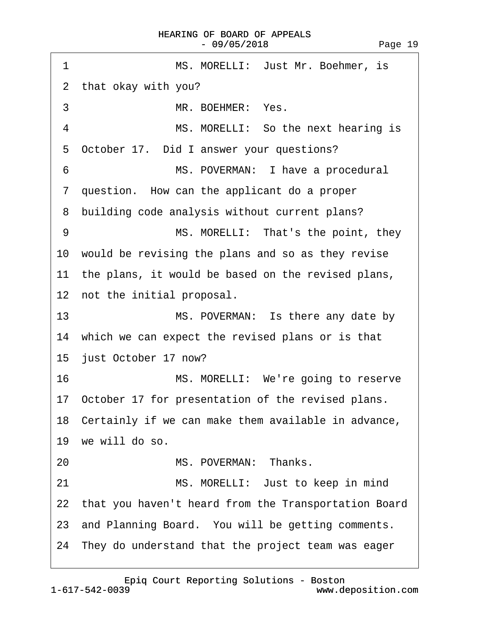| 1<br>MS. MORELLI: Just Mr. Boehmer, is                  |
|---------------------------------------------------------|
| 2 that okay with you?                                   |
| 3<br>MR. BOEHMER: Yes.                                  |
| 4<br>MS. MORELLI: So the next hearing is                |
| October 17. Did I answer your questions?<br>5           |
| 6<br>MS. POVERMAN: I have a procedural                  |
| 7 question. How can the applicant do a proper           |
| 8 building code analysis without current plans?         |
| 9<br>MS. MORELLI: That's the point, they                |
| 10 would be revising the plans and so as they revise    |
| 11 the plans, it would be based on the revised plans,   |
| 12 not the initial proposal.                            |
| 13<br>MS. POVERMAN: Is there any date by                |
| 14 which we can expect the revised plans or is that     |
| 15 just October 17 now?                                 |
| 16<br>MS. MORELLI: We're going to reserve               |
| 17 October 17 for presentation of the revised plans.    |
| 18 Certainly if we can make them available in advance,  |
| 19 we will do so.                                       |
| MS. POVERMAN: Thanks.<br>20                             |
| 21<br>MS. MORELLI: Just to keep in mind                 |
| 22 that you haven't heard from the Transportation Board |
| 23 and Planning Board. You will be getting comments.    |
| 24 They do understand that the project team was eager   |
|                                                         |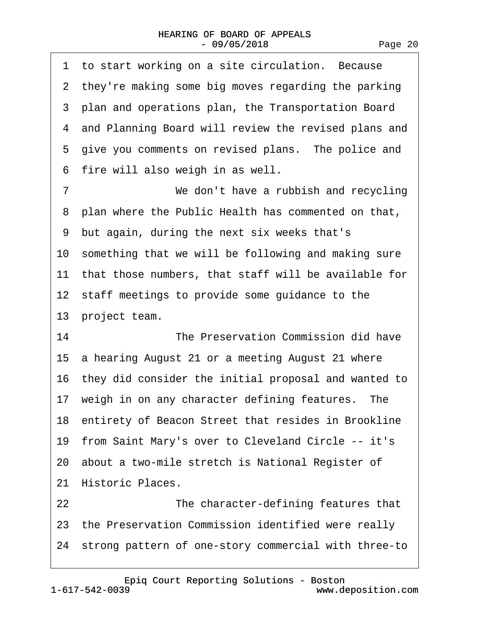1 to start working on a site circulation. Because 2 they're making some big moves regarding the parking ·3· plan and operations plan, the Transportation Board 4 and Planning Board will review the revised plans and 5 give you comments on revised plans. The police and 6 fire will also weigh in as well. 7 *We don't have a rubbish and recycling* 8 plan where the Public Health has commented on that, ·9· but again, during the next six weeks that's 10 something that we will be following and making sure 11 that those numbers, that staff will be available for 12 staff meetings to provide some guidance to the 13 project team. 14 **The Preservation Commission did have** 15 a hearing August 21 or a meeting August 21 where 16· they did consider the initial proposal and wanted to 17 weigh in on any character defining features. The 18 entirety of Beacon Street that resides in Brookline 19· from Saint Mary's over to Cleveland Circle -- it's 20· about a two-mile stretch is National Register of 21 Historic Places. 22 **The character-defining features that** 23 the Preservation Commission identified were really

24· strong pattern of one-story commercial with three-to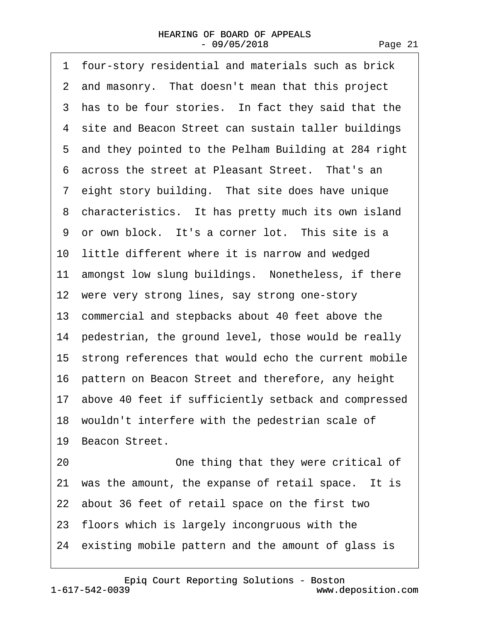| 1 four-story residential and materials such as brick    |
|---------------------------------------------------------|
| 2 and masonry. That doesn't mean that this project      |
| 3 has to be four stories. In fact they said that the    |
| 4 site and Beacon Street can sustain taller buildings   |
| 5 and they pointed to the Pelham Building at 284 right  |
| 6 across the street at Pleasant Street. That's an       |
| 7 eight story building. That site does have unique      |
| 8 characteristics. It has pretty much its own island    |
| 9 or own block. It's a corner lot. This site is a       |
| 10 little different where it is narrow and wedged       |
| 11 amongst low slung buildings. Nonetheless, if there   |
| 12 were very strong lines, say strong one-story         |
| 13 commercial and stepbacks about 40 feet above the     |
| 14 pedestrian, the ground level, those would be really  |
| 15 strong references that would echo the current mobile |
| 16 pattern on Beacon Street and therefore, any height   |
| 17 above 40 feet if sufficiently setback and compressed |
| 18 wouldn't interfere with the pedestrian scale of      |
| 19 Beacon Street.                                       |
| One thing that they were critical of<br>20              |
| 21 was the amount, the expanse of retail space. It is   |
| 22 about 36 feet of retail space on the first two       |
| 23 floors which is largely incongruous with the         |
| 24 existing mobile pattern and the amount of glass is   |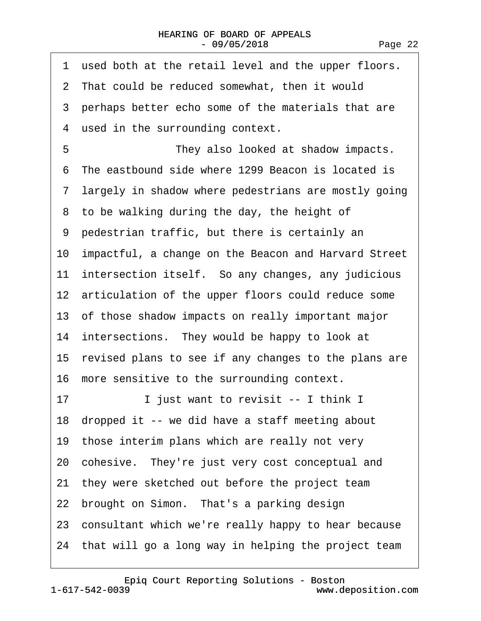| used both at the retail level and the upper floors.<br>1 |
|----------------------------------------------------------|
| 2 That could be reduced somewhat, then it would          |
| 3 perhaps better echo some of the materials that are     |
| 4 used in the surrounding context.                       |
| 5<br>They also looked at shadow impacts.                 |
| 6 The eastbound side where 1299 Beacon is located is     |
| 7 largely in shadow where pedestrians are mostly going   |
| 8 to be walking during the day, the height of            |
| 9 pedestrian traffic, but there is certainly an          |
| 10 impactful, a change on the Beacon and Harvard Street  |
| 11 intersection itself. So any changes, any judicious    |
| 12 articulation of the upper floors could reduce some    |
| 13 of those shadow impacts on really important major     |
| 14 intersections. They would be happy to look at         |
| 15 revised plans to see if any changes to the plans are  |
| 16 more sensitive to the surrounding context.            |
| 17<br>I just want to revisit -- I think I                |
| 18 dropped it -- we did have a staff meeting about       |
| 19 those interim plans which are really not very         |
| 20 cohesive. They're just very cost conceptual and       |
| 21 they were sketched out before the project team        |
| 22 brought on Simon. That's a parking design             |
| 23 consultant which we're really happy to hear because   |
| 24 that will go a long way in helping the project team   |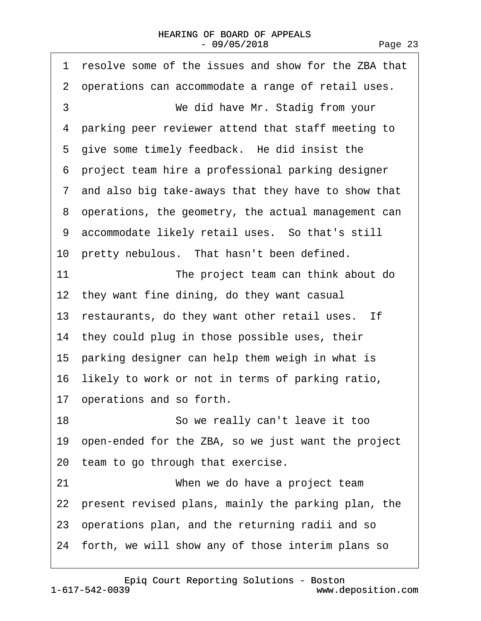## HEARING OF BOARD OF APPEALS  $-09/05/2018$

| resolve some of the issues and show for the ZBA that<br>1 |
|-----------------------------------------------------------|
| 2 operations can accommodate a range of retail uses.      |
| 3<br>We did have Mr. Stadig from your                     |
| 4 parking peer reviewer attend that staff meeting to      |
| 5 give some timely feedback. He did insist the            |
| 6 project team hire a professional parking designer       |
| 7 and also big take-aways that they have to show that     |
| 8 operations, the geometry, the actual management can     |
| 9 accommodate likely retail uses. So that's still         |
| 10 pretty nebulous. That hasn't been defined.             |
| 11<br>The project team can think about do                 |
| 12 they want fine dining, do they want casual             |
| 13 restaurants, do they want other retail uses. If        |
| 14 they could plug in those possible uses, their          |
| 15 parking designer can help them weigh in what is        |
| 16 likely to work or not in terms of parking ratio,       |
| 17 operations and so forth.                               |
| 18<br>So we really can't leave it too                     |
| 19 open-ended for the ZBA, so we just want the project    |
| 20 team to go through that exercise.                      |
| 21<br>When we do have a project team                      |
| 22 present revised plans, mainly the parking plan, the    |
| 23 operations plan, and the returning radii and so        |
| 24 forth, we will show any of those interim plans so      |
|                                                           |

1-617-542-0039 [Epiq Court Reporting Solutions - Boston](http://www.deposition.com)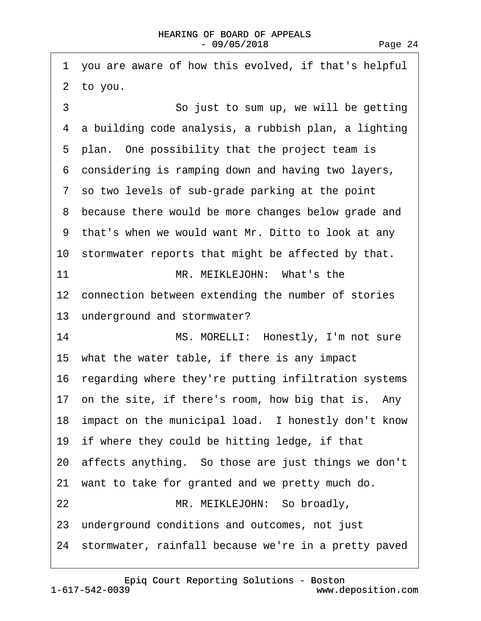|    | 1 you are aware of how this evolved, if that's helpful  |
|----|---------------------------------------------------------|
|    | 2 to you.                                               |
| 3  | So just to sum up, we will be getting                   |
|    | 4 a building code analysis, a rubbish plan, a lighting  |
|    | 5 plan. One possibility that the project team is        |
|    | 6 considering is ramping down and having two layers,    |
|    | 7 so two levels of sub-grade parking at the point       |
|    | 8 because there would be more changes below grade and   |
|    | 9 that's when we would want Mr. Ditto to look at any    |
|    | 10 stormwater reports that might be affected by that.   |
| 11 | MR. MEIKLEJOHN: What's the                              |
|    | 12 connection between extending the number of stories   |
|    | 13 underground and stormwater?                          |
| 14 | MS. MORELLI: Honestly, I'm not sure                     |
|    | 15 what the water table, if there is any impact         |
|    | 16 regarding where they're putting infiltration systems |
|    | 17 on the site, if there's room, how big that is. Any   |
|    | 18 impact on the municipal load. I honestly don't know  |
|    | 19 if where they could be hitting ledge, if that        |
|    | 20 affects anything. So those are just things we don't  |
|    | 21 want to take for granted and we pretty much do.      |
| 22 | MR. MEIKLEJOHN: So broadly,                             |
|    | 23 underground conditions and outcomes, not just        |
|    | 24 stormwater, rainfall because we're in a pretty paved |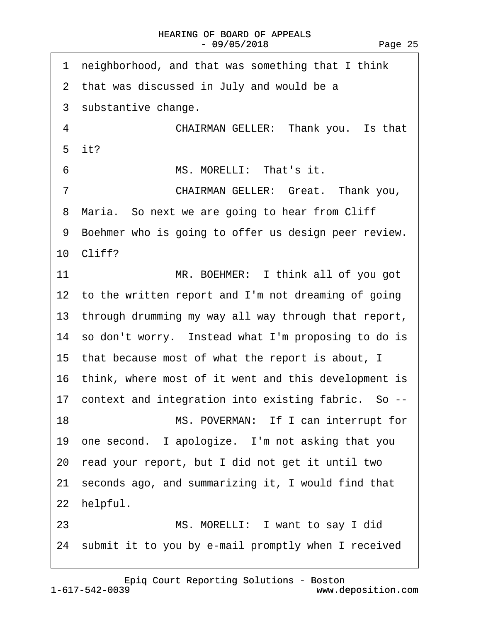| neighborhood, and that was something that I think<br>1  |
|---------------------------------------------------------|
| 2 that was discussed in July and would be a             |
| 3 substantive change.                                   |
| $\overline{4}$<br>CHAIRMAN GELLER: Thank you. Is that   |
| 5 it?                                                   |
| 6<br>MS. MORELLI: That's it.                            |
| CHAIRMAN GELLER: Great. Thank you,<br>7                 |
| 8 Maria. So next we are going to hear from Cliff        |
| 9 Boehmer who is going to offer us design peer review.  |
| 10 Cliff?                                               |
| 11<br>MR. BOEHMER: I think all of you got               |
| 12 to the written report and I'm not dreaming of going  |
| 13 through drumming my way all way through that report, |
| 14 so don't worry. Instead what I'm proposing to do is  |
| 15 that because most of what the report is about, I     |
| 16 think, where most of it went and this development is |
| 17 context and integration into existing fabric. So --  |
| 18<br>MS. POVERMAN: If I can interrupt for              |
| 19 one second. I apologize. I'm not asking that you     |
| 20 read your report, but I did not get it until two     |
| 21 seconds ago, and summarizing it, I would find that   |
| 22 helpful.                                             |
| MS. MORELLI: I want to say I did<br>23                  |
| 24 submit it to you by e-mail promptly when I received  |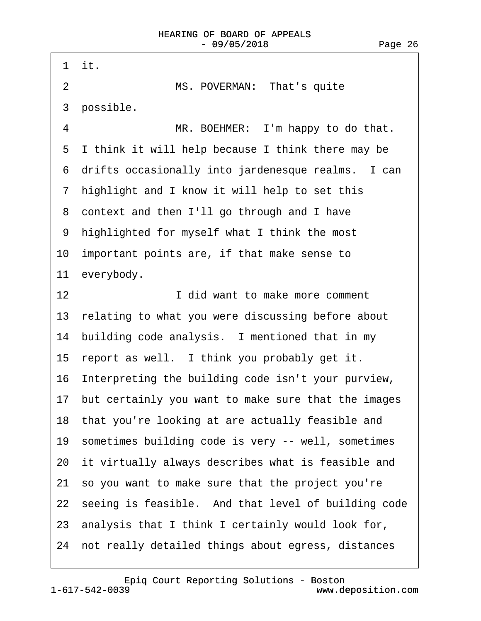| 1 it.                                                  |
|--------------------------------------------------------|
| $\overline{2}$<br>MS. POVERMAN: That's quite           |
| 3 possible.                                            |
| $\overline{4}$<br>MR. BOEHMER: I'm happy to do that.   |
| I think it will help because I think there may be<br>5 |
| 6 drifts occasionally into jardenesque realms. I can   |
| 7 highlight and I know it will help to set this        |
| 8 context and then I'll go through and I have          |
| highlighted for myself what I think the most<br>9      |
| 10 important points are, if that make sense to         |
| 11 everybody.                                          |
| 12<br>I did want to make more comment                  |
| 13 relating to what you were discussing before about   |
| 14 building code analysis. I mentioned that in my      |
| 15 report as well. I think you probably get it.        |
| 16 Interpreting the building code isn't your purview,  |
| 17 but certainly you want to make sure that the images |
| 18 that you're looking at are actually feasible and    |
| 19 sometimes building code is very -- well, sometimes  |
| 20 it virtually always describes what is feasible and  |
| 21 so you want to make sure that the project you're    |
| 22 seeing is feasible. And that level of building code |
| 23 analysis that I think I certainly would look for,   |
| 24 not really detailed things about egress, distances  |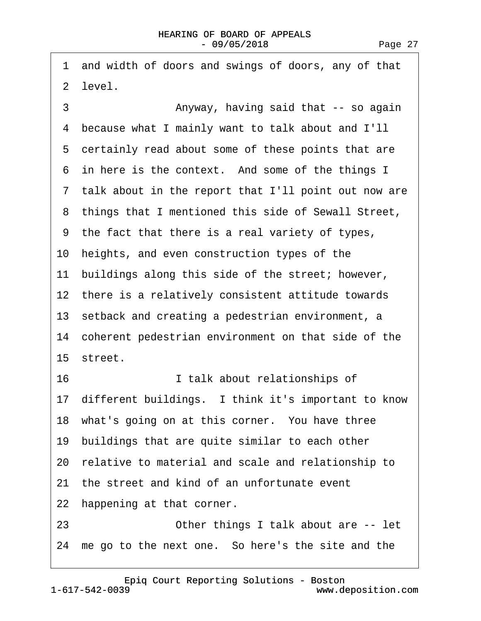·1· and width of doors and swings of doors, any of that ·2· level.

3 • • • • • Anyway, having said that -- so again ·4· because what I mainly want to talk about and I'll 5 certainly read about some of these points that are 6 in here is the context. And some of the things I 7 talk about in the report that I'll point out now are 8 things that I mentioned this side of Sewall Street, ·9· the fact that there is a real variety of types, 10· heights, and even construction types of the 11 buildings along this side of the street; however, 12 there is a relatively consistent attitude towards 13 setback and creating a pedestrian environment, a 14 coherent pedestrian environment on that side of the 15 street. 16· · · · · · · · ·I talk about relationships of 17 different buildings. I think it's important to know 18 what's going on at this corner. You have three 19 buildings that are quite similar to each other 20· relative to material and scale and relationship to 21 the street and kind of an unfortunate event 22 happening at that corner. 23 **Deta Combindial** Cother things I talk about are -- let 24 me go to the next one. So here's the site and the

[Epiq Court Reporting Solutions - Boston](http://www.deposition.com)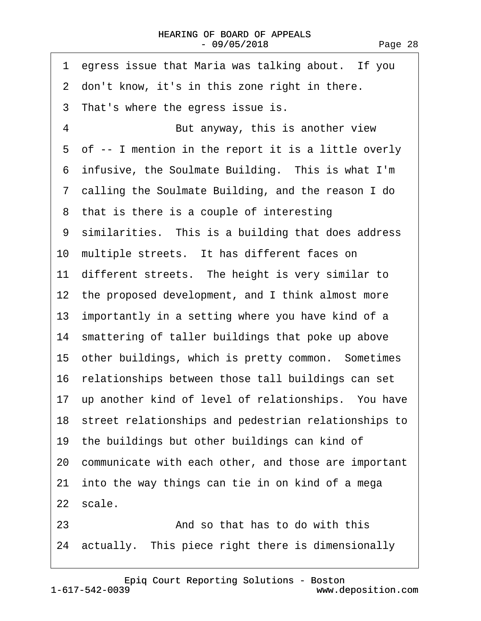|    | 1 egress issue that Maria was talking about. If you     |
|----|---------------------------------------------------------|
|    | 2 don't know, it's in this zone right in there.         |
|    | 3 That's where the egress issue is.                     |
| 4  | But anyway, this is another view                        |
|    | 5 of -- I mention in the report it is a little overly   |
|    | 6 infusive, the Soulmate Building. This is what I'm     |
|    | 7 calling the Soulmate Building, and the reason I do    |
|    | 8 that is there is a couple of interesting              |
|    | 9 similarities. This is a building that does address    |
|    | 10 multiple streets. It has different faces on          |
|    | 11 different streets. The height is very similar to     |
|    | 12 the proposed development, and I think almost more    |
|    | 13 importantly in a setting where you have kind of a    |
|    | 14 smattering of taller buildings that poke up above    |
|    | 15 other buildings, which is pretty common. Sometimes   |
|    | 16 relationships between those tall buildings can set   |
|    | 17 up another kind of level of relationships. You have  |
|    | 18 street relationships and pedestrian relationships to |
|    | 19 the buildings but other buildings can kind of        |
|    | 20 communicate with each other, and those are important |
|    | 21 into the way things can tie in on kind of a mega     |
|    | 22 scale.                                               |
| 23 | And so that has to do with this                         |
|    | 24 actually. This piece right there is dimensionally    |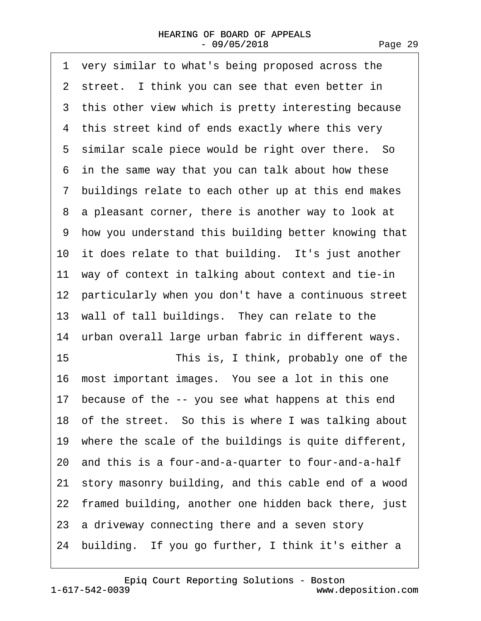·1· very similar to what's being proposed across the 2 street. I think you can see that even better in 3 this other view which is pretty interesting because 4 this street kind of ends exactly where this very 5 similar scale piece would be right over there. So ·6· in the same way that you can talk about how these ·7· buildings relate to each other up at this end makes 8 a pleasant corner, there is another way to look at ·9· how you understand this building better knowing that 10 it does relate to that building. It's just another 11 way of context in talking about context and tie-in 12 particularly when you don't have a continuous street 13 wall of tall buildings. They can relate to the 14 urban overall large urban fabric in different ways. 15 This is, I think, probably one of the 16· most important images.· You see a lot in this one 17 because of the -- you see what happens at this end 18· of the street.· So this is where I was talking about 19· where the scale of the buildings is quite different, 20· and this is a four-and-a-quarter to four-and-a-half 21· story masonry building, and this cable end of a wood 22 framed building, another one hidden back there, just 23 a driveway connecting there and a seven story 24 building. If you go further, I think it's either a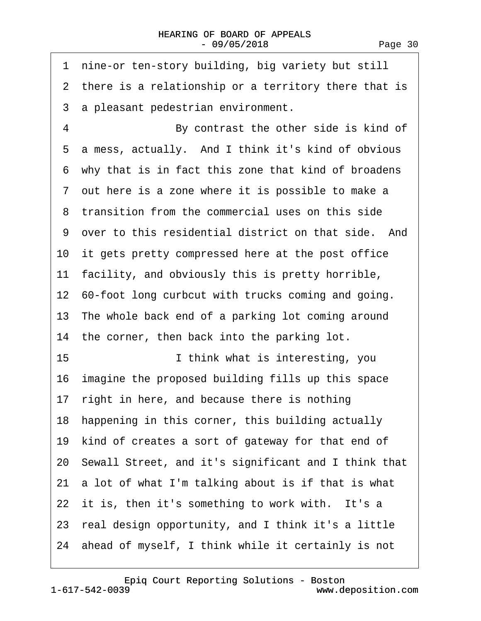| nine-or ten-story building, big variety but still<br>1  |
|---------------------------------------------------------|
| 2 there is a relationship or a territory there that is  |
| 3 a pleasant pedestrian environment.                    |
| 4<br>By contrast the other side is kind of              |
| a mess, actually. And I think it's kind of obvious<br>5 |
| 6 why that is in fact this zone that kind of broadens   |
| 7 out here is a zone where it is possible to make a     |
| 8 transition from the commercial uses on this side      |
| 9 over to this residential district on that side. And   |
| 10 it gets pretty compressed here at the post office    |
| 11 facility, and obviously this is pretty horrible,     |
| 12 60-foot long curbcut with trucks coming and going.   |
| 13 The whole back end of a parking lot coming around    |
| 14 the corner, then back into the parking lot.          |
| 15<br>I think what is interesting, you                  |
| 16 imagine the proposed building fills up this space    |
| 17 right in here, and because there is nothing          |
| 18 happening in this corner, this building actually     |
| 19 kind of creates a sort of gateway for that end of    |
| 20 Sewall Street, and it's significant and I think that |
| 21 a lot of what I'm talking about is if that is what   |
| 22 it is, then it's something to work with. It's a      |
| 23 real design opportunity, and I think it's a little   |
| 24 ahead of myself, I think while it certainly is not   |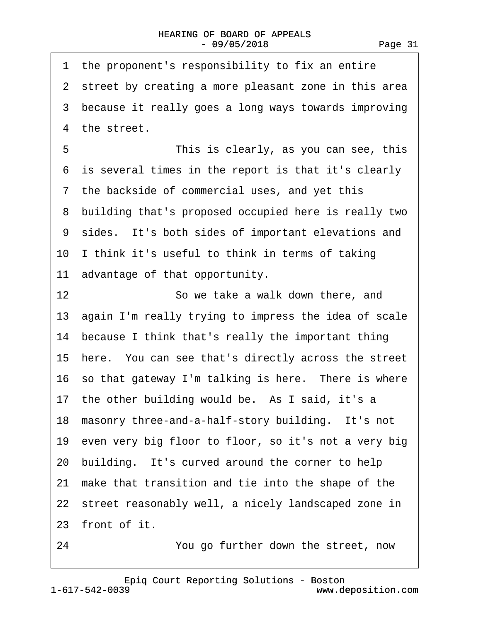1 the proponent's responsibility to fix an entire 2 street by creating a more pleasant zone in this area 3 because it really goes a long ways towards improving 4 the street. 5 This is clearly, as you can see, this ·6· is several times in the report is that it's clearly 7 the backside of commercial uses, and yet this ·8· building that's proposed occupied here is really two 9 sides. It's both sides of important elevations and 10 I think it's useful to think in terms of taking 11 advantage of that opportunity. 12 **· · · · · So we take a walk down there, and** 13 again I'm really trying to impress the idea of scale 14 because I think that's really the important thing 15· here.· You can see that's directly across the street 16 so that gateway I'm talking is here. There is where 17 the other building would be. As I said, it's a 18 masonry three-and-a-half-story building. It's not 19 even very big floor to floor, so it's not a very big 20 building. It's curved around the corner to help 21 make that transition and tie into the shape of the 22 street reasonably well, a nicely landscaped zone in 23 front of it.

24 • **You go further down the street, now**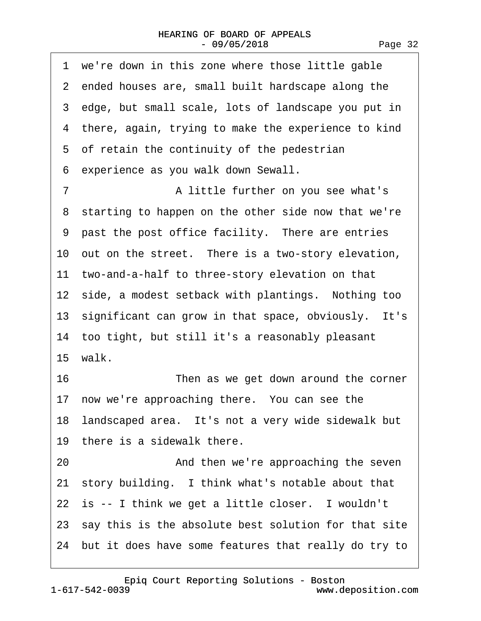| we're down in this zone where those little gable<br>1   |  |
|---------------------------------------------------------|--|
| 2 ended houses are, small built hardscape along the     |  |
| 3 edge, but small scale, lots of landscape you put in   |  |
| 4 there, again, trying to make the experience to kind   |  |
| 5 of retain the continuity of the pedestrian            |  |
| 6 experience as you walk down Sewall.                   |  |
| $\overline{7}$<br>A little further on you see what's    |  |
| 8 starting to happen on the other side now that we're   |  |
| 9 past the post office facility. There are entries      |  |
| 10 out on the street. There is a two-story elevation,   |  |
| 11 two-and-a-half to three-story elevation on that      |  |
| 12 side, a modest setback with plantings. Nothing too   |  |
| 13 significant can grow in that space, obviously. It's  |  |
| 14 too tight, but still it's a reasonably pleasant      |  |
| 15 walk.                                                |  |
| 16<br>Then as we get down around the corner             |  |
| 17 now we're approaching there. You can see the         |  |
| 18 landscaped area. It's not a very wide sidewalk but   |  |
| 19 there is a sidewalk there.                           |  |
| And then we're approaching the seven<br>20              |  |
| 21 story building. I think what's notable about that    |  |
| 22 is -- I think we get a little closer. I wouldn't     |  |
| 23 say this is the absolute best solution for that site |  |
| 24 but it does have some features that really do try to |  |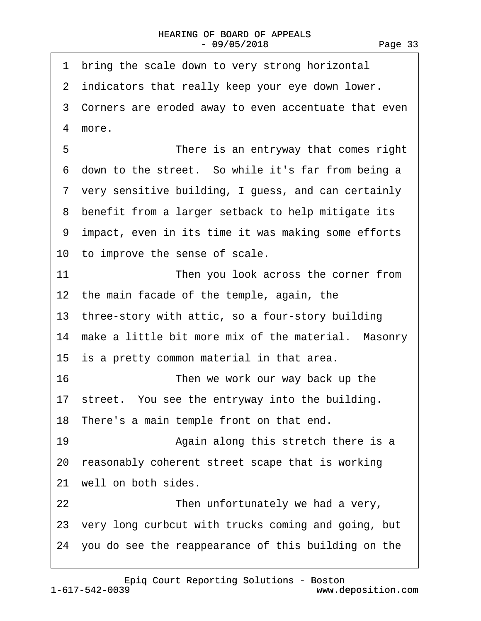1 bring the scale down to very strong horizontal 2 indicators that really keep your eye down lower. 3 Corners are eroded away to even accentuate that even 4 more. 5 **• • • • • • There is an entryway that comes right** 6 down to the street. So while it's far from being a 7 very sensitive building, I guess, and can certainly 8 benefit from a larger setback to help mitigate its 9 impact, even in its time it was making some efforts 10 to improve the sense of scale. 11 Then you look across the corner from 12 the main facade of the temple, again, the 13 three-story with attic, so a four-story building 14 make a little bit more mix of the material. Masonry 15 is a pretty common material in that area. 16 **• Then we work our way back up the** 17 street. You see the entryway into the building. 18 There's a main temple front on that end. 19 • · · · · · Again along this stretch there is a 20 reasonably coherent street scape that is working 21 well on both sides. 22 **• Then unfortunately we had a very,** 23· very long curbcut with trucks coming and going, but 24· you do see the reappearance of this building on the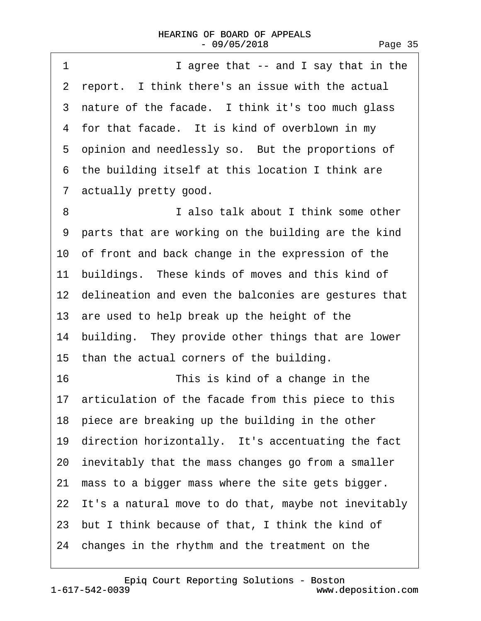| 1<br>I agree that -- and I say that in the              |
|---------------------------------------------------------|
| 2 report. I think there's an issue with the actual      |
| 3 nature of the facade. I think it's too much glass     |
| 4 for that facade. It is kind of overblown in my        |
| 5 opinion and needlessly so. But the proportions of     |
| 6 the building itself at this location I think are      |
| 7 actually pretty good.                                 |
| I also talk about I think some other<br>8               |
| 9 parts that are working on the building are the kind   |
| 10 of front and back change in the expression of the    |
| 11 buildings. These kinds of moves and this kind of     |
| 12 delineation and even the balconies are gestures that |
| 13 are used to help break up the height of the          |
| 14 building. They provide other things that are lower   |
| 15 than the actual corners of the building.             |
| 16<br>This is kind of a change in the                   |
| 17 articulation of the facade from this piece to this   |
| 18 piece are breaking up the building in the other      |
| 19 direction horizontally. It's accentuating the fact   |
| 20 inevitably that the mass changes go from a smaller   |
| 21 mass to a bigger mass where the site gets bigger.    |
| 22 It's a natural move to do that, maybe not inevitably |
| 23 but I think because of that, I think the kind of     |
| 24 changes in the rhythm and the treatment on the       |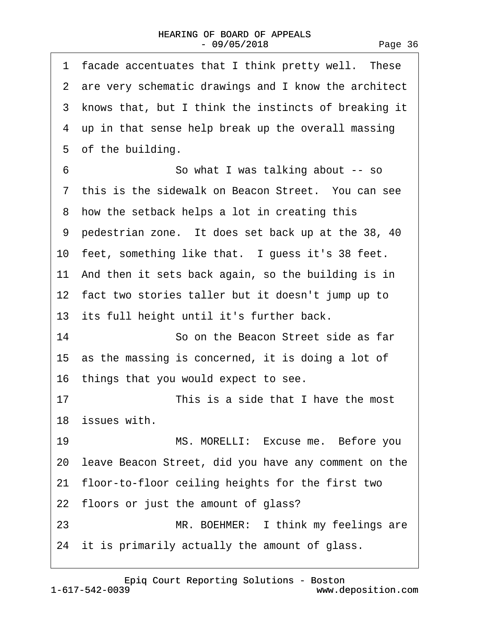| 1 facade accentuates that I think pretty well. These    |
|---------------------------------------------------------|
| 2 are very schematic drawings and I know the architect  |
| 3 knows that, but I think the instincts of breaking it  |
| 4 up in that sense help break up the overall massing    |
| 5 of the building.                                      |
| 6<br>So what I was talking about -- so                  |
| 7 this is the sidewalk on Beacon Street. You can see    |
| 8 how the setback helps a lot in creating this          |
| 9 pedestrian zone. It does set back up at the 38, 40    |
| 10 feet, something like that. I guess it's 38 feet.     |
| 11 And then it sets back again, so the building is in   |
| 12 fact two stories taller but it doesn't jump up to    |
| 13 its full height until it's further back.             |
| 14<br>So on the Beacon Street side as far               |
| 15 as the massing is concerned, it is doing a lot of    |
| 16 things that you would expect to see.                 |
| 17<br>This is a side that I have the most               |
| 18 issues with.                                         |
| MS. MORELLI: Excuse me. Before you<br>19                |
| 20 leave Beacon Street, did you have any comment on the |
| 21 floor-to-floor ceiling heights for the first two     |
| 22 floors or just the amount of glass?                  |
| MR. BOEHMER: I think my feelings are<br>23              |
| 24 it is primarily actually the amount of glass.        |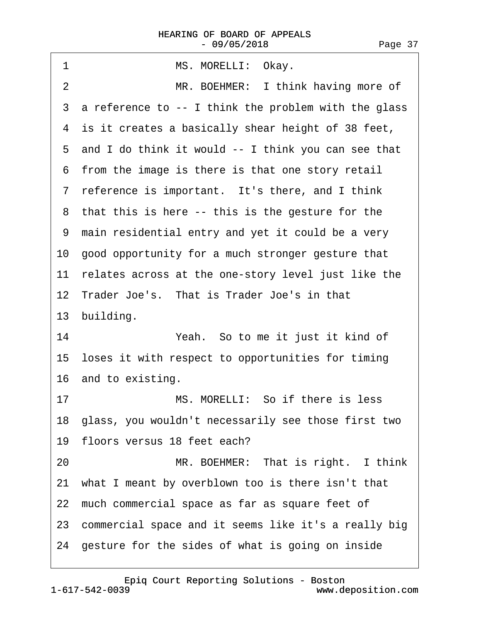| MS. MORELLI: Okay.<br>1                                 |
|---------------------------------------------------------|
| MR. BOEHMER: I think having more of<br>2                |
| 3 a reference to -- I think the problem with the glass  |
| 4 is it creates a basically shear height of 38 feet,    |
| 5 and I do think it would -- I think you can see that   |
| 6 from the image is there is that one story retail      |
| 7 reference is important. It's there, and I think       |
| 8 that this is here -- this is the gesture for the      |
| 9 main residential entry and yet it could be a very     |
| 10 good opportunity for a much stronger gesture that    |
| 11 relates across at the one-story level just like the  |
| 12 Trader Joe's. That is Trader Joe's in that           |
| 13 building.                                            |
| 14<br>Yeah. So to me it just it kind of                 |
| 15 loses it with respect to opportunities for timing    |
| 16 and to existing.                                     |
| MS. MORELLI: So if there is less<br>17                  |
| 18 glass, you wouldn't necessarily see those first two  |
| 19 floors versus 18 feet each?                          |
| MR. BOEHMER: That is right. I think<br>20               |
| 21 what I meant by overblown too is there isn't that    |
| 22 much commercial space as far as square feet of       |
|                                                         |
| 23 commercial space and it seems like it's a really big |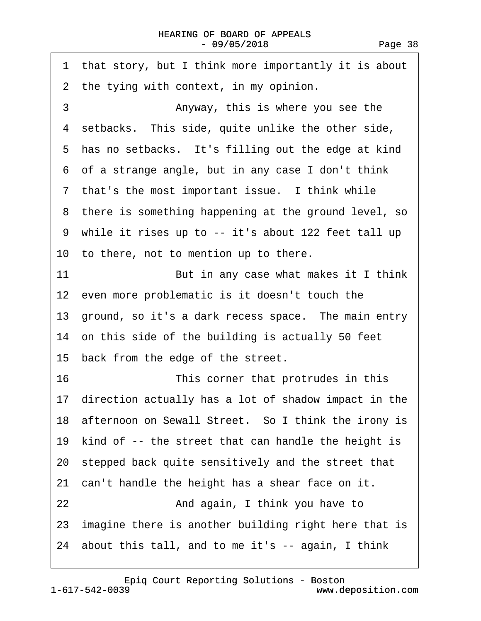| 1 that story, but I think more importantly it is about  |
|---------------------------------------------------------|
| 2 the tying with context, in my opinion.                |
| 3<br>Anyway, this is where you see the                  |
| 4 setbacks. This side, quite unlike the other side,     |
| 5 has no setbacks. It's filling out the edge at kind    |
| 6 of a strange angle, but in any case I don't think     |
| 7 that's the most important issue. I think while        |
| 8 there is something happening at the ground level, so  |
| 9 while it rises up to -- it's about 122 feet tall up   |
| 10 to there, not to mention up to there.                |
| 11<br>But in any case what makes it I think             |
| 12 even more problematic is it doesn't touch the        |
| 13 ground, so it's a dark recess space. The main entry  |
| 14 on this side of the building is actually 50 feet     |
|                                                         |
| 15 back from the edge of the street.                    |
| 16<br>This corner that protrudes in this                |
| 17 direction actually has a lot of shadow impact in the |
| 18 afternoon on Sewall Street. So I think the irony is  |
| 19 kind of -- the street that can handle the height is  |
| 20 stepped back quite sensitively and the street that   |
| 21 can't handle the height has a shear face on it.      |
| 22<br>And again, I think you have to                    |
| 23 imagine there is another building right here that is |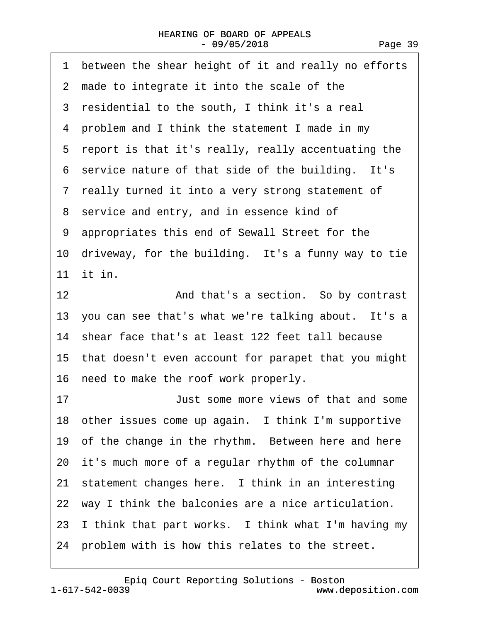| 1 between the shear height of it and really no efforts  |
|---------------------------------------------------------|
| 2 made to integrate it into the scale of the            |
| 3 residential to the south, I think it's a real         |
| 4 problem and I think the statement I made in my        |
| 5 report is that it's really, really accentuating the   |
| 6 service nature of that side of the building. It's     |
| 7 really turned it into a very strong statement of      |
| 8 service and entry, and in essence kind of             |
| 9 appropriates this end of Sewall Street for the        |
| 10 driveway, for the building. It's a funny way to tie  |
| 11 it in.                                               |
| 12<br>And that's a section. So by contrast              |
| 13 you can see that's what we're talking about. It's a  |
| 14 shear face that's at least 122 feet tall because     |
| 15 that doesn't even account for parapet that you might |
| 16 need to make the roof work properly.                 |
| 17<br>Just some more views of that and some             |
| 18 other issues come up again. I think I'm supportive   |
| 19 of the change in the rhythm. Between here and here   |
| 20 it's much more of a regular rhythm of the columnar   |
| 21 statement changes here. I think in an interesting    |
|                                                         |
| 22 way I think the balconies are a nice articulation.   |
| 23 I think that part works. I think what I'm having my  |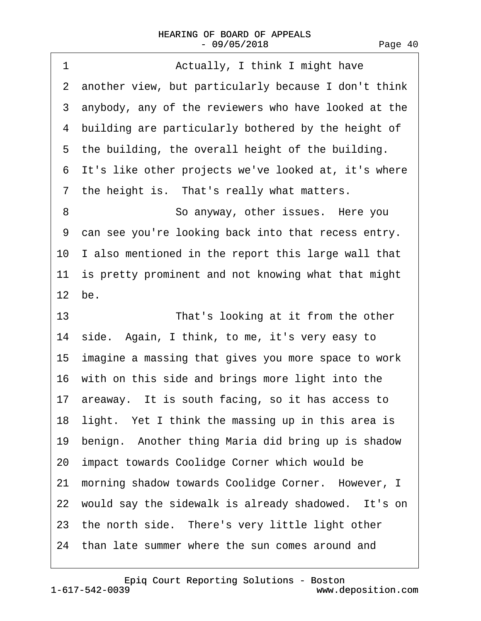| 1  | Actually, I think I might have                         |
|----|--------------------------------------------------------|
|    | 2 another view, but particularly because I don't think |
|    | 3 anybody, any of the reviewers who have looked at the |
|    | 4 building are particularly bothered by the height of  |
|    | 5 the building, the overall height of the building.    |
|    | 6 It's like other projects we've looked at, it's where |
|    | 7 the height is. That's really what matters.           |
| 8  | So anyway, other issues. Here you                      |
| 9  | can see you're looking back into that recess entry.    |
|    | 10 I also mentioned in the report this large wall that |
|    | 11 is pretty prominent and not knowing what that might |
|    | 12 be.                                                 |
| 13 | That's looking at it from the other                    |
|    | 14 side. Again, I think, to me, it's very easy to      |
|    | 15 imagine a massing that gives you more space to work |
|    | 16 with on this side and brings more light into the    |
|    | 17 areaway. It is south facing, so it has access to    |
|    | 18 light. Yet I think the massing up in this area is   |
|    | 19 benign. Another thing Maria did bring up is shadow  |
|    | 20 impact towards Coolidge Corner which would be       |
|    | 21 morning shadow towards Coolidge Corner. However, I  |
|    | 22 would say the sidewalk is already shadowed. It's on |
|    | 23 the north side. There's very little light other     |
|    | 24 than late summer where the sun comes around and     |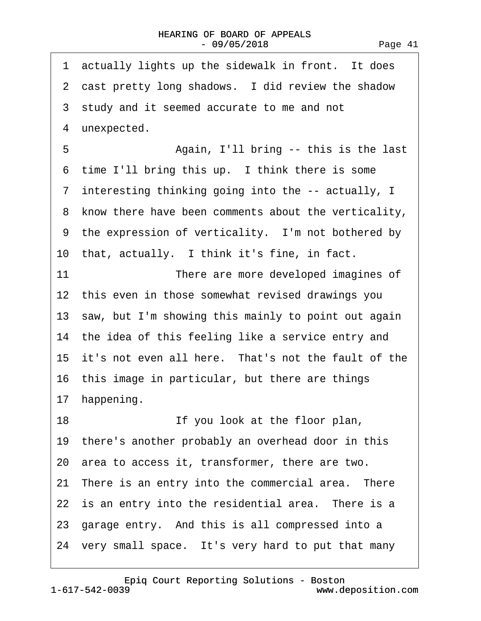| 1 actually lights up the sidewalk in front. It does    |
|--------------------------------------------------------|
| 2 cast pretty long shadows. I did review the shadow    |
| 3 study and it seemed accurate to me and not           |
| 4 unexpected.                                          |
| 5<br>Again, I'll bring -- this is the last             |
| 6 time I'll bring this up. I think there is some       |
| 7 interesting thinking going into the -- actually, I   |
| 8 know there have been comments about the verticality, |
| 9 the expression of verticality. I'm not bothered by   |
| 10 that, actually. I think it's fine, in fact.         |
| 11<br>There are more developed imagines of             |
| 12 this even in those somewhat revised drawings you    |
| 13 saw, but I'm showing this mainly to point out again |
| 14 the idea of this feeling like a service entry and   |
| 15 it's not even all here. That's not the fault of the |
| 16 this image in particular, but there are things      |
| 17 happening.                                          |
| 18<br>If you look at the floor plan,                   |
| 19 there's another probably an overhead door in this   |
| 20 area to access it, transformer, there are two.      |
| 21 There is an entry into the commercial area. There   |
| 22 is an entry into the residential area. There is a   |
| 23 garage entry. And this is all compressed into a     |
| 24 very small space. It's very hard to put that many   |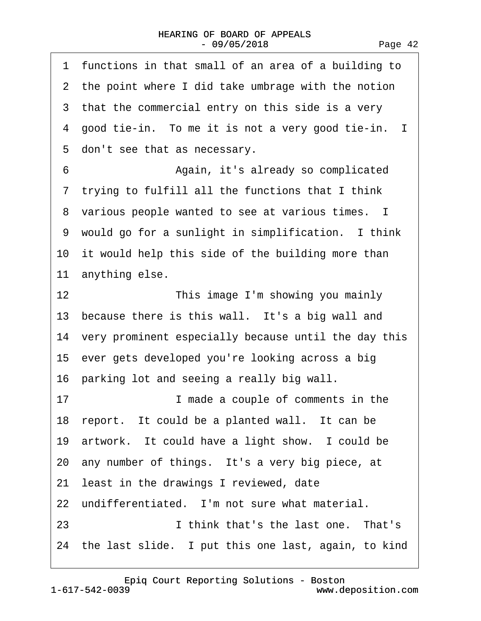| 1 functions in that small of an area of a building to   |
|---------------------------------------------------------|
| 2 the point where I did take umbrage with the notion    |
| 3 that the commercial entry on this side is a very      |
| 4 good tie-in. To me it is not a very good tie-in. I    |
| 5 don't see that as necessary.                          |
| 6<br>Again, it's already so complicated                 |
| 7 trying to fulfill all the functions that I think      |
| 8 various people wanted to see at various times. I      |
| 9 would go for a sunlight in simplification. I think    |
| 10 it would help this side of the building more than    |
| 11 anything else.                                       |
| 12<br>This image I'm showing you mainly                 |
| 13 because there is this wall. It's a big wall and      |
| 14 very prominent especially because until the day this |
| 15 ever gets developed you're looking across a big      |
| 16 parking lot and seeing a really big wall.            |
| 17<br>I made a couple of comments in the                |
| 18 report. It could be a planted wall. It can be        |
| 19 artwork. It could have a light show. I could be      |
| 20 any number of things. It's a very big piece, at      |
| 21 least in the drawings I reviewed, date               |
| 22 undifferentiated. I'm not sure what material.        |
| I think that's the last one. That's<br>23               |
| 24 the last slide. I put this one last, again, to kind  |

[Epiq Court Reporting Solutions - Boston](http://www.deposition.com)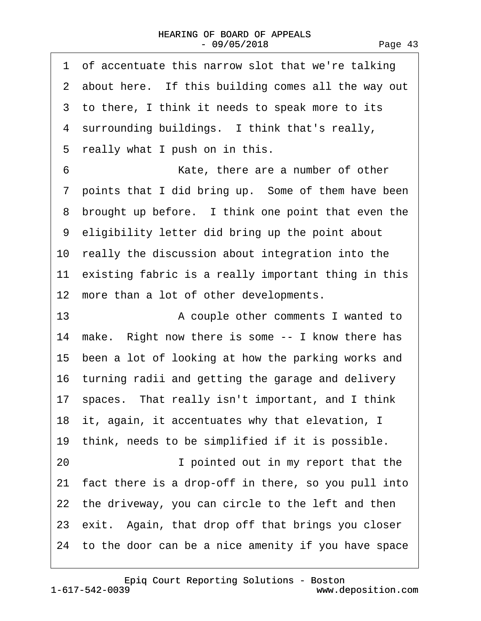| 1 of accentuate this narrow slot that we're talking    |
|--------------------------------------------------------|
| 2 about here. If this building comes all the way out   |
| 3 to there, I think it needs to speak more to its      |
| 4 surrounding buildings. I think that's really,        |
| 5 really what I push on in this.                       |
| 6<br>Kate, there are a number of other                 |
| 7 points that I did bring up. Some of them have been   |
| 8 brought up before. I think one point that even the   |
| 9 eligibility letter did bring up the point about      |
| 10 really the discussion about integration into the    |
| 11 existing fabric is a really important thing in this |
| 12 more than a lot of other developments.              |
| 13<br>A couple other comments I wanted to              |
| 14 make. Right now there is some -- I know there has   |
| 15 been a lot of looking at how the parking works and  |
| 16 turning radii and getting the garage and delivery   |
| 17 spaces. That really isn't important, and I think    |
| 18 it, again, it accentuates why that elevation, I     |
| 19 think, needs to be simplified if it is possible.    |
| 20<br>I pointed out in my report that the              |
| 21 fact there is a drop-off in there, so you pull into |
| 22 the driveway, you can circle to the left and then   |
| 23 exit. Again, that drop off that brings you closer   |
| 24 to the door can be a nice amenity if you have space |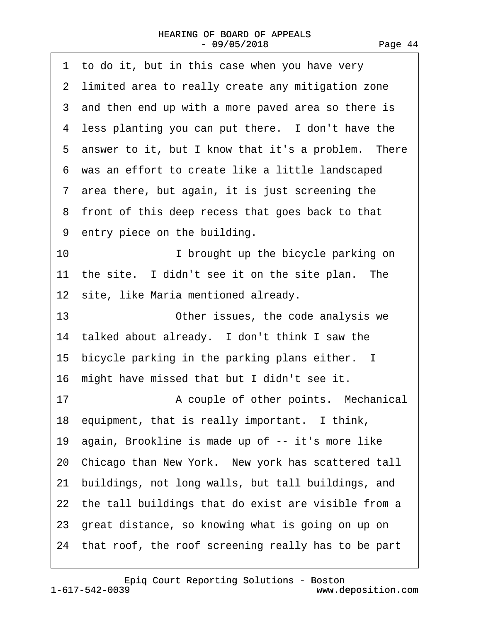| 1 to do it, but in this case when you have very        |
|--------------------------------------------------------|
| 2 limited area to really create any mitigation zone    |
| 3 and then end up with a more paved area so there is   |
| 4 less planting you can put there. I don't have the    |
| 5 answer to it, but I know that it's a problem. There  |
| 6 was an effort to create like a little landscaped     |
| 7 area there, but again, it is just screening the      |
| 8 front of this deep recess that goes back to that     |
| 9 entry piece on the building.                         |
| 10<br>I brought up the bicycle parking on              |
| 11 the site. I didn't see it on the site plan. The     |
| 12 site, like Maria mentioned already.                 |
| 13<br>Other issues, the code analysis we               |
| 14 talked about already. I don't think I saw the       |
| 15 bicycle parking in the parking plans either. I      |
| 16 might have missed that but I didn't see it.         |
| 17<br>A couple of other points. Mechanical             |
| 18 equipment, that is really important. I think,       |
| 19 again, Brookline is made up of -- it's more like    |
| 20 Chicago than New York. New york has scattered tall  |
| 21 buildings, not long walls, but tall buildings, and  |
| 22 the tall buildings that do exist are visible from a |
| 23 great distance, so knowing what is going on up on   |
| 24 that roof, the roof screening really has to be part |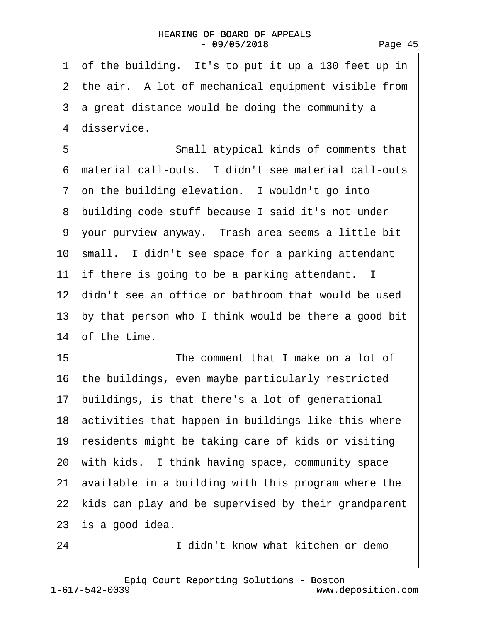| 1 of the building. It's to put it up a 130 feet up in   |
|---------------------------------------------------------|
| 2 the air. A lot of mechanical equipment visible from   |
| 3 a great distance would be doing the community a       |
| 4 disservice.                                           |
| 5<br>Small atypical kinds of comments that              |
| 6 material call-outs. I didn't see material call-outs   |
| 7 on the building elevation. I wouldn't go into         |
| 8 building code stuff because I said it's not under     |
| 9 your purview anyway. Trash area seems a little bit    |
| 10 small. I didn't see space for a parking attendant    |
| 11 if there is going to be a parking attendant. I       |
| 12 didn't see an office or bathroom that would be used  |
| 13 by that person who I think would be there a good bit |
| 14 of the time.                                         |
| 15<br>The comment that I make on a lot of               |
| 16 the buildings, even maybe particularly restricted    |
| 17 buildings, is that there's a lot of generational     |
| 18 activities that happen in buildings like this where  |
| 19 residents might be taking care of kids or visiting   |
| 20 with kids. I think having space, community space     |
| 21 available in a building with this program where the  |
| 22 kids can play and be supervised by their grandparent |
| 23 is a good idea.                                      |
| 24<br>I didn't know what kitchen or demo                |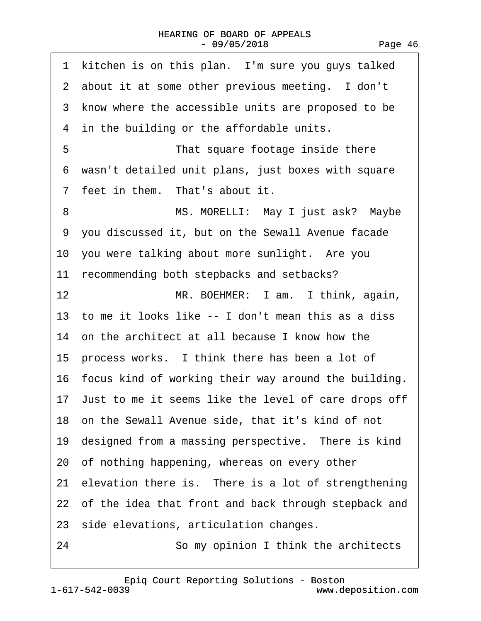| 1<br>kitchen is on this plan. I'm sure you guys talked  |
|---------------------------------------------------------|
| 2 about it at some other previous meeting. I don't      |
| 3 know where the accessible units are proposed to be    |
| 4 in the building or the affordable units.              |
| 5<br>That square footage inside there                   |
| 6 wasn't detailed unit plans, just boxes with square    |
| 7 feet in them. That's about it.                        |
| MS. MORELLI: May I just ask? Maybe<br>8                 |
| 9 you discussed it, but on the Sewall Avenue facade     |
| 10 you were talking about more sunlight. Are you        |
| 11 recommending both stepbacks and setbacks?            |
| 12<br>MR. BOEHMER: I am. I think, again,                |
| 13 to me it looks like -- I don't mean this as a diss   |
| 14 on the architect at all because I know how the       |
| 15 process works. I think there has been a lot of       |
| 16 focus kind of working their way around the building. |
| 17 Just to me it seems like the level of care drops off |
| 18 on the Sewall Avenue side, that it's kind of not     |
| 19 designed from a massing perspective. There is kind   |
| 20 of nothing happening, whereas on every other         |
| 21 elevation there is. There is a lot of strengthening  |
| 22 of the idea that front and back through stepback and |
| 23 side elevations, articulation changes.               |
| So my opinion I think the architects<br>24              |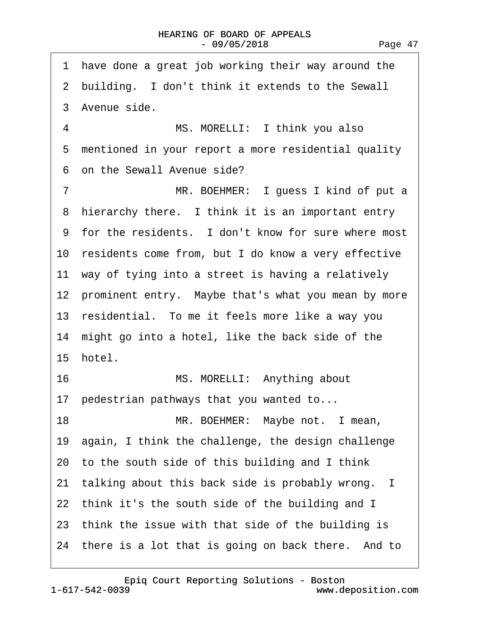| have done a great job working their way around the<br>1 |
|---------------------------------------------------------|
| 2 building. I don't think it extends to the Sewall      |
| 3 Avenue side.                                          |
| MS. MORELLI: I think you also<br>4                      |
| 5 mentioned in your report a more residential quality   |
| 6 on the Sewall Avenue side?                            |
| $\overline{7}$<br>MR. BOEHMER: I guess I kind of put a  |
| 8 hierarchy there. I think it is an important entry     |
| 9 for the residents. I don't know for sure where most   |
| 10 residents come from, but I do know a very effective  |
| 11 way of tying into a street is having a relatively    |
| 12 prominent entry. Maybe that's what you mean by more  |
| 13 residential. To me it feels more like a way you      |
| 14 might go into a hotel, like the back side of the     |
| 15 hotel.                                               |
| 16<br>MS. MORELLI: Anything about                       |
| 17 pedestrian pathways that you wanted to               |
| 18<br>MR. BOEHMER: Maybe not. I mean,                   |
| 19 again, I think the challenge, the design challenge   |
| 20 to the south side of this building and I think       |
| 21 talking about this back side is probably wrong. I    |
| 22 think it's the south side of the building and I      |
| 23 think the issue with that side of the building is    |
| 24 there is a lot that is going on back there. And to   |
|                                                         |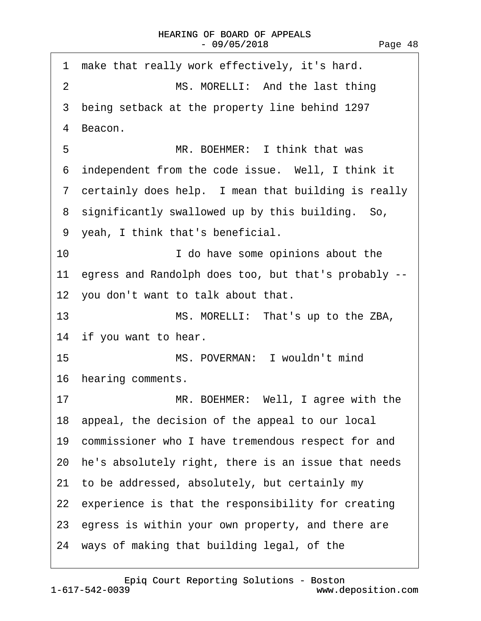| 1 make that really work effectively, it's hard.         |
|---------------------------------------------------------|
| $\overline{2}$<br>MS. MORELLI: And the last thing       |
| 3 being setback at the property line behind 1297        |
| 4 Beacon.                                               |
| 5<br>MR. BOEHMER: I think that was                      |
| 6 independent from the code issue. Well, I think it     |
| 7 certainly does help. I mean that building is really   |
| 8 significantly swallowed up by this building. So,      |
| 9 yeah, I think that's beneficial.                      |
| 10<br>I do have some opinions about the                 |
| 11 egress and Randolph does too, but that's probably -- |
| 12 you don't want to talk about that.                   |
| 13<br>MS. MORELLI: That's up to the ZBA,                |
| 14 if you want to hear.                                 |
| 15<br>MS. POVERMAN: I wouldn't mind                     |
| 16 hearing comments.                                    |
| MR. BOEHMER: Well, I agree with the<br>17               |
| 18 appeal, the decision of the appeal to our local      |
| 19 commissioner who I have tremendous respect for and   |
| 20 he's absolutely right, there is an issue that needs  |
| 21 to be addressed, absolutely, but certainly my        |
| 22 experience is that the responsibility for creating   |
| 23 egress is within your own property, and there are    |
| 24 ways of making that building legal, of the           |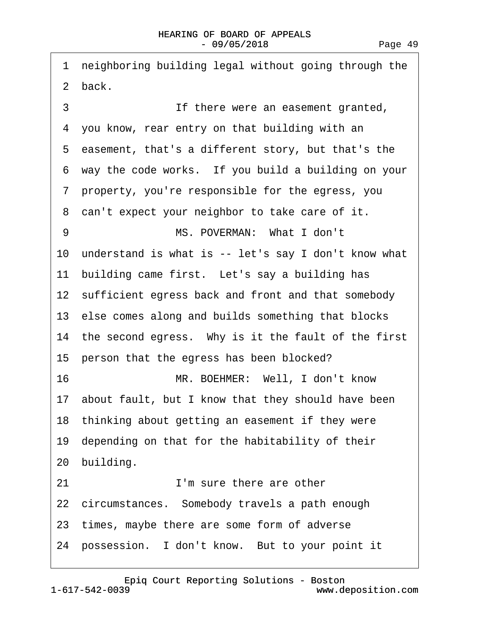1 neighboring building legal without going through the 2 back. 3 **If there were an easement granted,** 4 you know, rear entry on that building with an ·5· easement, that's a different story, but that's the 6 way the code works. If you build a building on your ·7· property, you're responsible for the egress, you 8 can't expect your neighbor to take care of it. 9 MS. POVERMAN: What I don't 10 understand is what is -- let's say I don't know what 11 building came first. Let's say a building has 12 sufficient egress back and front and that somebody 13· else comes along and builds something that blocks 14 the second egress. Why is it the fault of the first 15 person that the egress has been blocked? 16· · · · · · · · ·MR. BOEHMER:· Well, I don't know 17· about fault, but I know that they should have been 18 thinking about getting an easement if they were 19 depending on that for the habitability of their 20 building. 21 **I'm sure there are other** 22 circumstances. Somebody travels a path enough 23 times, maybe there are some form of adverse 24 possession. I don't know. But to your point it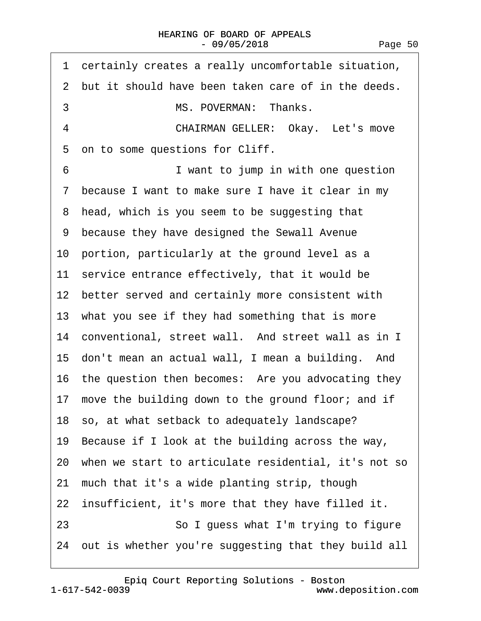|    | 1 certainly creates a really uncomfortable situation,   |
|----|---------------------------------------------------------|
|    | 2 but it should have been taken care of in the deeds.   |
| 3  | MS. POVERMAN: Thanks.                                   |
| 4  | <b>CHAIRMAN GELLER: Okay. Let's move</b>                |
|    | 5 on to some questions for Cliff.                       |
| 6  | I want to jump in with one question                     |
|    | 7 because I want to make sure I have it clear in my     |
|    | 8 head, which is you seem to be suggesting that         |
|    | 9 because they have designed the Sewall Avenue          |
|    | 10 portion, particularly at the ground level as a       |
|    | 11 service entrance effectively, that it would be       |
|    | 12 better served and certainly more consistent with     |
|    | 13 what you see if they had something that is more      |
|    | 14 conventional, street wall. And street wall as in I   |
|    | 15 don't mean an actual wall, I mean a building. And    |
|    | 16 the question then becomes: Are you advocating they   |
|    | 17 move the building down to the ground floor; and if   |
|    | 18 so, at what setback to adequately landscape?         |
|    | 19 Because if I look at the building across the way,    |
|    | 20 when we start to articulate residential, it's not so |
| 21 | much that it's a wide planting strip, though            |
|    | 22 insufficient, it's more that they have filled it.    |
| 23 | So I guess what I'm trying to figure                    |
|    | 24 out is whether you're suggesting that they build all |
|    |                                                         |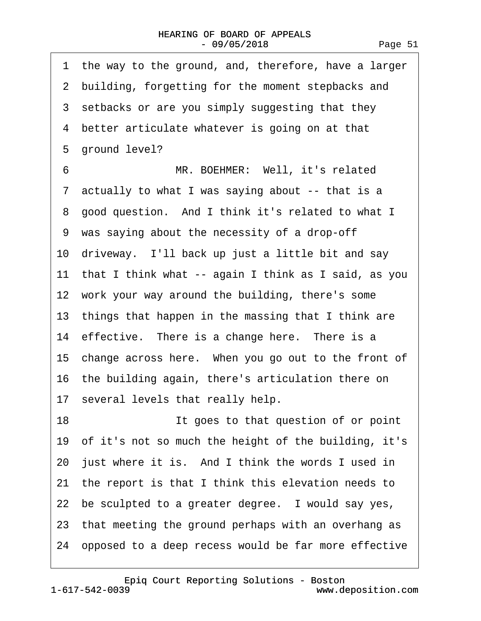·1· the way to the ground, and, therefore, have a larger 2 building, forgetting for the moment stepbacks and 3 setbacks or are you simply suggesting that they 4 better articulate whatever is going on at that 5 ground level? 6 **MR. BOEHMER: Well, it's related** ·7· actually to what I was saying about -- that is a 8 good question. And I think it's related to what I ·9· was saying about the necessity of a drop-off 10 driveway. I'll back up just a little bit and say 11 that I think what -- again I think as I said, as you 12 work your way around the building, there's some 13 things that happen in the massing that I think are 14 effective. There is a change here. There is a 15 change across here. When you go out to the front of 16· the building again, there's articulation there on 17 several levels that really help. 18 **If goes to that question of or point** 19· of it's not so much the height of the building, it's 20 just where it is. And I think the words I used in 21· the report is that I think this elevation needs to 22 be sculpted to a greater degree. I would say yes, 23 that meeting the ground perhaps with an overhang as 24· opposed to a deep recess would be far more effective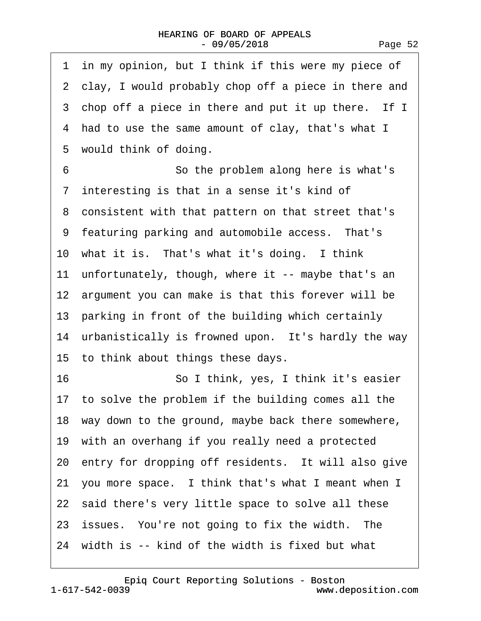| 1 in my opinion, but I think if this were my piece of  |
|--------------------------------------------------------|
| 2 clay, I would probably chop off a piece in there and |
| 3 chop off a piece in there and put it up there. If I  |
| 4 had to use the same amount of clay, that's what I    |
| 5 would think of doing.                                |
| 6<br>So the problem along here is what's               |
| 7 interesting is that in a sense it's kind of          |
| 8 consistent with that pattern on that street that's   |
| 9 featuring parking and automobile access. That's      |
| 10 what it is. That's what it's doing. I think         |
| 11 unfortunately, though, where it -- maybe that's an  |
| 12 argument you can make is that this forever will be  |
| 13 parking in front of the building which certainly    |
| 14 urbanistically is frowned upon. It's hardly the way |
| 15 to think about things these days.                   |
| 16<br>So I think, yes, I think it's easier             |
| 17 to solve the problem if the building comes all the  |
| 18 way down to the ground, maybe back there somewhere, |
| 19 with an overhang if you really need a protected     |
| 20 entry for dropping off residents. It will also give |
| 21 you more space. I think that's what I meant when I  |
| 22 said there's very little space to solve all these   |
| 23 issues. You're not going to fix the width. The      |
| 24 width is -- kind of the width is fixed but what     |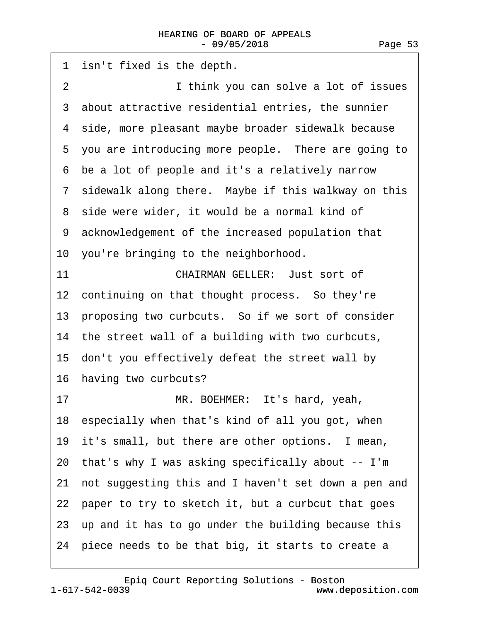1 isn't fixed is the depth. 2 **I** think you can solve a lot of issues 3 about attractive residential entries, the sunnier 4 side, more pleasant maybe broader sidewalk because 5 you are introducing more people. There are going to ·6· be a lot of people and it's a relatively narrow 7 sidewalk along there. Maybe if this walkway on this 8 side were wider, it would be a normal kind of ·9· acknowledgement of the increased population that 10 you're bringing to the neighborhood. 11 **CHAIRMAN GELLER: Just sort of** 12 continuing on that thought process. So they're 13 proposing two curbcuts. So if we sort of consider 14 the street wall of a building with two curbcuts, 15 don't you effectively defeat the street wall by 16 having two curbcuts? 17 MR. BOEHMER: It's hard, yeah, 18· especially when that's kind of all you got, when 19 it's small, but there are other options. I mean, 20· that's why I was asking specifically about -- I'm 21 not suggesting this and I haven't set down a pen and 22 paper to try to sketch it, but a curbcut that goes 23 up and it has to go under the building because this 24· piece needs to be that big, it starts to create a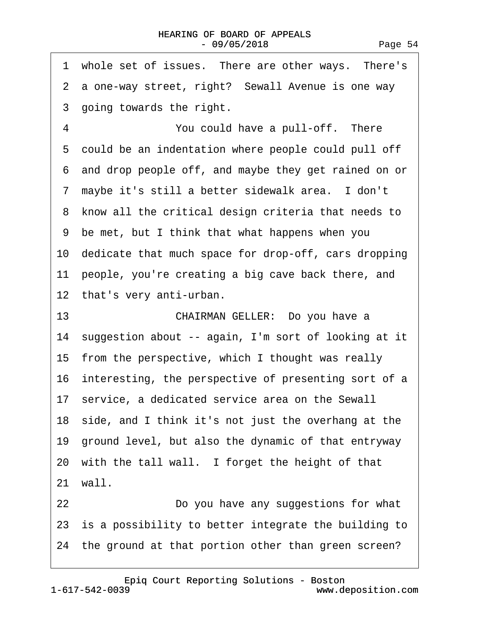| whole set of issues. There are other ways. There's<br>1 |
|---------------------------------------------------------|
| 2 a one-way street, right? Sewall Avenue is one way     |
| 3 going towards the right.                              |
| $\overline{4}$<br>You could have a pull-off. There      |
| 5 could be an indentation where people could pull off   |
| 6 and drop people off, and maybe they get rained on or  |
| 7 maybe it's still a better sidewalk area. I don't      |
| 8 know all the critical design criteria that needs to   |
| 9 be met, but I think that what happens when you        |
| 10 dedicate that much space for drop-off, cars dropping |
| 11 people, you're creating a big cave back there, and   |
| 12 that's very anti-urban.                              |
| CHAIRMAN GELLER: Do you have a<br>13                    |
| 14 suggestion about -- again, I'm sort of looking at it |
| 15 from the perspective, which I thought was really     |
| 16 interesting, the perspective of presenting sort of a |
| 17 service, a dedicated service area on the Sewall      |
| 18 side, and I think it's not just the overhang at the  |
| 19 ground level, but also the dynamic of that entryway  |
| 20 with the tall wall. I forget the height of that      |
| 21 wall.                                                |
| 22<br>Do you have any suggestions for what              |
| 23 is a possibility to better integrate the building to |
| 24 the ground at that portion other than green screen?  |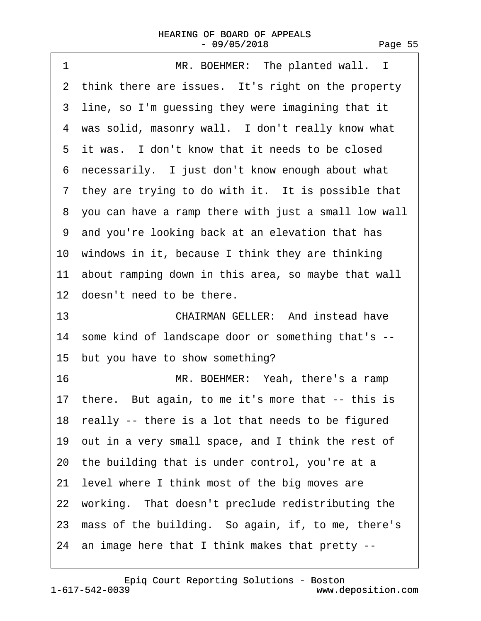| 1<br>MR. BOEHMER: The planted wall. I                  |
|--------------------------------------------------------|
| 2 think there are issues. It's right on the property   |
| 3 line, so I'm guessing they were imagining that it    |
| 4 was solid, masonry wall. I don't really know what    |
| 5 it was. I don't know that it needs to be closed      |
| 6 necessarily. I just don't know enough about what     |
| 7 they are trying to do with it. It is possible that   |
| 8 you can have a ramp there with just a small low wall |
| 9 and you're looking back at an elevation that has     |
| 10 windows in it, because I think they are thinking    |
| 11 about ramping down in this area, so maybe that wall |
| 12 doesn't need to be there.                           |
| <b>CHAIRMAN GELLER: And instead have</b><br>13         |
| 14 some kind of landscape door or something that's --  |
| 15 but you have to show something?                     |
| 16<br>MR. BOEHMER: Yeah, there's a ramp                |
| 17 there. But again, to me it's more that -- this is   |
| 18 really -- there is a lot that needs to be figured   |
| 19 out in a very small space, and I think the rest of  |
| 20 the building that is under control, you're at a     |
| 21 level where I think most of the big moves are       |
| 22 working. That doesn't preclude redistributing the   |
| 23 mass of the building. So again, if, to me, there's  |
| 24 an image here that I think makes that pretty --     |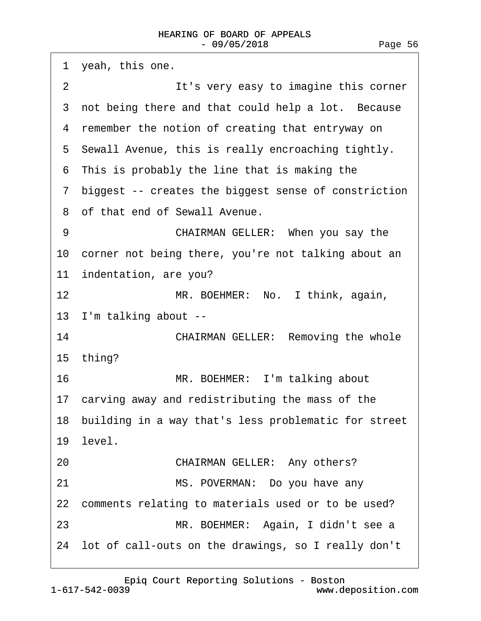1 yeah, this one. 2 **It's very easy to imagine this corner** 3 not being there and that could help a lot. Because 4 remember the notion of creating that entryway on 5 Sewall Avenue, this is really encroaching tightly. ·6· This is probably the line that is making the ·7· biggest -- creates the biggest sense of constriction 8 of that end of Sewall Avenue. 9 **CHAIRMAN GELLER: When you say the** 10 corner not being there, you're not talking about an 11 indentation, are you? 12 MR. BOEHMER: No. I think, again, 13 I'm talking about --14 **CHAIRMAN GELLER: Removing the whole** 15· thing? 16 MR. BOEHMER: I'm talking about 17 carving away and redistributing the mass of the 18 building in a way that's less problematic for street 19 level. 20 **CHAIRMAN GELLER: Any others?** 21 MS. POVERMAN: Do you have any 22 comments relating to materials used or to be used? 23 · · · · · · MR. BOEHMER: Again, I didn't see a 24· lot of call-outs on the drawings, so I really don't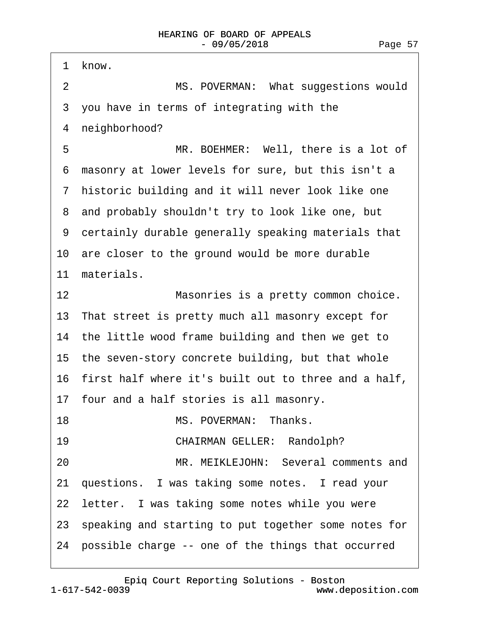1 know.

2 MS. POVERMAN: What suggestions would ·3· you have in terms of integrating with the 4 neighborhood? 5 MR. BOEHMER: Well, there is a lot of ·6· masonry at lower levels for sure, but this isn't a 7 historic building and it will never look like one 8 and probably shouldn't try to look like one, but ·9· certainly durable generally speaking materials that 10 are closer to the ground would be more durable 11 materials. 12 **In the Sepandian Masonries is a pretty common choice.** 13 That street is pretty much all masonry except for 14 the little wood frame building and then we get to 15 the seven-story concrete building, but that whole 16· first half where it's built out to three and a half, 17· four and a half stories is all masonry. 18 **MS. POVERMAN: Thanks.** 19 **CHAIRMAN GELLER: Randolph?** 20 MR. MEIKLEJOHN: Several comments and 21· questions.· I was taking some notes.· I read your 22 letter. I was taking some notes while you were 23· speaking and starting to put together some notes for 24· possible charge -- one of the things that occurred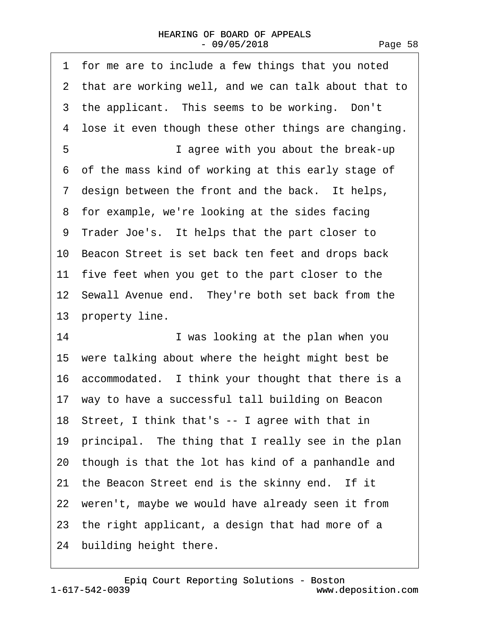| for me are to include a few things that you noted<br>1 |
|--------------------------------------------------------|
| 2 that are working well, and we can talk about that to |
| 3 the applicant. This seems to be working. Don't       |
| 4 lose it even though these other things are changing. |
| 5<br>I agree with you about the break-up               |
| 6 of the mass kind of working at this early stage of   |
| 7 design between the front and the back. It helps,     |
| 8 for example, we're looking at the sides facing       |
| 9 Trader Joe's. It helps that the part closer to       |
| 10 Beacon Street is set back ten feet and drops back   |
| 11 five feet when you get to the part closer to the    |
| 12 Sewall Avenue end. They're both set back from the   |
| 13 property line.                                      |
|                                                        |
| 14<br>I was looking at the plan when you               |
| 15 were talking about where the height might best be   |
| 16 accommodated. I think your thought that there is a  |
| 17 way to have a successful tall building on Beacon    |
| 18 Street, I think that's -- I agree with that in      |
| 19 principal. The thing that I really see in the plan  |
| 20 though is that the lot has kind of a panhandle and  |
| 21 the Beacon Street end is the skinny end. If it      |
| 22 weren't, maybe we would have already seen it from   |
| 23 the right applicant, a design that had more of a    |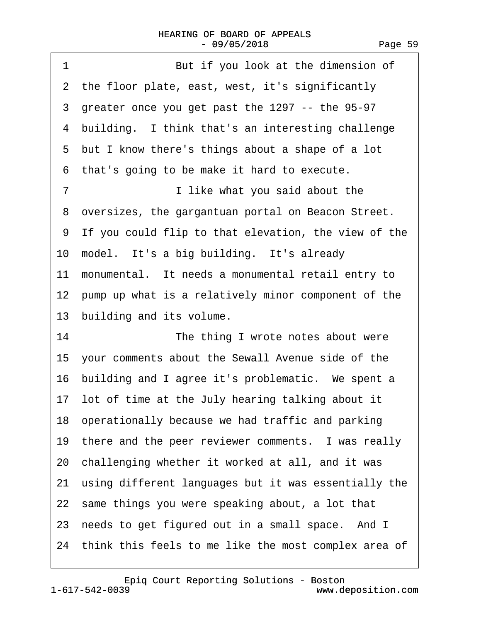| 1<br>But if you look at the dimension of                |
|---------------------------------------------------------|
| 2 the floor plate, east, west, it's significantly       |
| 3 greater once you get past the 1297 -- the 95-97       |
| 4 building. I think that's an interesting challenge     |
| 5 but I know there's things about a shape of a lot      |
| that's going to be make it hard to execute.<br>6        |
| I like what you said about the<br>7                     |
| 8 oversizes, the gargantuan portal on Beacon Street.    |
| 9 If you could flip to that elevation, the view of the  |
| 10 model. It's a big building. It's already             |
| 11 monumental. It needs a monumental retail entry to    |
| 12 pump up what is a relatively minor component of the  |
| 13 building and its volume.                             |
| 14<br>The thing I wrote notes about were                |
| 15 your comments about the Sewall Avenue side of the    |
| 16 building and I agree it's problematic. We spent a    |
| 17 lot of time at the July hearing talking about it     |
| 18 operationally because we had traffic and parking     |
| 19 there and the peer reviewer comments. I was really   |
| 20 challenging whether it worked at all, and it was     |
| 21 using different languages but it was essentially the |
| 22 same things you were speaking about, a lot that      |
| 23 needs to get figured out in a small space. And I     |
| 24 think this feels to me like the most complex area of |
|                                                         |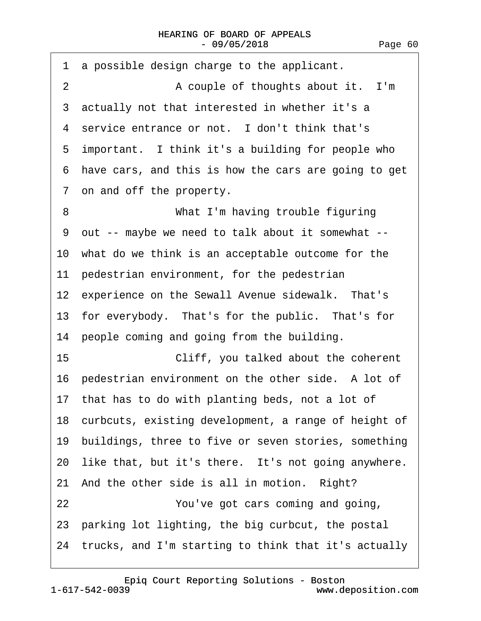·1· a possible design charge to the applicant. 2 A couple of thoughts about it. I'm 3 actually not that interested in whether it's a 4 service entrance or not. I don't think that's 5 important. I think it's a building for people who ·6· have cars, and this is how the cars are going to get ·7· on and off the property. 8 **What I'm having trouble figuring** ·9· out -- maybe we need to talk about it somewhat -- 10 what do we think is an acceptable outcome for the 11 pedestrian environment, for the pedestrian 12 experience on the Sewall Avenue sidewalk. That's 13 for everybody. That's for the public. That's for 14 people coming and going from the building. 15 **• Cliff, you talked about the coherent** 16 pedestrian environment on the other side. A lot of 17 that has to do with planting beds, not a lot of 18 curbcuts, existing development, a range of height of 19 buildings, three to five or seven stories, something 20 like that, but it's there. It's not going anywhere. 21 And the other side is all in motion. Right? 22 *Proving 22* **Providing 22** *Proving and going,* 23· parking lot lighting, the big curbcut, the postal 24· trucks, and I'm starting to think that it's actually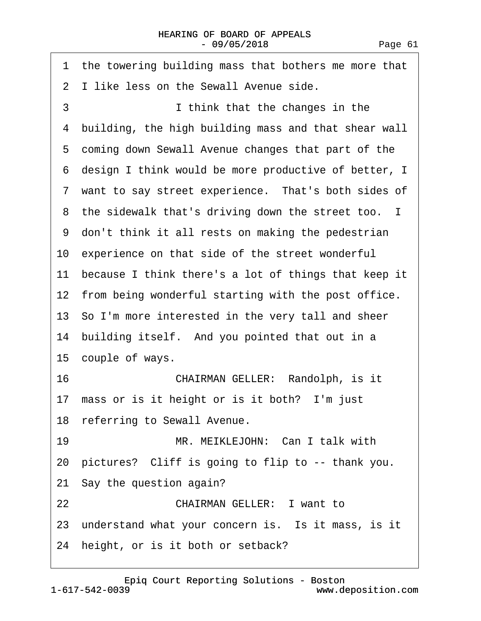| 1 the towering building mass that bothers me more that  |
|---------------------------------------------------------|
| 2 I like less on the Sewall Avenue side.                |
| 3<br>I think that the changes in the                    |
| 4 building, the high building mass and that shear wall  |
| 5 coming down Sewall Avenue changes that part of the    |
| 6 design I think would be more productive of better, I  |
| 7 want to say street experience. That's both sides of   |
| 8 the sidewalk that's driving down the street too. I    |
| 9 don't think it all rests on making the pedestrian     |
| 10 experience on that side of the street wonderful      |
| 11 because I think there's a lot of things that keep it |
| 12 from being wonderful starting with the post office.  |
| 13 So I'm more interested in the very tall and sheer    |
| 14 building itself. And you pointed that out in a       |
| 15 couple of ways.                                      |
| CHAIRMAN GELLER: Randolph, is it<br>16                  |
| 17 mass or is it height or is it both? I'm just         |
| 18 referring to Sewall Avenue.                          |
| 19<br>MR. MEIKLEJOHN: Can I talk with                   |
| 20 pictures? Cliff is going to flip to -- thank you.    |
| 21 Say the question again?                              |
| <b>CHAIRMAN GELLER: I want to</b><br>22                 |
| 23 understand what your concern is. Is it mass, is it   |
| 24 height, or is it both or setback?                    |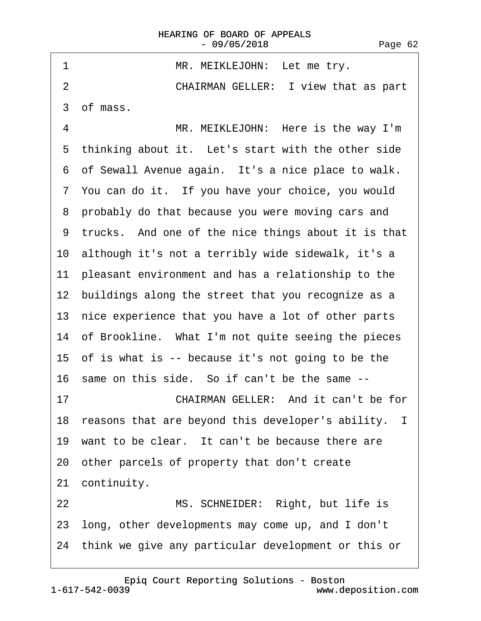1 MR. MEIKLEJOHN: Let me try. 2 **CHAIRMAN GELLER:** I view that as part ·3· of mass. 4 MR. MEIKLEJOHN: Here is the way I'm 5 thinking about it. Let's start with the other side 6 of Sewall Avenue again. It's a nice place to walk. ·7· You can do it.· If you have your choice, you would 8 probably do that because you were moving cars and ·9· trucks.· And one of the nice things about it is that 10· although it's not a terribly wide sidewalk, it's a 11 pleasant environment and has a relationship to the 12 buildings along the street that you recognize as a 13 nice experience that you have a lot of other parts 14 of Brookline. What I'm not quite seeing the pieces 15 of is what is -- because it's not going to be the 16 same on this side. So if can't be the same --17 **CHAIRMAN GELLER:** And it can't be for 18 reasons that are beyond this developer's ability. I 19 want to be clear. It can't be because there are 20· other parcels of property that don't create 21 continuity. 22 MS. SCHNEIDER: Right, but life is 23· long, other developments may come up, and I don't 24· think we give any particular development or this or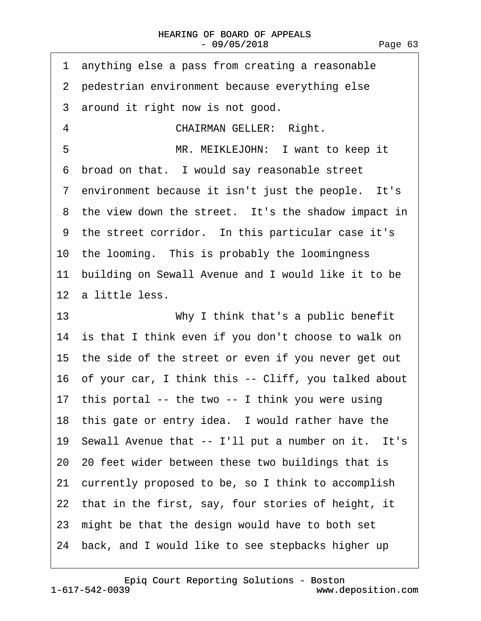| 1 anything else a pass from creating a reasonable       |
|---------------------------------------------------------|
| 2 pedestrian environment because everything else        |
| 3 around it right now is not good.                      |
| <b>CHAIRMAN GELLER: Right.</b><br>4                     |
| 5<br>MR. MEIKLEJOHN: I want to keep it                  |
| 6 broad on that. I would say reasonable street          |
| 7 environment because it isn't just the people. It's    |
| 8 the view down the street. It's the shadow impact in   |
| 9 the street corridor. In this particular case it's     |
| 10 the looming. This is probably the loomingness        |
| 11 building on Sewall Avenue and I would like it to be  |
| 12 a little less.                                       |
| 13<br>Why I think that's a public benefit               |
| 14 is that I think even if you don't choose to walk on  |
| 15 the side of the street or even if you never get out  |
| 16 of your car, I think this -- Cliff, you talked about |
|                                                         |
| 17 this portal -- the two -- I think you were using     |
| 18 this gate or entry idea. I would rather have the     |
| 19 Sewall Avenue that -- I'll put a number on it. It's  |
| 20 20 feet wider between these two buildings that is    |
| 21 currently proposed to be, so I think to accomplish   |
| 22 that in the first, say, four stories of height, it   |
| 23 might be that the design would have to both set      |

1-617-542-0039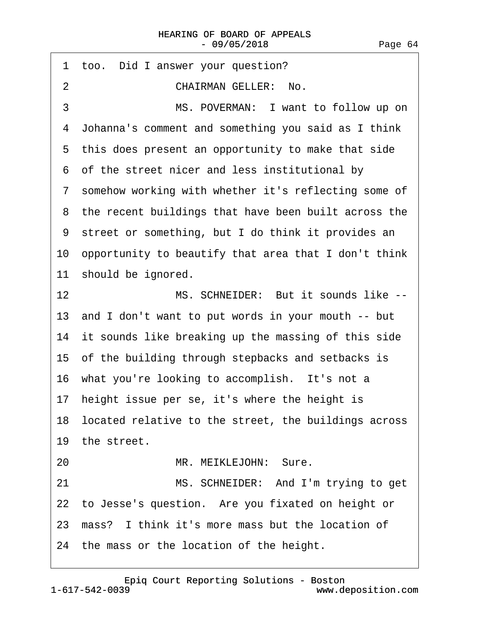| 1 too. Did I answer your question?                      |
|---------------------------------------------------------|
| <b>CHAIRMAN GELLER: No.</b><br>2                        |
| MS. POVERMAN: I want to follow up on<br>3               |
| 4 Johanna's comment and something you said as I think   |
| 5 this does present an opportunity to make that side    |
| 6 of the street nicer and less institutional by         |
| 7 somehow working with whether it's reflecting some of  |
| 8 the recent buildings that have been built across the  |
| 9 street or something, but I do think it provides an    |
| 10 opportunity to beautify that area that I don't think |
| 11 should be ignored.                                   |
| MS. SCHNEIDER: But it sounds like --<br>12              |
| 13 and I don't want to put words in your mouth -- but   |
| 14 it sounds like breaking up the massing of this side  |
| 15 of the building through stepbacks and setbacks is    |
| 16 what you're looking to accomplish. It's not a        |
| 17 height issue per se, it's where the height is        |
| 18 located relative to the street, the buildings across |
| 19 the street.                                          |
| MR. MEIKLEJOHN: Sure.<br>20                             |
| 21<br>MS. SCHNEIDER: And I'm trying to get              |
| 22 to Jesse's question. Are you fixated on height or    |
| 23 mass? I think it's more mass but the location of     |
| 24 the mass or the location of the height.              |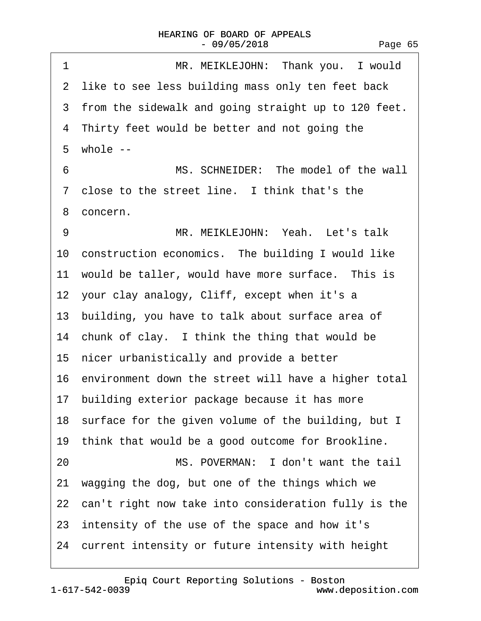| MR. MEIKLEJOHN: Thank you. I would<br>1                 |
|---------------------------------------------------------|
| 2 like to see less building mass only ten feet back     |
| 3 from the sidewalk and going straight up to 120 feet.  |
| 4 Thirty feet would be better and not going the         |
| $5$ whole $-$                                           |
| 6<br>MS. SCHNEIDER: The model of the wall               |
| 7 close to the street line. I think that's the          |
| 8 concern.                                              |
| MR. MEIKLEJOHN: Yeah. Let's talk<br>9                   |
| 10 construction economics. The building I would like    |
| 11 would be taller, would have more surface. This is    |
| 12 your clay analogy, Cliff, except when it's a         |
| 13 building, you have to talk about surface area of     |
| 14 chunk of clay. I think the thing that would be       |
| 15 nicer urbanistically and provide a better            |
| 16 environment down the street will have a higher total |
| 17 building exterior package because it has more        |
| 18 surface for the given volume of the building, but I  |
| 19 think that would be a good outcome for Brookline.    |
| MS. POVERMAN: I don't want the tail<br>20               |
| 21 wagging the dog, but one of the things which we      |
| 22 can't right now take into consideration fully is the |
| 23 intensity of the use of the space and how it's       |
| 24 current intensity or future intensity with height    |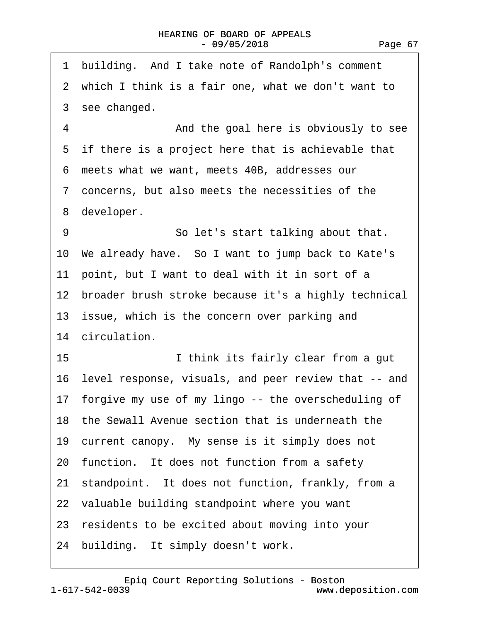| building. And I take note of Randolph's comment<br>1    |
|---------------------------------------------------------|
| 2 which I think is a fair one, what we don't want to    |
| 3 see changed.                                          |
| 4<br>And the goal here is obviously to see              |
| 5 if there is a project here that is achievable that    |
| 6 meets what we want, meets 40B, addresses our          |
| 7 concerns, but also meets the necessities of the       |
| 8 developer.                                            |
| 9<br>So let's start talking about that.                 |
| 10 We already have. So I want to jump back to Kate's    |
| 11 point, but I want to deal with it in sort of a       |
| 12 broader brush stroke because it's a highly technical |
| 13 issue, which is the concern over parking and         |
| 14 circulation.                                         |
| 15<br>I think its fairly clear from a gut               |
| 16 level response, visuals, and peer review that -- and |
| 17 forgive my use of my lingo -- the overscheduling of  |
| 18 the Sewall Avenue section that is underneath the     |
| 19 current canopy. My sense is it simply does not       |
| 20 function. It does not function from a safety         |
| 21 standpoint. It does not function, frankly, from a    |
| 22 valuable building standpoint where you want          |
| 23 residents to be excited about moving into your       |
| 24 building. It simply doesn't work.                    |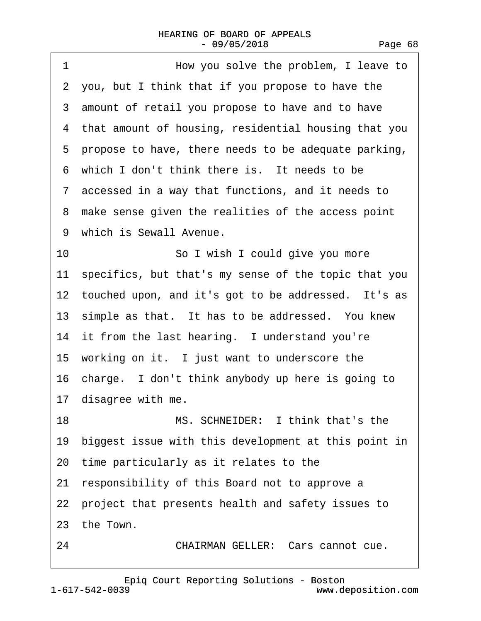| 1<br>How you solve the problem, I leave to              |
|---------------------------------------------------------|
| 2 you, but I think that if you propose to have the      |
| 3 amount of retail you propose to have and to have      |
| 4 that amount of housing, residential housing that you  |
| 5 propose to have, there needs to be adequate parking,  |
| 6 which I don't think there is. It needs to be          |
| 7 accessed in a way that functions, and it needs to     |
| 8 make sense given the realities of the access point    |
| 9 which is Sewall Avenue.                               |
| 10<br>So I wish I could give you more                   |
| 11 specifics, but that's my sense of the topic that you |
| 12 touched upon, and it's got to be addressed. It's as  |
| 13 simple as that. It has to be addressed. You knew     |
| 14 it from the last hearing. I understand you're        |
| 15 working on it. I just want to underscore the         |
| 16 charge. I don't think anybody up here is going to    |
| 17 disagree with me.                                    |
| 18<br>MS. SCHNEIDER: I think that's the                 |
| 19 biggest issue with this development at this point in |
| 20 time particularly as it relates to the               |
| 21 responsibility of this Board not to approve a        |
| 22 project that presents health and safety issues to    |
| 23 the Town.                                            |
| <b>CHAIRMAN GELLER: Cars cannot cue.</b><br>24          |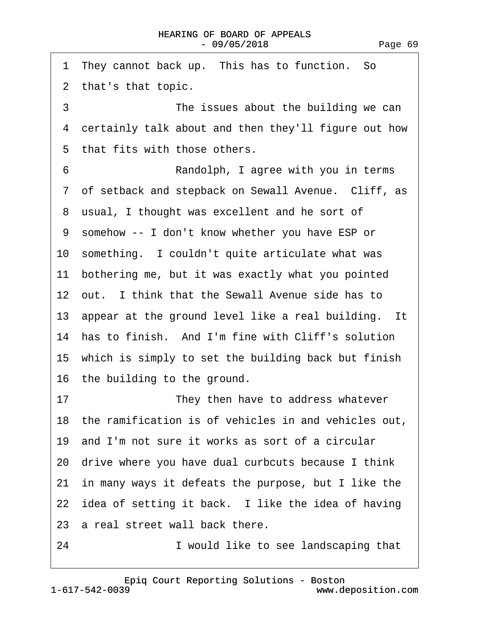1 They cannot back up. This has to function. So ·2· that's that topic. 3 The issues about the building we can 4 certainly talk about and then they'll figure out how 5 that fits with those others. ·6· · · · · · · · ·Randolph, I agree with you in terms ·7· of setback and stepback on Sewall Avenue.· Cliff, as 8 usual, I thought was excellent and he sort of ·9· somehow -- I don't know whether you have ESP or 10 something. I couldn't quite articulate what was 11 bothering me, but it was exactly what you pointed 12 out. I think that the Sewall Avenue side has to 13 appear at the ground level like a real building. It 14 has to finish. And I'm fine with Cliff's solution 15 which is simply to set the building back but finish 16· the building to the ground. 17 **• They then have to address whatever** 18 the ramification is of vehicles in and vehicles out. 19· and I'm not sure it works as sort of a circular 20· drive where you have dual curbcuts because I think 21 in many ways it defeats the purpose, but I like the 22 idea of setting it back. I like the idea of having 23 a real street wall back there. 24 **I** would like to see landscaping that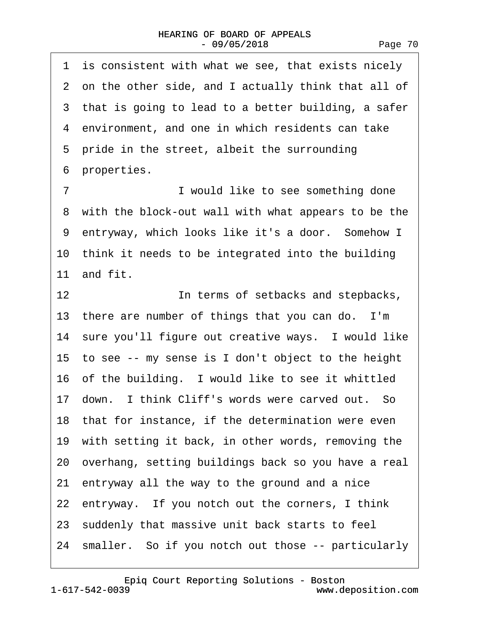1 is consistent with what we see, that exists nicely ·2· on the other side, and I actually think that all of 3 that is going to lead to a better building, a safer 4 environment, and one in which residents can take 5 pride in the street, albeit the surrounding 6 properties. ·7· · · · · · · · ·I would like to see something done 8 with the block-out wall with what appears to be the 9 entryway, which looks like it's a door. Somehow I 10 think it needs to be integrated into the building 11· and fit. 12 **In terms of setbacks and stepbacks,** 

13 there are number of things that you can do. I'm 14 sure you'll figure out creative ways. I would like 15· to see -- my sense is I don't object to the height 16 of the building. I would like to see it whittled 17 down. I think Cliff's words were carved out. So 18 that for instance, if the determination were even 19 with setting it back, in other words, removing the 20· overhang, setting buildings back so you have a real 21· entryway all the way to the ground and a nice 22 entryway. If you notch out the corners, I think 23· suddenly that massive unit back starts to feel 24 smaller. So if you notch out those -- particularly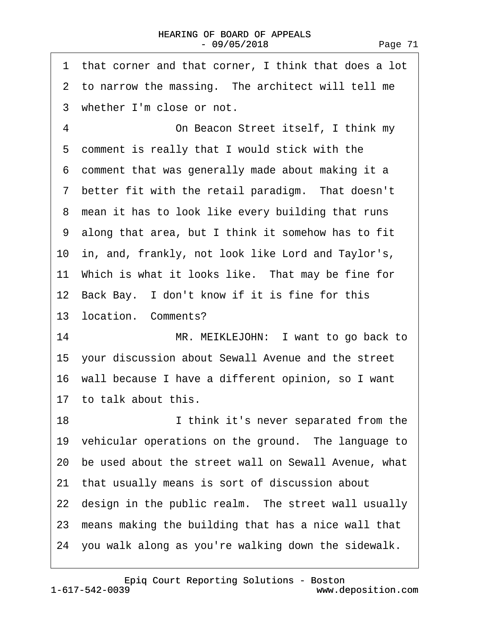| 1 that corner and that corner, I think that does a lot  |
|---------------------------------------------------------|
| 2 to narrow the massing. The architect will tell me     |
| 3 whether I'm close or not.                             |
| 4<br>On Beacon Street itself, I think my                |
| 5 comment is really that I would stick with the         |
| 6 comment that was generally made about making it a     |
| 7 better fit with the retail paradigm. That doesn't     |
| 8 mean it has to look like every building that runs     |
| 9 along that area, but I think it somehow has to fit    |
| 10 in, and, frankly, not look like Lord and Taylor's,   |
| 11 Which is what it looks like. That may be fine for    |
| 12 Back Bay. I don't know if it is fine for this        |
| 13 location. Comments?                                  |
| 14<br>MR. MEIKLEJOHN: I want to go back to              |
| 15 your discussion about Sewall Avenue and the street   |
| 16 wall because I have a different opinion, so I want   |
| 17 to talk about this.                                  |
| 18<br>I think it's never separated from the             |
| 19 vehicular operations on the ground. The language to  |
| 20 be used about the street wall on Sewall Avenue, what |
| 21 that usually means is sort of discussion about       |
| 22 design in the public realm. The street wall usually  |
| 23 means making the building that has a nice wall that  |
| 24 you walk along as you're walking down the sidewalk.  |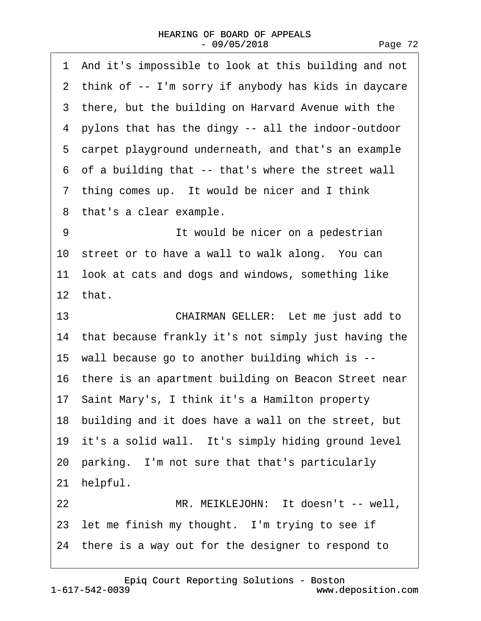| 1 And it's impossible to look at this building and not  |
|---------------------------------------------------------|
| 2 think of -- I'm sorry if anybody has kids in daycare  |
| 3 there, but the building on Harvard Avenue with the    |
| 4 pylons that has the dingy -- all the indoor-outdoor   |
| 5 carpet playground underneath, and that's an example   |
| 6 of a building that -- that's where the street wall    |
| 7 thing comes up. It would be nicer and I think         |
| 8 that's a clear example.                               |
| 9<br>It would be nicer on a pedestrian                  |
| 10 street or to have a wall to walk along. You can      |
| 11 look at cats and dogs and windows, something like    |
| 12 that.                                                |
| 13<br>CHAIRMAN GELLER: Let me just add to               |
| 14 that because frankly it's not simply just having the |
| 15 wall because go to another building which is --      |
| 16 there is an apartment building on Beacon Street near |
| 17 Saint Mary's, I think it's a Hamilton property       |
| 18 building and it does have a wall on the street, but  |
| 19 it's a solid wall. It's simply hiding ground level   |
| 20 parking. I'm not sure that that's particularly       |
| 21 helpful.                                             |
| MR. MEIKLEJOHN: It doesn't -- well,<br>22               |
| 23 let me finish my thought. I'm trying to see if       |
| 24 there is a way out for the designer to respond to    |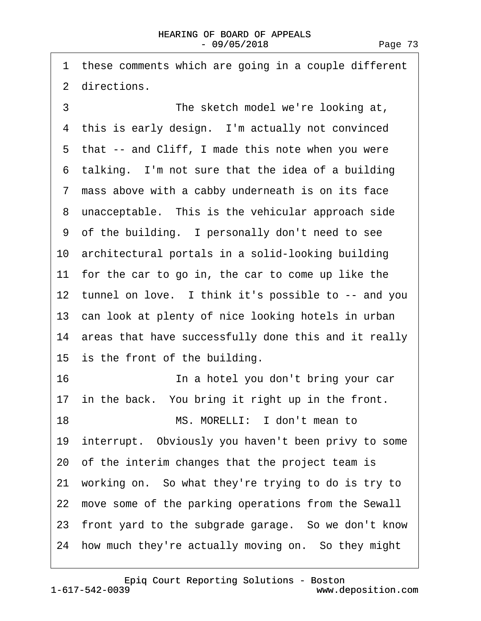<span id="page-72-0"></span>1 these comments which are going in a couple different 2 directions.

3 **The sketch model we're looking at,** 4 this is early design. I'm actually not convinced 5 that -- and Cliff, I made this note when you were 6 talking. I'm not sure that the idea of a building ·7· mass above with a cabby underneath is on its face 8 unacceptable. This is the vehicular approach side ·9· of the building.· I personally don't need to see 10· architectural portals in a solid-looking building 11 for the car to go in, the car to come up like the 12 tunnel on love. I think it's possible to -- and you 13 can look at plenty of nice looking hotels in urban 14 areas that have successfully done this and it really 15 is the front of the building. 16· · · · · · · · ·In a hotel you don't bring your car 17 in the back. You bring it right up in the front. 18 MS. MORELLI: I don't mean to 19 interrupt. Obviously you haven't been privy to some 20· of the interim changes that the project team is 21· working on.· So what they're trying to do is try to 22 move some of the parking operations from the Sewall 23 front yard to the subgrade garage. So we don't know 24 how much they're actually moving on. So they might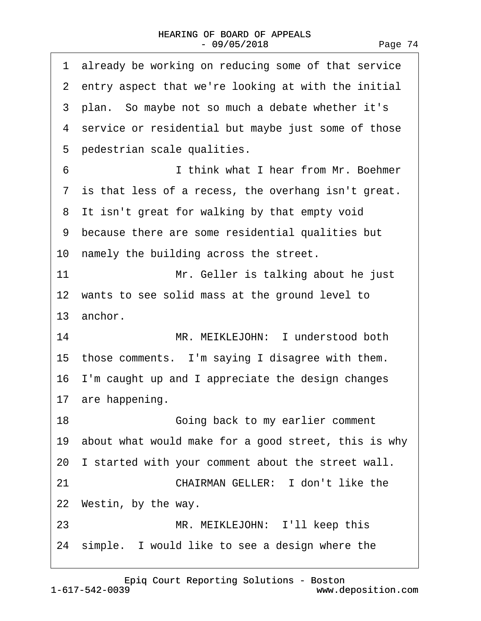<span id="page-73-0"></span>

| 1 already be working on reducing some of that service   |
|---------------------------------------------------------|
| 2 entry aspect that we're looking at with the initial   |
| 3 plan. So maybe not so much a debate whether it's      |
| 4 service or residential but maybe just some of those   |
| 5 pedestrian scale qualities.                           |
| I think what I hear from Mr. Boehmer<br>6               |
| 7 is that less of a recess, the overhang isn't great.   |
| 8 It isn't great for walking by that empty void         |
| 9 because there are some residential qualities but      |
| 10 namely the building across the street.               |
| 11<br>Mr. Geller is talking about he just               |
| 12 wants to see solid mass at the ground level to       |
| 13 anchor.                                              |
| MR. MEIKLEJOHN: I understood both<br>14                 |
| 15 those comments. I'm saying I disagree with them.     |
| 16 I'm caught up and I appreciate the design changes    |
| 17 are happening.                                       |
| 18<br>Going back to my earlier comment                  |
| 19 about what would make for a good street, this is why |
| 20 I started with your comment about the street wall.   |
| <b>CHAIRMAN GELLER: I don't like the</b><br>21          |
| 22 Westin, by the way.                                  |
| 23<br>MR. MEIKLEJOHN: I'll keep this                    |
| 24 simple. I would like to see a design where the       |
|                                                         |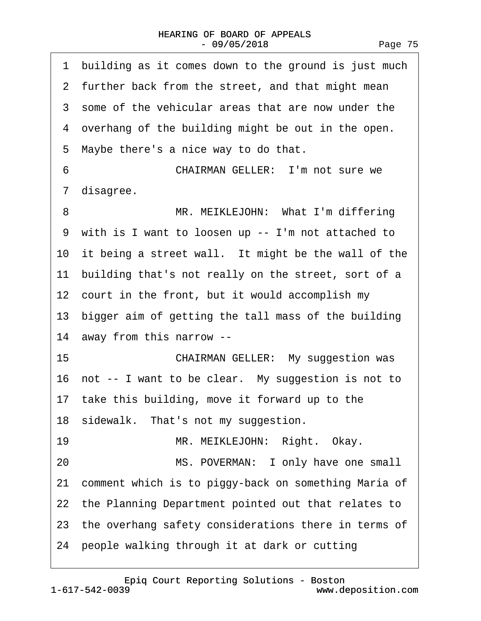<span id="page-74-0"></span>1 building as it comes down to the ground is just much 2 further back from the street, and that might mean 3 some of the vehicular areas that are now under the 4 overhang of the building might be out in the open. 5 Maybe there's a nice way to do that. 6 **CHAIRMAN GELLER:** I'm not sure we ·7· disagree. 8 MR. MEIKLEJOHN: What I'm differing ·9· with is I want to loosen up -- I'm not attached to 10 it being a street wall. It might be the wall of the 11 building that's not really on the street, sort of a 12 court in the front, but it would accomplish my 13 bigger aim of getting the tall mass of the building 14· away from this narrow -- 15 **• • • CHAIRMAN GELLER:** My suggestion was 16 not -- I want to be clear. My suggestion is not to 17 take this building, move it forward up to the 18 sidewalk. That's not my suggestion. 19 · · · · · MR. MEIKLEJOHN: Right. Okay. 20 MS. POVERMAN: I only have one small 21 comment which is to piggy-back on something Maria of 22 the Planning Department pointed out that relates to 23 the overhang safety considerations there in terms of 24· people walking through it at dark or cutting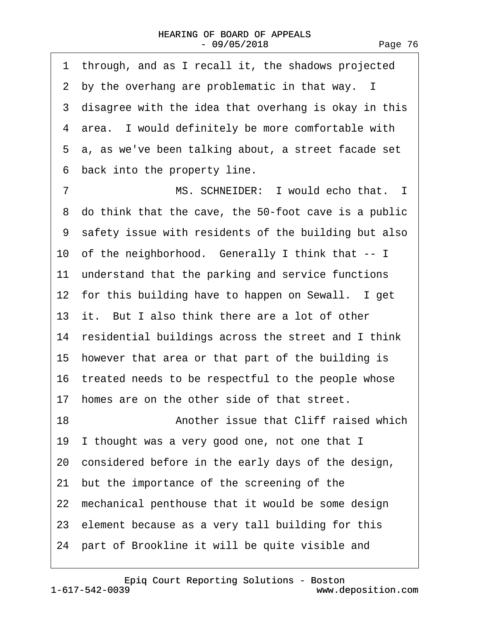<span id="page-75-0"></span>1 through, and as I recall it, the shadows projected 2 by the overhang are problematic in that way. I 3 disagree with the idea that overhang is okay in this 4 area. I would definitely be more comfortable with ·5· a, as we've been talking about, a street facade set ·6· back into the property line. 7 MS. SCHNEIDER: I would echo that. I ·8· do think that the cave, the 50-foot cave is a public ·9· safety issue with residents of the building but also 10 of the neighborhood. Generally I think that -- I 11 understand that the parking and service functions 12 for this building have to happen on Sewall. I get 13 it. But I also think there are a lot of other 14 residential buildings across the street and I think 15 however that area or that part of the building is 16 treated needs to be respectful to the people whose 17 homes are on the other side of that street. 18· · · · · · · · ·Another issue that Cliff raised which 19 I thought was a very good one, not one that I 20· considered before in the early days of the design, 21· but the importance of the screening of the 22 mechanical penthouse that it would be some design 23· element because as a very tall building for this

24 part of Brookline it will be quite visible and

Page 76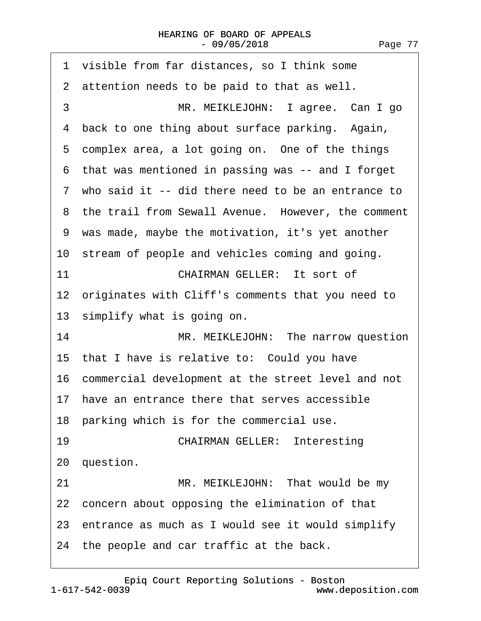<span id="page-76-0"></span>

| 1 visible from far distances, so I think some         |
|-------------------------------------------------------|
| 2 attention needs to be paid to that as well.         |
| 3<br>MR. MEIKLEJOHN: I agree. Can I go                |
| 4 back to one thing about surface parking. Again,     |
| 5 complex area, a lot going on. One of the things     |
| 6 that was mentioned in passing was -- and I forget   |
| 7 who said it -- did there need to be an entrance to  |
| 8 the trail from Sewall Avenue. However, the comment  |
| 9 was made, maybe the motivation, it's yet another    |
| 10 stream of people and vehicles coming and going.    |
| 11<br><b>CHAIRMAN GELLER: It sort of</b>              |
| 12 originates with Cliff's comments that you need to  |
| 13 simplify what is going on.                         |
| 14<br>MR. MEIKLEJOHN: The narrow question             |
| 15 that I have is relative to: Could you have         |
| 16 commercial development at the street level and not |
| 17 have an entrance there that serves accessible      |
| 18 parking which is for the commercial use.           |
| 19<br><b>CHAIRMAN GELLER: Interesting</b>             |
| 20 question.                                          |
| 21<br>MR. MEIKLEJOHN: That would be my                |
| 22 concern about opposing the elimination of that     |
| 23 entrance as much as I would see it would simplify  |
| 24 the people and car traffic at the back.            |
|                                                       |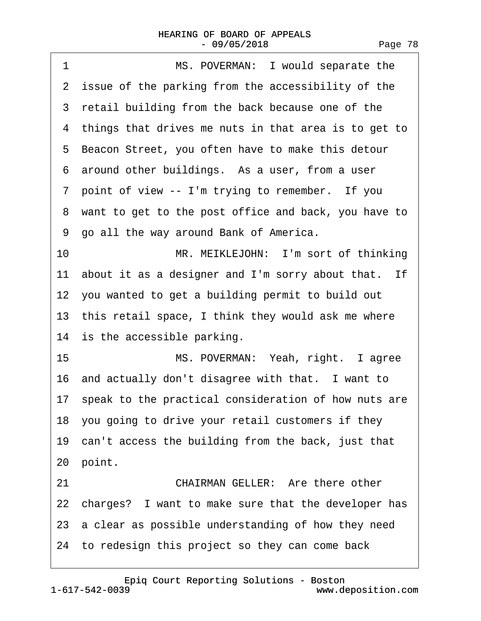<span id="page-77-0"></span>

| MS. POVERMAN: I would separate the<br>1                 |
|---------------------------------------------------------|
| 2 issue of the parking from the accessibility of the    |
| 3 retail building from the back because one of the      |
| 4 things that drives me nuts in that area is to get to  |
| 5 Beacon Street, you often have to make this detour     |
| 6 around other buildings. As a user, from a user        |
| 7 point of view -- I'm trying to remember. If you       |
| 8 want to get to the post office and back, you have to  |
| 9 go all the way around Bank of America.                |
| 10<br>MR. MEIKLEJOHN: I'm sort of thinking              |
| 11 about it as a designer and I'm sorry about that. If  |
| 12 you wanted to get a building permit to build out     |
| 13 this retail space, I think they would ask me where   |
| 14 is the accessible parking.                           |
| 15<br>MS. POVERMAN: Yeah, right. I agree                |
| 16 and actually don't disagree with that. I want to     |
| 17 speak to the practical consideration of how nuts are |
| 18 you going to drive your retail customers if they     |
| 19 can't access the building from the back, just that   |
| 20 point.                                               |
| <b>CHAIRMAN GELLER: Are there other</b><br>21           |
| 22 charges? I want to make sure that the developer has  |
| 23 a clear as possible understanding of how they need   |
| 24 to redesign this project so they can come back       |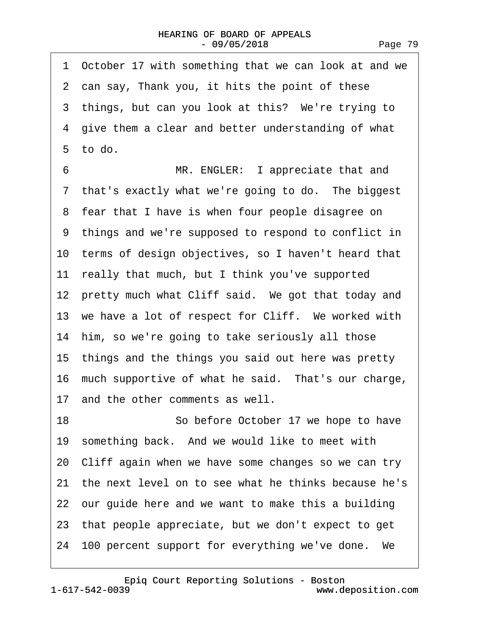<span id="page-78-0"></span>1 October 17 with something that we can look at and we 2 can say, Thank you, it hits the point of these 3 things, but can you look at this? We're trying to 4 give them a clear and better understanding of what  $5$  to do. 6 **MR. ENGLER:** I appreciate that and 7 that's exactly what we're going to do. The biggest 8 fear that I have is when four people disagree on ·9· things and we're supposed to respond to conflict in 10 terms of design objectives, so I haven't heard that 11 really that much, but I think you've supported 12 pretty much what Cliff said. We got that today and 13 we have a lot of respect for Cliff. We worked with 14 him, so we're going to take seriously all those 15· things and the things you said out here was pretty 16 much supportive of what he said. That's our charge, 17 and the other comments as well. 18 **· · · · · So before October 17 we hope to have** 19 something back. And we would like to meet with 20· Cliff again when we have some changes so we can try 21 the next level on to see what he thinks because he's 22 our guide here and we want to make this a building 23· that people appreciate, but we don't expect to get 24 100 percent support for everything we've done. We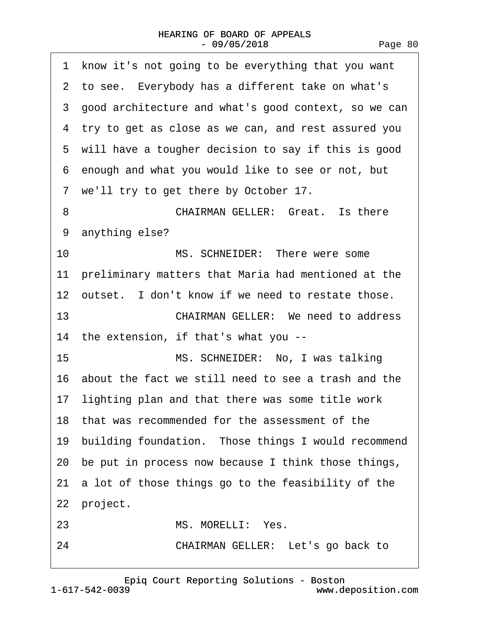<span id="page-79-0"></span>

| 1 know it's not going to be everything that you want   |  |  |  |
|--------------------------------------------------------|--|--|--|
| 2 to see. Everybody has a different take on what's     |  |  |  |
| 3 good architecture and what's good context, so we can |  |  |  |
| 4 try to get as close as we can, and rest assured you  |  |  |  |
| 5 will have a tougher decision to say if this is good  |  |  |  |
| 6 enough and what you would like to see or not, but    |  |  |  |
| 7 we'll try to get there by October 17.                |  |  |  |
| <b>CHAIRMAN GELLER: Great. Is there</b><br>8           |  |  |  |
| 9 anything else?                                       |  |  |  |
| 10<br>MS. SCHNEIDER: There were some                   |  |  |  |
| 11 preliminary matters that Maria had mentioned at the |  |  |  |
| 12 outset. I don't know if we need to restate those.   |  |  |  |
| 13<br><b>CHAIRMAN GELLER: We need to address</b>       |  |  |  |
| 14 the extension, if that's what you --                |  |  |  |
| 15<br>MS. SCHNEIDER: No, I was talking                 |  |  |  |
| 16 about the fact we still need to see a trash and the |  |  |  |
| 17 lighting plan and that there was some title work    |  |  |  |
| 18 that was recommended for the assessment of the      |  |  |  |
| 19 building foundation. Those things I would recommend |  |  |  |
| 20 be put in process now because I think those things, |  |  |  |
| 21 a lot of those things go to the feasibility of the  |  |  |  |
| 22 project.                                            |  |  |  |
| MS. MORELLI: Yes.<br>23                                |  |  |  |
| CHAIRMAN GELLER: Let's go back to<br>24                |  |  |  |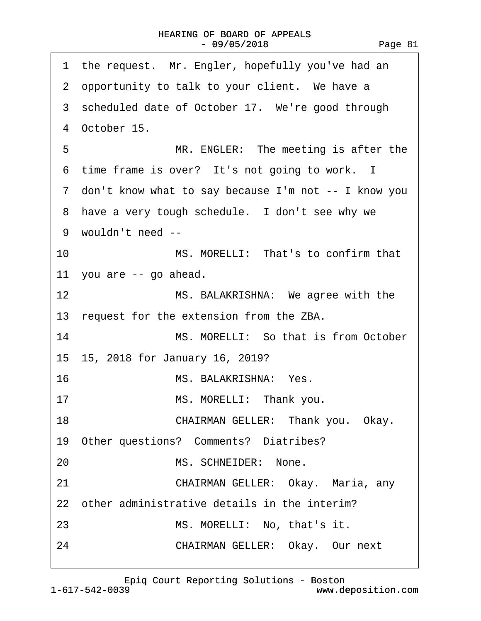<span id="page-80-0"></span>

| the request. Mr. Engler, hopefully you've had an<br>1  |  |  |  |
|--------------------------------------------------------|--|--|--|
| 2 opportunity to talk to your client. We have a        |  |  |  |
| 3 scheduled date of October 17. We're good through     |  |  |  |
| 4 October 15.                                          |  |  |  |
| 5<br>MR. ENGLER: The meeting is after the              |  |  |  |
| 6 time frame is over? It's not going to work. I        |  |  |  |
| 7 don't know what to say because I'm not -- I know you |  |  |  |
| 8 have a very tough schedule. I don't see why we       |  |  |  |
| 9 wouldn't need --                                     |  |  |  |
| MS. MORELLI: That's to confirm that<br>10              |  |  |  |
| 11 you are -- go ahead.                                |  |  |  |
| 12<br>MS. BALAKRISHNA: We agree with the               |  |  |  |
| 13 request for the extension from the ZBA.             |  |  |  |
| 14<br>MS. MORELLI: So that is from October             |  |  |  |
| 15 15, 2018 for January 16, 2019?                      |  |  |  |
| 16<br>MS. BALAKRISHNA: Yes.                            |  |  |  |
| MS. MORELLI: Thank you.<br>17                          |  |  |  |
| 18<br>CHAIRMAN GELLER: Thank you. Okay.                |  |  |  |
| 19 Other questions? Comments? Diatribes?               |  |  |  |
| MS. SCHNEIDER: None.<br>20                             |  |  |  |
| 21<br>CHAIRMAN GELLER: Okay. Maria, any                |  |  |  |
| 22 other administrative details in the interim?        |  |  |  |
| 23<br>MS. MORELLI: No, that's it.                      |  |  |  |
| CHAIRMAN GELLER: Okay. Our next<br>24                  |  |  |  |
|                                                        |  |  |  |

[Epiq Court Reporting Solutions - Boston](http://www.deposition.com)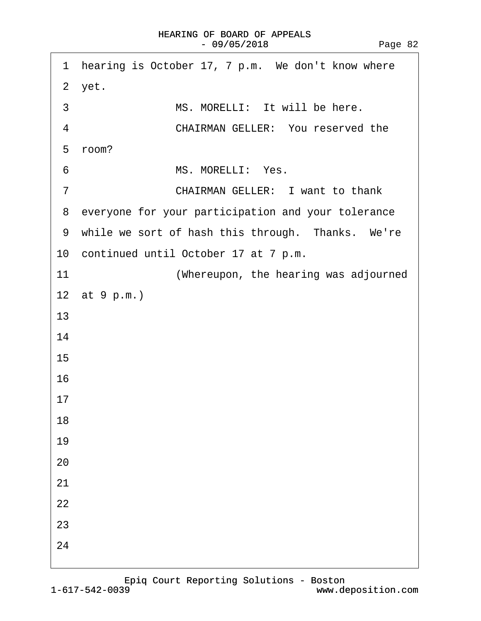<span id="page-81-0"></span>

|    | 1 hearing is October 17, 7 p.m. We don't know where  |
|----|------------------------------------------------------|
|    | 2 yet.                                               |
| 3  | MS. MORELLI: It will be here.                        |
| 4  | <b>CHAIRMAN GELLER: You reserved the</b>             |
|    | 5 room?                                              |
| 6  | MS. MORELLI: Yes.                                    |
| 7  | <b>CHAIRMAN GELLER: I want to thank</b>              |
|    | 8 everyone for your participation and your tolerance |
|    | 9 while we sort of hash this through. Thanks. We're  |
|    | 10 continued until October 17 at 7 p.m.              |
| 11 | (Whereupon, the hearing was adjourned                |
|    | 12 at 9 p.m.)                                        |
| 13 |                                                      |
| 14 |                                                      |
| 15 |                                                      |
| 16 |                                                      |
| 17 |                                                      |
| 18 |                                                      |
| 19 |                                                      |
| 20 |                                                      |
| 21 |                                                      |
| 22 |                                                      |
| 23 |                                                      |
| 24 |                                                      |
|    |                                                      |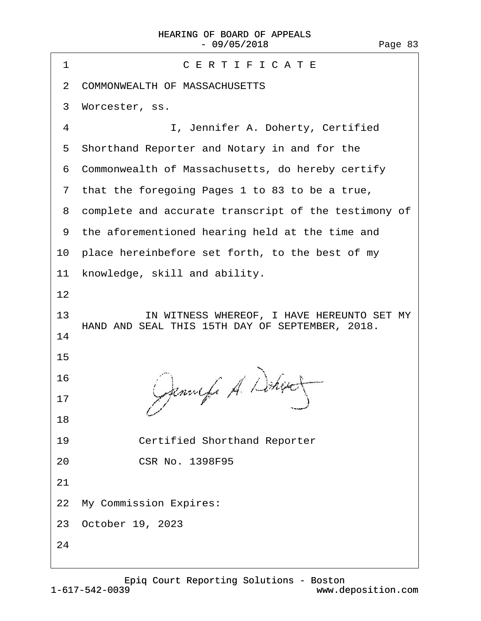| CERTIFICATE<br>1                                                                                    |  |  |  |
|-----------------------------------------------------------------------------------------------------|--|--|--|
| 2 COMMONWEALTH OF MASSACHUSETTS                                                                     |  |  |  |
| 3 Worcester, ss.                                                                                    |  |  |  |
| $\overline{4}$<br>I, Jennifer A. Doherty, Certified                                                 |  |  |  |
| 5 Shorthand Reporter and Notary in and for the                                                      |  |  |  |
| 6 Commonwealth of Massachusetts, do hereby certify                                                  |  |  |  |
| 7 that the foregoing Pages 1 to 83 to be a true,                                                    |  |  |  |
| 8 complete and accurate transcript of the testimony of                                              |  |  |  |
| 9 the aforementioned hearing held at the time and                                                   |  |  |  |
| 10 place hereinbefore set forth, to the best of my                                                  |  |  |  |
| 11 knowledge, skill and ability.                                                                    |  |  |  |
| 12                                                                                                  |  |  |  |
| IN WITNESS WHEREOF, I HAVE HEREUNTO SET MY<br>13<br>HAND AND SEAL THIS 15TH DAY OF SEPTEMBER, 2018. |  |  |  |
| 14                                                                                                  |  |  |  |
| 15                                                                                                  |  |  |  |
| 16                                                                                                  |  |  |  |
| 17                                                                                                  |  |  |  |
| 18                                                                                                  |  |  |  |
| 19<br><b>Certified Shorthand Reporter</b>                                                           |  |  |  |
| <b>CSR No. 1398F95</b><br>20                                                                        |  |  |  |
| 21                                                                                                  |  |  |  |
| 22 My Commission Expires:                                                                           |  |  |  |
| 23 October 19, 2023                                                                                 |  |  |  |
| 24                                                                                                  |  |  |  |
|                                                                                                     |  |  |  |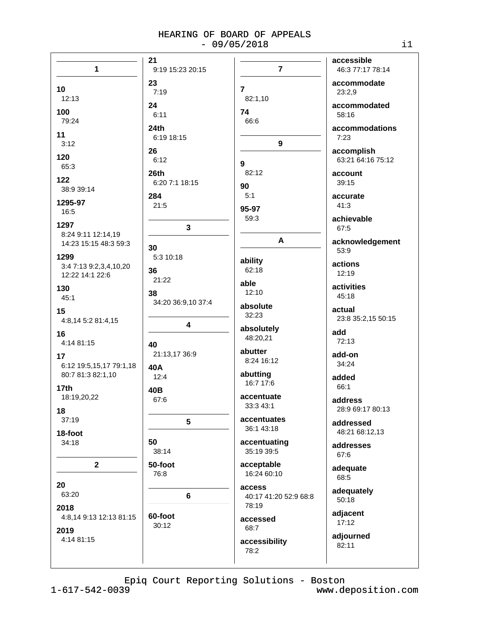|                         | 21                 |                           | accessible         |
|-------------------------|--------------------|---------------------------|--------------------|
| $\mathbf{1}$            | 9:19 15:23 20:15   | $\overline{7}$            | 46:3 77:17 78:14   |
|                         | 23                 |                           | accommodate        |
| 10                      | 7:19               | $\overline{7}$            | 23:2,9             |
| 12:13                   |                    | 82:1,10                   |                    |
| 100                     | 24                 | 74                        | accommodated       |
| 79:24                   | 6:11               | 66:6                      | 58:16              |
|                         | 24 <sub>th</sub>   |                           | accommodations     |
| 11                      | 6:19 18:15         |                           | 7:23               |
| 3:12                    | 26                 | 9                         | accomplish         |
| 120                     | 6:12               |                           | 63:21 64:16 75:12  |
| 65:3                    |                    | 9                         |                    |
| 122                     | 26th               | 82:12                     | account            |
| 38:9 39:14              | 6:20 7:1 18:15     | 90                        | 39:15              |
|                         | 284                | 5:1                       | accurate           |
| 1295-97                 | 21:5               | 95-97                     | 41:3               |
| 16:5                    |                    | 59:3                      | achievable         |
| 1297                    | 3                  |                           | 67:5               |
| 8:24 9:11 12:14,19      |                    |                           |                    |
| 14:23 15:15 48:3 59:3   | 30                 | A                         | acknowledgement    |
| 1299                    | 5:3 10:18          |                           | 53:9               |
| 3:4 7:13 9:2,3,4,10,20  |                    | ability                   | actions            |
| 12:22 14:1 22:6         | 36                 | 62:18                     | 12:19              |
|                         | 21:22              | able                      | activities         |
| 130<br>45:1             | 38                 | 12:10                     | 45:18              |
|                         | 34:20 36:9,10 37:4 | absolute                  |                    |
| 15                      |                    | 32:23                     | actual             |
| 4:8,14 5:2 81:4,15      | 4                  |                           | 23:8 35:2,15 50:15 |
| 16                      |                    | absolutely                | add                |
| 4:14 81:15              | 40                 | 48:20,21                  | 72:13              |
| 17                      | 21:13,17 36:9      | abutter                   | add-on             |
| 6:12 19:5,15,17 79:1,18 |                    | 8:24 16:12                | 34:24              |
| 80:7 81:3 82:1,10       | 40A                | abutting                  |                    |
|                         | 12:4               | 16:7 17:6                 | added              |
| 17 <sub>th</sub>        | 40B                |                           | 66:1               |
| 18:19,20,22             | 67:6               | accentuate                | address            |
| 18                      |                    | 33:3 43:1                 | 28:9 69:17 80:13   |
| 37:19                   | 5                  | accentuates               | addressed          |
| 18-foot                 |                    | 36:1 43:18                | 48:21 68:12,13     |
| 34:18                   | 50                 | accentuating              |                    |
|                         | 38:14              | 35:19 39:5                | addresses          |
|                         |                    |                           | 67:6               |
| $\mathbf{2}$            | 50-foot<br>76:8    | acceptable<br>16:24 60:10 | adequate           |
|                         |                    |                           | 68:5               |
| 20                      |                    | access                    | adequately         |
| 63:20                   | 6                  | 40:17 41:20 52:9 68:8     | 50:18              |
| 2018                    |                    | 78:19                     |                    |
| 4:8,14 9:13 12:13 81:15 | 60-foot            | accessed                  | adjacent<br>17:12  |
| 2019                    | 30:12              | 68:7                      |                    |
| 4:14 81:15              |                    | accessibility             | adjourned          |
|                         |                    | 78:2                      | 82:11              |
|                         |                    |                           |                    |
|                         |                    |                           |                    |

Epiq Court Reporting Solutions - Boston

 $1 - 617 - 542 - 0039$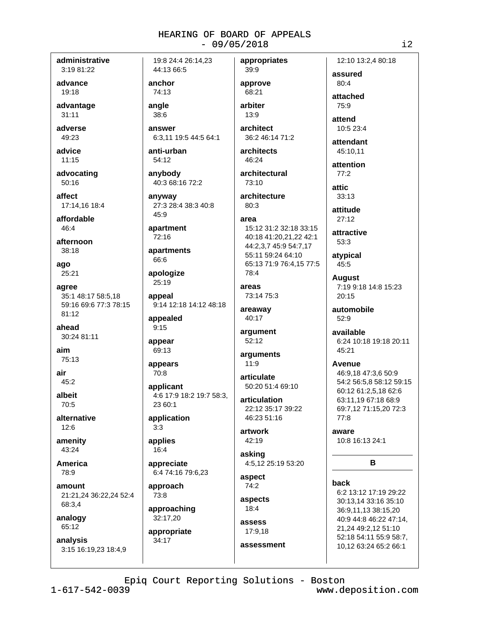administrative 3:19 81:22

advance 19:18

advantage  $31:11$ 

adverse 49:23

advice  $11:15$ 

advocating  $50:16$ 

affect 17:14,16 18:4

affordable  $46.4$ 

afternoon 38:18

ago  $25:21$ 

agree 35:1 48:17 58:5.18 59:16 69:6 77:3 78:15  $81:12$ 

ahead 30:24 81:11

aim 75:13

air  $45:2$ 

albeit  $70.5$ 

alternative  $12:6$ 

amenity 43:24

America 78:9

amount 21:21,24 36:22,24 52:4 68:3,4

analogy 65:12

analysis 3:15 16:19,23 18:4,9

19:8 24:4 26:14.23 44:13 66:5

anchor 74:13

angle

38:6 answer

6:3.11 19:5 44:5 64:1

anti-urban 54:12

anybody 40:3 68:16 72:2

anyway 27:3 28:4 38:3 40:8 45:9

apartment  $72:16$ 

apartments 66:6

apologize 25:19

appeal 9:14 12:18 14:12 48:18

appealed  $9:15$ 

appear 69:13

appears 70:8

applicant 4:6 17:9 18:2 19:7 58:3.  $23.60 \cdot 1$ 

application  $3.3$ 

applies 16:4

appreciate 6:4 74:16 79:6.23

approach 73:8

approaching 32:17,20

appropriate 34:17

approve 68:21 arbiter 13:9

appropriates

39:9

architect 36:2 46:14 71:2 architects

46:24

architectural 73:10

architecture  $80:3$ 

### area

15:12 31:2 32:18 33:15 40:18 41:20,21,22 42:1 44:2,3,7 45:9 54:7,17 55:11 59:24 64:10 65:13 71:9 76:4,15 77:5 78:4

areas 73:14 75:3

areaway 40:17

argument 52:12

arguments  $11:9$ 

articulate 50:20 51:4 69:10

articulation 22:12 35:17 39:22 46:23 51:16

artwork 42:19

asking 4:5,12 25:19 53:20

aspect 74:2

aspects  $18:4$ 

> assess 17:9,18

assessment

assured 80:4 attached

12:10 13:2.4 80:18

 $75.9$ 

attend 10:5 23:4

attendant 45:10,11

attention  $77:2$ 

attic.

 $33:13$ 

attitude  $27:12$ 

attractive 53:3

atypical 45:5

> **August** 7:19 9:18 14:8 15:23 20:15

automobile  $52:9$ 

available 6:24 10:18 19:18 20:11 45:21

Avenue

46:9,18 47:3,6 50:9 54:2 56:5,8 58:12 59:15 60:12 61:2,5,18 62:6 63:11,19 67:18 68:9 69:7,12 71:15,20 72:3 77:8

aware 10:8 16:13 24:1

B

### back

6:2 13:12 17:19 29:22 30:13,14 33:16 35:10 36:9,11,13 38:15,20 40:9 44:8 46:22 47:14, 21,24 49:2,12 51:10 52:18 54:11 55:9 58:7, 10,12 63:24 65:2 66:1

Epiq Court Reporting Solutions - Boston

 $1 - 617 - 542 - 0039$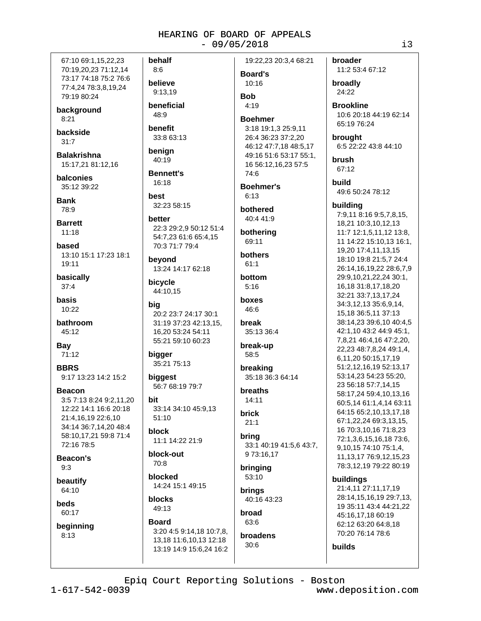67:10 69:1.15.22.23 70:19,20,23 71:12,14 73:17 74:18 75:2 76:6 77:4,24 78:3,8,19,24 79:19 80:24

background  $8:21$ 

backside  $31.7$ 

**Balakrishna** 15:17,21 81:12,16

balconies 35:12 39:22

**Bank** 78:9

**Barrett**  $11:18$ 

based 13:10 15:1 17:23 18:1 19:11

basically  $37:4$ 

basis  $10.22$ 

bathroom 45:12

**Bay** 71:12

**BBRS** 9:17 13:23 14:2 15:2

**Beacon** 3:5 7:13 8:24 9:2.11.20 12:22 14:1 16:6 20:18 21:4,16,19 22:6,10 34:14 36:7,14,20 48:4 58:10,17,21 59:8 71:4 72:16 78:5

Beacon's  $9.3$ 

beautify 64:10

beds 60:17

beginning  $8:13$ 

behalf  $8.6$ believe 9:13.19 beneficial 48:9

benefit 33:8 63:13

benign 40:19

**Bennett's** 16:18

hest 32:23 58:15

better 22:3 29:2.9 50:12 51:4 54:7,23 61:6 65:4,15 70:3 71:7 79:4

bevond 13:24 14:17 62:18

bicycle 44:10,15

bia 20:2 23:7 24:17 30:1 31:19 37:23 42:13,15, 16,20 53:24 54:11 55:21 59:10 60:23

bigger 35:21 75:13

biggest 56:7 68:19 79:7

hit 33:14 34:10 45:9,13  $51:10$ 

**hlock** 11:1 14:22 21:9

block-out 70:8

**blocked** 14:24 15:1 49:15

blocks 49:13

### **Board**

3:20 4:5 9:14,18 10:7,8, 13,18 11:6,10,13 12:18 13:19 14:9 15:6,24 16:2 19:22,23 20:3,4 68:21

**Board's** 10:16 **Bob** 

 $4.19$ 

### **Boehmer**

3:18 19:1.3 25:9.11 26:4 36:23 37:2,20 46:12 47:7,18 48:5,17 49:16 51:6 53:17 55:1, 16 56:12,16,23 57:5 74:6

**Boehmer's**  $6:13$ 

bothered  $40.441.9$ 

bothering 69:11

bothers  $61:1$ 

bottom  $5:16$ 

boxes  $46.6$ 

break 35:13 36:4

break-up 58:5

breaking 35:18 36:3 64:14

hreaths  $14:11$ 

brick  $21:1$ 

bring 33:1 40:19 41:5,6 43:7, 973:16,17

bringing  $53:10$ 

brings 40:16 43:23

broad 63:6 broadens

 $30:6$ 

broader 11:2 53:4 67:12

broadly 24:22

**Brookline** 10:6 20:18 44:19 62:14 65:19 76:24

brought 6:5 22:22 43:8 44:10

brush 67:12

**build** 49:6 50:24 78:12

### building

7:9,11 8:16 9:5,7,8,15, 18,21 10:3,10,12,13 11:7 12:1,5,11,12 13:8, 11 14:22 15:10,13 16:1, 19,20 17:4,11,13,15 18:10 19:8 21:5,7 24:4 26:14,16,19,22 28:6,7,9 29:9,10,21,22,24 30:1, 16,18 31:8,17,18,20 32:21 33:7,13,17,24 34:3,12,13 35:6,9,14, 15,18 36:5,11 37:13 38:14,23 39:6,10 40:4,5 42:1,10 43:2 44:9 45:1, 7,8,21 46:4,16 47:2,20, 22,23 48:7,8,24 49:1,4, 6,11,20 50:15,17,19 51:2,12,16,19 52:13,17 53:14,23 54:23 55:20, 23 56:18 57:7,14,15 58:17,24 59:4,10,13,16 60:5,14 61:1,4,14 63:11 64:15 65:2.10.13.17.18 67:1.22.24 69:3.13.15. 16 70:3,10,16 71:8,23 72:1,3,6,15,16,18 73:6, 9,10,15 74:10 75:1,4, 11, 13, 17 76: 9, 12, 15, 23 78:3,12,19 79:22 80:19 buildings

21:4,11 27:11,17,19 28:14.15.16.19 29:7.13. 19 35:11 43:4 44:21,22 45:16,17,18 60:19 62:12 63:20 64:8.18 70:20 76:14 78:6

builds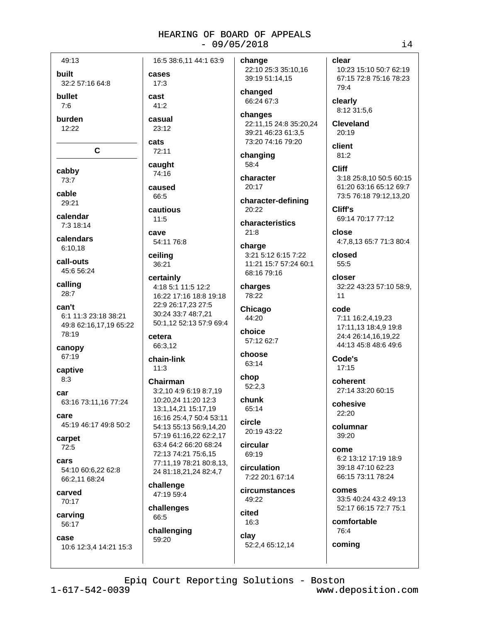49:13

**built** 

32:2 57:16 64:8

cases

 $17:3$ 

 $41.2$ 

casual

23:12

 $72:11$ 

caught

74:16

caused

66:5

 $11:5$ 

ceiling

36:21

cetera

 $11:3$ 

66:3,12

chain-link

Chairman

challenge

47:19 59:4

challenges

challenging

66:5

59:20

certainly

22:9 26:17.23 27:5

30:24 33:7 48:7,21

3:2,10 4:9 6:19 8:7,19

10:20.24 11:20 12:3

13:1,14,21 15:17,19

16:16 25:4,7 50:4 53:11

54:13 55:13 56:9.14.20

57:19 61:16,22 62:2,17

63:4 64:2 66:20 68:24

77:11,19 78:21 80:8,13,

24 81:18,21,24 82:4,7

72:13 74:21 75:6.15

CAVA

cautious

54:11 76:8

cats

cast

bullet

 $7.6$ 

burden 12:22

 $\mathbf{C}$ 

cabby 73:7

cable

29:21

calendar

7:3 18:14

calendars 6:10.18

call-outs 45:6 56:24

calling  $28:7$ 

can't 6:1 11:3 23:18 38:21 49:8 62:16.17.19 65:22 78:19

canopy 67:19

captive  $8:3$ 

car 63:16 73:11,16 77:24

care 45:19 46:17 49:8 50:2

carpet  $72:5$ 

cars 54:10 60:6,22 62:8 66:2,11 68:24

carved 70:17

carving 56:17

case

10:6 12:3,4 14:21 15:3

16:5 38:6.11 44:1 63:9 change 22:10 25:3 35:10,16 39:19 51:14,15 changed 66:24 67:3 changes 22:11,15 24:8 35:20,24 39:21 46:23 61:3.5 73:20 74:16 79:20 changing 58:4 character  $20:17$ character-defining  $20:22$ characteristics  $21:8$ charge 3:21 5:12 6:15 7:22 11:21 15:7 57:24 60:1 68:16 79:16 charges 4:18 5:1 11:5 12:2 16:22 17:16 18:8 19:18 78:22

Chicago 44:20 50:1.12 52:13 57:9 69:4 choice 57:12 62:7 choose 63:14 chop

> $52:2,3$ chunk 65:14

circle 20:19 43:22

circular 69:19

circulation  $7.2220.167.14$ 

circumstances 49:22

52:2,4 65:12,14

cited  $16:3$ clay

close closed

> closer 32:22 43:23 57:10 58:9.  $11$

code 7:11 16:2,4,19,23 17:11.13 18:4.9 19:8 24:4 26:14,16,19,22 44:13 45:8 48:6 49:6

Code's  $17:15$ 

clear

79:4

clearly

20:19

client

81:2

**Cliff** 

Cliff's

 $55:5$ 

8:12 31:5.6

**Cleveland** 

10:23 15:10 50:7 62:19

67:15 72:8 75:16 78:23

3:18 25:8.10 50:5 60:15

61:20 63:16 65:12 69:7

73:5 76:18 79:12,13,20

4:7,8,13 65:7 71:3 80:4

69:14 70:17 77:12

coherent 27:14 33:20 60:15

cohesive 22:20

columnar  $39.20$ 

come 6:2 13:12 17:19 18:9 39:18 47:10 62:23 66:15 73:11 78:24

comes 33:5 40:24 43:2 49:13 52:17 66:15 72:7 75:1

comfortable 76:4

coming

Epiq Court Reporting Solutions - Boston

 $1 - 617 - 542 - 0039$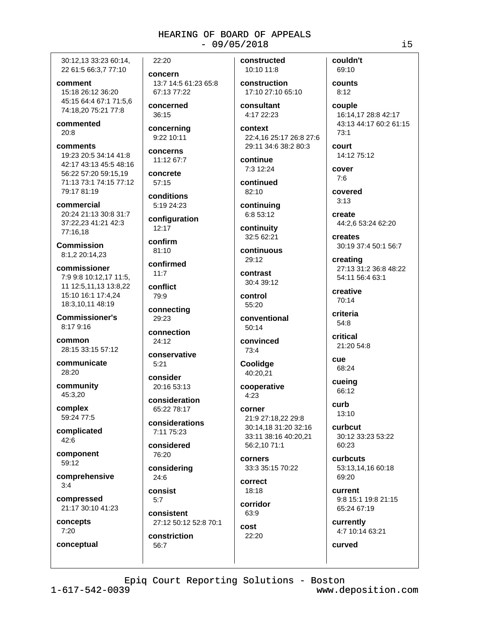30:12.13 33:23 60:14. 22 61:5 66:3,7 77:10

comment 15:18 26:12 36:20 45:15 64:4 67:1 71:5,6 74:18,20 75:21 77:8

commented  $20:8$ 

comments 19:23 20:5 34:14 41:8 42:17 43:13 45:5 48:16 56:22 57:20 59:15,19 71:13 73:1 74:15 77:12 79:17 81:19

commercial 20:24 21:13 30:8 31:7 37:22,23 41:21 42:3 77:16.18

**Commission** 8:1.2 20:14.23

commissioner 7:9 9:8 10:12.17 11:5. 11 12:5.11.13 13:8.22 15:10 16:1 17:4,24 18:3,10,11 48:19

**Commissioner's** 8:17 9:16

common 28:15 33:15 57:12

communicate 28:20

community 45:3,20

complex 59:24 77:5

complicated 42:6

component 59:12

comprehensive  $3:4$ 

compressed 21:17 30:10 41:23

concepts  $7:20$ conceptual concern 13:7 14:5 61:23 65:8 67:13 77:22 concerned

22:20

36:15

concerning 9:22 10:11

concerns 11:12 67:7

concrete  $57:15$ 

conditions 5:19 24:23

configuration

 $12:17$ 

confirm 81:10

confirmed  $11:7$ 

conflict 79:9

connecting 29:23

connection 24:12

conservative

consider 20:16 53:13

 $5:21$ 

consideration 65:22 78:17

considerations 7:11 75:23

considered 76:20

considering  $24:6$ 

consist  $5.7$ 

consistent 27:12 50:12 52:8 70:1

constriction 56:7

constructed 10:10 11:8

construction 17:10 27:10 65:10

consultant 4:17 22:23

context 22:4.16 25:17 26:8 27:6 29:11 34:6 38:2 80:3

continue 7:3 12:24

continued 82:10

continuing 6:8 53:12

continuity 32:5 62:21

continuous  $29:12$ 

contrast 30:4 39:12

control  $55:20$ 

conventional  $50:14$ 

convinced 73:4

**Coolidge** 40:20,21

cooperative  $4:23$ 

corner 21:9 27:18,22 29:8 30:14,18 31:20 32:16 33:11 38:16 40:20,21 56:2,10 71:1

corners 33:3 35:15 70:22

correct 18:18

corridor 63:9

cost 22:20 counts  $8:12$ 

couple 16:14,17 28:8 42:17 43:13 44:17 60:2 61:15  $73:1$ 

court 14:12 75:12

cover  $7:6$ 

covered  $3:13$ 

create 44:2,6 53:24 62:20

creates 30:19 37:4 50:1 56:7

creating 27:13 31:2 36:8 48:22 54:11 56:4 63:1

creative 70:14

criteria 54:8

critical 21:20 54:8

**CUA** 68:24

cueing 66:12

> curb 13:10

**Curbcut** 30:12 33:23 53:22 60:23

curbcuts 53:13.14.16 60:18  $69.20$ 

current 9:8 15:1 19:8 21:15 65:24 67:19

currently 4:7 10:14 63:21

curved

Epiq Court Reporting Solutions - Boston

 $1 - 617 - 542 - 0039$ 

www.deposition.com

 $\frac{1}{1}$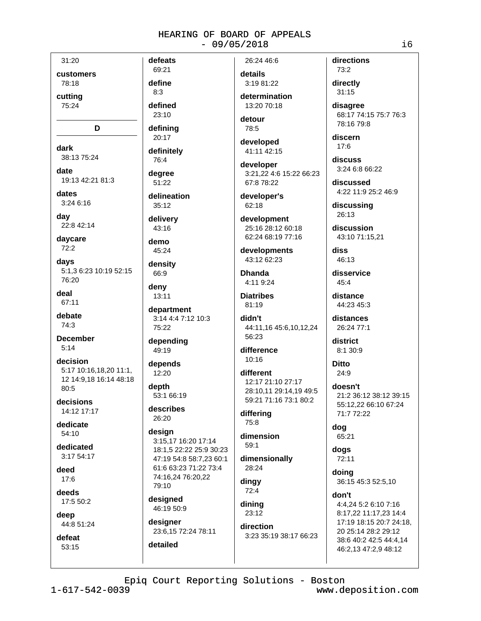31:20

customers 78:18

cuttina

75:24

D

dark 38:13 75:24

date 19:13 42:21 81:3

dates

3:24 6:16

day 22:8 42:14

davcare  $72:2$ 

days 5:1,3 6:23 10:19 52:15 76:20

deal 67:11

debate 74:3

**December**  $5:14$ 

decision 5:17 10:16,18,20 11:1, 12 14:9.18 16:14 48:18 80:5

decisions 14:12 17:17

dedicate  $54:10$ 

dedicated  $3.1754.17$ 

deed  $17:6$ 

deeds 17:5 50:2

deep 44:8 51:24

defeat 53:15

69:21 define

defeats

 $8:3$ defined

23:10

definina 20:17

definitely

76:4 dearee

51:22 delineation

 $35:12$ 

delivery  $43:16$ 

demo 45:24

density 66:9

deny 13:11

department 3:14 4:4 7:12 10:3 75:22

depending 49:19

depends 12:20

depth 53:1 66:19

describes 26:20

design 3:15,17 16:20 17:14 18:1,5 22:22 25:9 30:23 47:19 54:8 58:7.23 60:1 61:6 63:23 71:22 73:4 74:16,24 76:20,22 79:10

designed 46:19 50:9

detailed

designer 23:6,15 72:24 78:11 26:24 46:6

details 3:19 81:22 determination

 $13:20.70:18$ 

detour 78:5

developed 41:11 42:15

developer 3:21.22 4:6 15:22 66:23 67:8 78:22

developer's 62:18

development 25:16 28:12 60:18 62:24 68:19 77:16

developments 43:12 62:23

**Dhanda** 4:11 9:24

**Diatribes**  $81:19$ 

didn't 44:11,16 45:6,10,12,24 56:23

difference  $10.16$ 

different 12:17 21:10 27:17 28:10.11 29:14.19 49:5 59:21 71:16 73:1 80:2

differing 75:8

dimension  $59:1$ 

dimensionally

28:24 dingy 72:4

dining 23:12

direction 3:23 35:19 38:17 66:23 directions 73:2

directly  $31:15$ 

disagree 68:17 74:15 75:7 76:3 78:16 79:8

discern  $17:6$ 

discuss 3:24 6:8 66:22

discussed 4:22 11:9 25:2 46:9

discussing 26:13

discussion 43:10 71:15.21

diss 46:13

disservice  $45:4$ 

distance 44:23 45:3

distances 26:24 77:1

district 8:1 30:9

**Ditto**  $24:9$ 

doesn't 21:2 36:12 38:12 39:15 55:12.22 66:10 67:24 71:7 72:22

dog 65:21

dogs 72:11

doina 36:15 45:3 52:5,10

don't

4:4,24 5:2 6:10 7:16 8:17,22 11:17,23 14:4 17:19 18:15 20:7 24:18, 20 25:14 28:2 29:12 38:6 40:2 42:5 44:4,14 46:2,13 47:2,9 48:12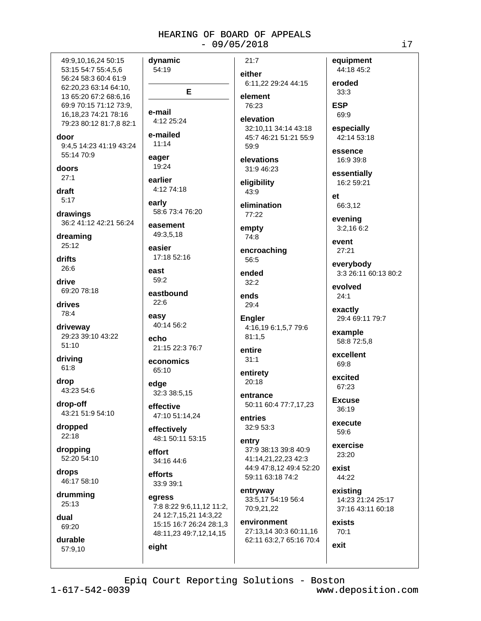49:9.10.16.24 50:15 53:15 54:7 55:4,5,6 56:24 58:3 60:4 61:9 62:20,23 63:14 64:10, 13 65:20 67:2 68:6,16 69:9 70:15 71:12 73:9, 16.18.23 74:21 78:16 79:23 80:12 81:7,8 82:1 door 9:4,5 14:23 41:19 43:24 55:14 70:9 doors  $27:1$ draft  $5:17$ drawings 36:2 41:12 42:21 56:24 dreaming 25:12 drifts 26:6 drive 69:20 78:18 drives 78:4 driveway 29:23 39:10 43:22  $51:10$ driving 61:8 drop 43:23 54:6 drop-off 43:21 51:9 54:10 dropped 22:18 dropping 52:20 54:10 drops 46:17 58:10 drumming 25:13 dual 69:20 durable 57:9.10

dynamic  $21:7$ 54:19 either E element  $76.23$ e-mail 4:12 25:24 elevation e-mailed  $11:14$  $59.9$ eager elevations 19:24 earlier eligibility 4:12 74:18  $43:9$ early elimination 58:6 73:4 76:20 77:22 easement empty 49:3.5.18  $74.8$ easier 17:18 52:16 56:5 east ended  $59:2$  $32:2$ eastbound ends  $22:6$  $29:4$ easy **Engler** 40:14 56:2  $81:1,5$  $A$ cho 21:15 22:3 76:7 entire  $31:1$ economics 65:10 entirety 20:18 edge 32:3 38:5,15 entrance effective 47:10 51:14.24 entries 32:9 53:3 effectively 48:1 50:11 53:15 entry effort 34:16 44:6 efforts 33:9 39:1 entryway egress 7:8 8:22 9:6,11,12 11:2, 24 12:7,15,21 14:3,22 15:15 16:7 26:24 28:1,3 48:11,23 49:7,12,14,15 eight

## equipment eroded 6:11,22 29:24 44:15  $33:3$ **ESP** 69:9 32:10.11 34:14 43:18 45:7 46:21 51:21 55:9 31:9 46:23  $e<sub>t</sub>$ 66:3,12 event encroaching  $27:21$  $24:1$ exactly 4:16,19 6:1,5,7 79:6 69:8 excited 67:23 **Excuse** 50:11 60:4 77:7,17,23 36:19 execute 59:6 37:9 38:13 39:8 40:9 23:20 41:14.21.22.23 42:3 44:9 47:8.12 49:4 52:20 exist 59:11 63:18 74:2 44:22 existing 33:5,17 54:19 56:4 70:9,21,22 environment exists

27:13,14 30:3 60:11,16 62:11 63:2,7 65:16 70:4 44:18 45:2

especially 42:14 53:18

essence 16:9 39:8

essentially 16:2 59:21

evening  $3:2.166:2$ 

everybody 3:3 26:11 60:13 80:2

evolved

29:4 69:11 79:7

example 58:8 72:5,8

excellent

exercise

14:23 21:24 25:17 37:16 43:11 60:18

70:1 exit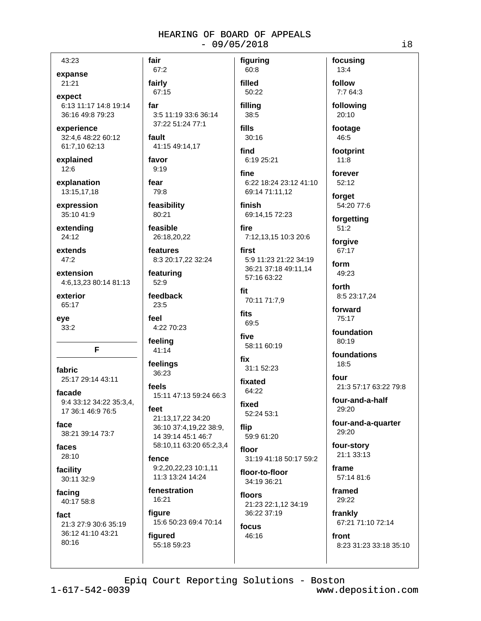43:23

### expanse

21:21

expect 6:13 11:17 14:8 19:14 36:16 49:8 79:23

experience 32:4,6 48:22 60:12 61:7,10 62:13

explained 12:6

explanation 13:15,17,18

expression 35:10 41:9

extending  $24:12$ 

extends  $47:2$ 

extension 4:6,13,23 80:14 81:13

exterior 65:17

eve 33:2

F

fabric 25:17 29:14 43:11

facade 9:4 33:12 34:22 35:3.4. 17 36:1 46:9 76:5

face 38:21 39:14 73:7

faces 28:10

facility 30:11 32:9

facing 40:17 58:8

fact 21:3 27:9 30:6 35:19 36:12 41:10 43:21 80:16

fairly 67:15 far 3:5 11:19 33:6 36:14 37:22 51:24 77:1

fault 41:15 49:14,17

favor  $9:19$ 

fair

67:2

fear 79:8

feasibility 80:21 feasible

26:18,20,22

features 8:3 20:17,22 32:24

featuring 52:9

feedback  $23:5$ 

feel 4:22 70:23

feeling 41:14

feelings 36:23

feels 15:11 47:13 59:24 66:3

 $f$  $\rho$ 21:13,17,22 34:20 36:10 37:4,19,22 38:9, 14 39:14 45:1 46:7 58:10,11 63:20 65:2,3,4

fence 9:2.20.22.23 10:1.11 11:3 13:24 14:24

fenestration 16:21

figure 15:6 50:23 69:4 70:14

figured 55:18 59:23

60:8 filled 50:22 filling 38:5

figuring

fills  $30:16$ 

find 6:19 25:21

fine 6:22 18:24 23:12 41:10 69:14 71:11,12

finish 69:14,15 72:23

fire 7:12,13,15 10:3 20:6

first 5:9 11:23 21:22 34:19 36:21 37:18 49:11,14 57:16 63:22

fit 70:11 71:7,9

fits 69:5

five 58:11 60:19

fix 31:1 52:23

fixated 64:22

fixed 52:24 53:1

flip 59:9 61:20

floor 31:19 41:18 50:17 59:2

floor-to-floor 34:19 36:21

floors 21:23 22:1,12 34:19 36:22 37:19 focus

46:16

follow 7:7 64:3 following 20:10

focusing

 $13:4$ 

footage 46:5

footprint  $11:8$ 

forever  $52:12$ 

forget

54:20 77:6

forgetting  $51:2$ 

forgive 67:17

form 49:23

forth 8:5 23:17,24

forward 75:17

foundation 80:19

foundations  $18:5$ 

four 21:3 57:17 63:22 79:8

four-and-a-half 29:20

four-and-a-quarter 29:20

four-story  $21:133:13$ 

frame 57:14 81:6

framed 29:22

frankly 67:21 71:10 72:14

front 8:23 31:23 33:18 35:10

Epiq Court Reporting Solutions - Boston

 $1 - 617 - 542 - 0039$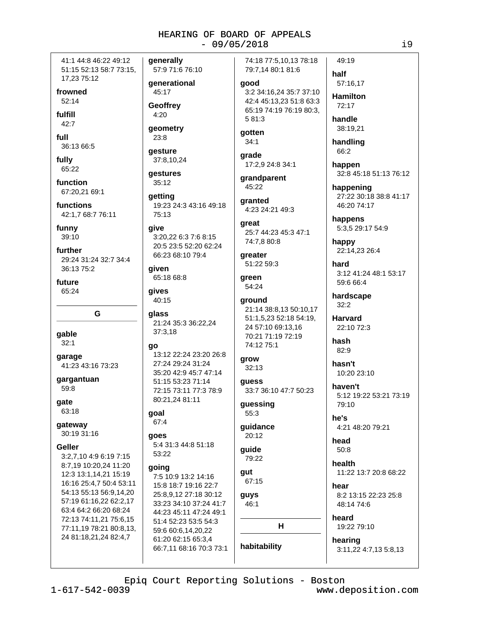41:1 44:8 46:22 49:12 51:15 52:13 58:7 73:15, 17,23 75:12

frowned  $52:14$ 

fulfill  $42:7$ 

full 36:13 66:5

fully 65:22

function 67:20.21 69:1

functions 42:1,7 68:7 76:11

funny  $39:10$ 

further 29:24 31:24 32:7 34:4 36:13 75:2

future 65:24

G

gable  $32:1$ 

garage 41:23 43:16 73:23

gargantuan 59:8

gate 63:18

gateway 30:19 31:16

### **Geller**

3:2,7,10 4:9 6:19 7:15 8:7,19 10:20,24 11:20 12:3 13:1.14.21 15:19 16:16 25:4,7 50:4 53:11 54:13 55:13 56:9,14,20 57:19 61:16,22 62:2,17 63:4 64:2 66:20 68:24 72:13 74:11,21 75:6,15 77:11,19 78:21 80:8,13, 24 81:18,21,24 82:4,7

generally 57:9 71:6 76:10

qenerational 45:17

Geoffrev

4:20

geometry 23:8

qesture 37:8,10,24

**aestures**  $35:12$ 

qetting 19:23 24:3 43:16 49:18 75:13

qive 3:20,22 6:3 7:6 8:15 20:5 23:5 52:20 62:24 66:23 68:10 79:4

qiven 65:18 68:8

qives 40:15

qlass 21:24 35:3 36:22,24  $37:3,18$ 

go

13:12 22:24 23:20 26:8 27:24 29:24 31:24 35:20 42:9 45:7 47:14 51:15 53:23 71:14 72:15 73:11 77:3 78:9 80:21,24 81:11

### goal  $67:4$

goes 5:4 31:3 44:8 51:18 53:22

### qoing

7:5 10:9 13:2 14:16 15:8 18:7 19:16 22:7 25:8.9.12 27:18 30:12 33:23 34:10 37:24 41:7 44:23 45:11 47:24 49:1 51:4 52:23 53:5 54:3 59:6 60:6.14.20.22 61:20 62:15 65:3,4 66:7,11 68:16 70:3 73:1 74:18 77:5.10.13 78:18 79:7,14 80:1 81:6

good 3:2 34:16,24 35:7 37:10 42:4 45:13.23 51:8 63:3 65:19 74:19 76:19 80:3. 5 81:3

gotten  $34:1$ 

grade

17:2,9 24:8 34:1 grandparent

45:22 granted

4:23 24:21 49:3 qreat 25:7 44:23 45:3 47:1

74:7,8 80:8 greater 51:22 59:3

green 54:24

around 21:14 38:8,13 50:10,17 51:1,5,23 52:18 54:19, 24 57:10 69:13.16 70:21 71:19 72:19 74:12 75:1

grow  $32:13$ 

guess 33:7 36:10 47:7 50:23

guessing 55:3

quidance  $20:12$ 

guide 79:22

qut 67:15

guys 46:1  $H$ 

habitability

half 57:16.17 **Hamilton** 

49:19

 $72.17$ handle

38:19,21

handling 66:2

happen 32:8 45:18 51:13 76:12

happening 27:22 30:18 38:8 41:17 46:20 74:17

happens 5:3,5 29:17 54:9

happy 22:14,23 26:4

hard 3:12 41:24 48:1 53:17 59:6 66:4

hardscape  $32:2$ 

**Harvard** 22:10 72:3

hash 82:9

hasn't 10:20 23:10

haven't 5:12 19:22 53:21 73:19  $79.10$ 

he's 4:21 48:20 79:21

head  $50:8$ 

health 11:22 13:7 20:8 68:22

hear 8:2 13:15 22:23 25:8 48:14 74:6

heard 19:22 79:10

hearing

3:11,22 4:7,13 5:8,13

Epiq Court Reporting Solutions - Boston

 $1 - 617 - 542 - 0039$ 

www.deposition.com

 $19$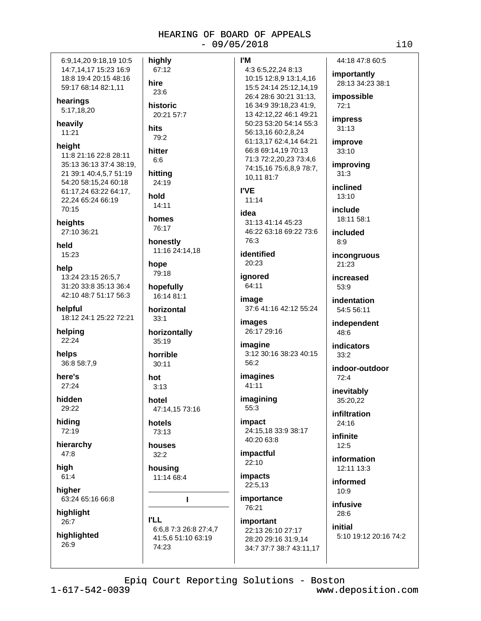| 6:9,14,20 9:18,19 10:5                                                                                                                                     | highly                                              |  |
|------------------------------------------------------------------------------------------------------------------------------------------------------------|-----------------------------------------------------|--|
| 14:7,14,17 15:23 16:9                                                                                                                                      | 67:12                                               |  |
| 18:8 19:4 20:15 48:16                                                                                                                                      | hire                                                |  |
| 59:17 68:14 82:1,11                                                                                                                                        | 23:6                                                |  |
| hearings                                                                                                                                                   | historic                                            |  |
| 5:17,18,20                                                                                                                                                 | 20:21 57:7                                          |  |
| heavily                                                                                                                                                    | hits                                                |  |
| 11:21                                                                                                                                                      | 79:2                                                |  |
| height<br>11:8 21:16 22:8 28:11<br>35:13 36:13 37:4 38:19,<br>21 39:1 40:4,5,7 51:19<br>54:20 58:15,24 60:18<br>61:17,24 63:22 64:17,<br>22,24 65:24 66:19 | hitter<br>6:6<br>hitting<br>24:19<br>hold<br>14:11  |  |
| 70:15<br>heights<br>27:10 36:21                                                                                                                            | homes<br>76:17                                      |  |
| held                                                                                                                                                       | honestly                                            |  |
| 15:23                                                                                                                                                      | 11:16 24:14,18                                      |  |
| help                                                                                                                                                       | hope                                                |  |
| 13:24 23:15 26:5,7                                                                                                                                         | 79:18                                               |  |
| 31:20 33:8 35:13 36:4                                                                                                                                      | hopefully                                           |  |
| 42:10 48:7 51:17 56:3                                                                                                                                      | 16:14 81:1                                          |  |
| helpful                                                                                                                                                    | horizontal                                          |  |
| 18:12 24:1 25:22 72:21                                                                                                                                     | 33:1                                                |  |
| helping                                                                                                                                                    | horizontally                                        |  |
| 22:24                                                                                                                                                      | 35:19                                               |  |
| helps                                                                                                                                                      | horrible                                            |  |
| 36:8 58:7,9                                                                                                                                                | 30:11                                               |  |
| here's                                                                                                                                                     | hot                                                 |  |
| 27:24                                                                                                                                                      | 3:13                                                |  |
| hidden                                                                                                                                                     | hotel                                               |  |
| 29:22                                                                                                                                                      | 47:14,15 73:16                                      |  |
| hiding                                                                                                                                                     | hotels                                              |  |
| 72:19                                                                                                                                                      | 73:13                                               |  |
| hierarchy                                                                                                                                                  | houses                                              |  |
| 47:8                                                                                                                                                       | 32:2                                                |  |
| high                                                                                                                                                       | housing                                             |  |
| 61:4                                                                                                                                                       | 11:14 68:4                                          |  |
| higher<br>63:24 65:16 66:8                                                                                                                                 | ı                                                   |  |
| highlight<br>26:7                                                                                                                                          | l'LL                                                |  |
| highlighted<br>26:9                                                                                                                                        | 6:6,8 7:3 26:8 27:4,<br>41:5,6 51:10 63:19<br>74:23 |  |
|                                                                                                                                                            |                                                     |  |

 $1 - 617 - 542 - 0039$ 

|   | l'M                                                                              | 44                             |
|---|----------------------------------------------------------------------------------|--------------------------------|
|   | 4:3 6:5,22,24 8:13<br>10:15 12:8,9 13:1,4,16                                     | im<br>28                       |
|   | 15:5 24:14 25:12,14,19<br>26:4 28:6 30:21 31:13,<br>16 34:9 39:18,23 41:9,       | im<br>72                       |
|   | 13 42:12,22 46:1 49:21<br>50:23 53:20 54:14 55:3<br>56:13,16 60:2,8,24           | im<br>31                       |
|   | 61:13,17 62:4,14 64:21<br>66:8 69:14,19 70:13                                    | im<br>33                       |
|   | 71:3 72:2,20,23 73:4,6<br>74:15,16 75:6,8,9 78:7,<br>10,11 81:7                  | imı<br>31                      |
|   | l'VE<br>11:14                                                                    | inc<br>13                      |
|   | idea<br>31:13 41:14 45:23                                                        | inc<br>18                      |
|   | 46:22 63:18 69:22 73:6<br>76:3                                                   | inc<br>8:                      |
|   | identified<br>20:23                                                              | inc<br>21                      |
|   | ignored<br>64:11                                                                 | inc<br>53                      |
|   | image<br>37:6 41:16 42:12 55:24                                                  | ind<br>5 <sub>4</sub>          |
|   | images<br>26:17 29:16                                                            | ind<br>48                      |
|   | imagine<br>3:12 30:16 38:23 40:15<br>56:2                                        | ind<br>33<br>ind               |
|   | imagines<br>41:11                                                                | 72                             |
|   | imagining<br>55:3                                                                | ine<br>35                      |
|   | impact<br>24:15,18 33:9 38:17<br>40:20 63:8                                      | infi<br>2 <sup>2</sup><br>infi |
|   | impactful<br>22:10                                                               | 12<br>inf                      |
|   | impacts<br>22:5,13                                                               | 12<br>inf                      |
|   | importance<br>76:21                                                              | 1 <sub>0</sub><br>inf          |
| 7 | important<br>22:13 26:10 27:17<br>28:20 29:16 31:9,14<br>34:7 37:7 38:7 43:11,17 | 28<br>init<br>5:               |

4:18 47:8 60:5 portantly 8:13 34:23 38:1 possible  $2:1$ press  $1:13$ prove  $3:10$ proving  $\mathbf{.3}$ **lined**  $3:10$ :lude 8:11 58:1 cluded 9 **congruous**  $1:23$ **creased**  $3:9$ dentation 4:5 56:11 dependent  $8:6$ dicators  $3:2$ loor-outdoor  $2:4$ vitably 5:20,22 iltration  $4:16$ inite  $2:5$ ormation 2:11 13:3 ormed  $0:9$ 

 $8:6$ tial

www.deposition.com

 $i10$ 

usive

:10 19:12 20:16 74:2

Epiq Court Reporting Solutions - Boston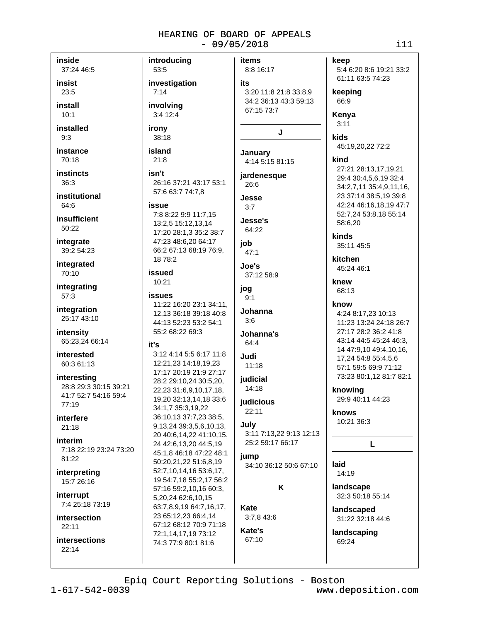items

J.

introducing

53:5

 $7:14$ 

irony

38:18

island

 $21:8$ 

isn't

issue

18 78:2

issued

10:21

**issues** 

it's

66:2 67:13 68:19 76:9,

11:22 16:20 23:1 34:11.

12,13 36:18 39:18 40:8

44:13 52:23 53:2 54:1

3:12 4:14 5:5 6:17 11:8

17:17 20:19 21:9 27:17

28:2 29:10.24 30:5.20.

22,23 31:6,9,10,17,18,

19,20 32:13,14,18 33:6

36:10,13 37:7,23 38:5,

9,13,24 39:3,5,6,10,13,

20 40:6,14,22 41:10,15,

45:1,8 46:18 47:22 48:1

24 42:6,13,20 44:5,19

50:20,21,22 51:6,8,19

52:7,10,14,16 53:6,17,

57:16 59:2,10,16 60:3,

63:7,8,9,19 64:7,16,17,

67:12 68:12 70:9 71:18

5,20,24 62:6,10,15

23 65:12.23 66:4.14

72:1,14,17,19 73:12

74:3 77:9 80:1 81:6

19 54:7,18 55:2,17 56:2

34:1.7 35:3.19.22

12:21,23 14:18,19,23

55:2 68:22 69:3

involvina

3:4 12:4

inside 37:24 46:5

insist  $23:5$ 

install  $10:1$ 

installed  $9:3$ 

instance

70:18

**instincts**  $36:3$ 

institutional 64:6

**insufficient**  $50:22$ 

integrate 39:2 54:23

integrated 70:10

integrating 57:3

integration 25:17 43:10

intensity 65:23,24 66:14

interested 60:3 61:13

interesting 28:8 29:3 30:15 39:21 41:7 52:7 54:16 59:4  $77.19$ 

### interfere  $21:18$

interim 7:18 22:19 23:24 73:20 81:22

interpreting 15:7 26:16

interrupt 7:4 25:18 73:19

intersection  $22.11$ 

intersections  $22:14$ 

### 8:8 16:17 investigation its 3:20 11:8 21:8 33:8.9 34:2 36:13 43:3 59:13 67:15 73:7 January 4:14 5:15 81:15 jardenesque 26:16 37:21 43:17 53:1 26:6 57:6 63:7 74:7,8 Jesse  $3:7$ 7:8 8:22 9:9 11:7,15 Jesse's 13:2,5 15:12,13,14 64:22 17:20 28:1,3 35:2 38:7 47:23 48:6,20 64:17 job

 $47:1$ Joe's

37:12 58:9

```
jog
 9:1
```

```
Johanna
3:6
```

```
Johanna's
 64.4
```
 $11:18$ 

Judi

iudicial 14:18

judicious  $22:11$ 

### July

3:11 7:13.22 9:13 12:13 25:2 59:17 66:17

**jump** 34:10 36:12 50:6 67:10

K

Kate 3:7,8 43:6

Kate's 67:10

### keep

5:4 6:20 8:6 19:21 33:2 61:11 63:5 74:23

keeping 66:9

Kenya  $3:11$ 

kids 45:19,20,22 72:2

### kind

27:21 28:13,17,19,21 29:4 30:4,5,6,19 32:4 34:2,7,11 35:4,9,11,16, 23 37:14 38:5,19 39:8 42:24 46:16.18.19 47:7 52:7.24 53:8.18 55:14 58:6,20

kinds

35:11 45:5

kitchen 45:24 46:1

knew 68:13

## know

4:24 8:17,23 10:13 11:23 13:24 24:18 26:7 27:17 28:2 36:2 41:8 43:14 44:5 45:24 46:3, 14 47:9,10 49:4,10,16, 17.24 54:8 55:4.5.6 57:1 59:5 69:9 71:12 73:23 80:1,12 81:7 82:1

knowing 29:9 40:11 44:23

knows 10:21 36:3

### L

laid 14:19 landscape

32:3 50:18 55:14

landscaped 31:22 32:18 44:6

landscaping 69:24

Epiq Court Reporting Solutions - Boston

 $1 - 617 - 542 - 0039$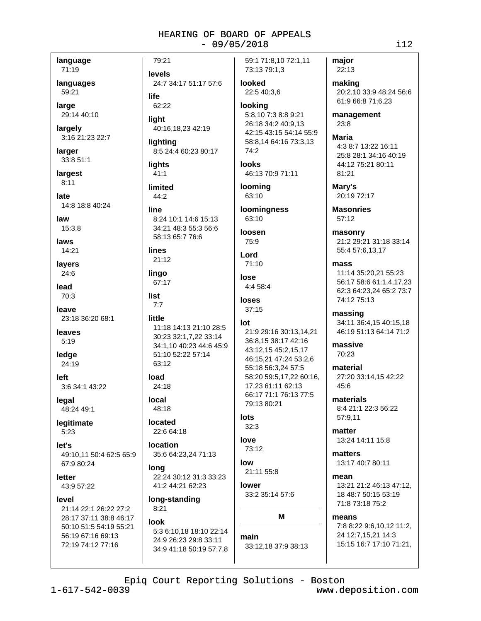language

71:19 languages

59:21

large 29:14 40:10

largely 3:16 21:23 22:7

larger 33:8 51:1

largest  $8:11$ 

late 14:8 18:8 40:24

law

15:3.8

laws 14:21

lavers  $24:6$ 

lead 70:3

leave 23:18 36:20 68:1

leaves  $5:19$ 

ledae 24:19

left 3:6 34:1 43:22

legal 48:24 49:1

legitimate  $5:23$ 

 $let's$ 49:10.11 50:4 62:5 65:9 67:9 80:24

letter 43:9 57:22

level 21:14 22:1 26:22 27:2 28:17 37:11 38:8 46:17 50:10 51:5 54:19 55:21 56:19 67:16 69:13 72:19 74:12 77:16

 $1 - 617 - 542 - 0039$ 

24:7 34:17 51:17 57:6

lighting 8:5 24:4 60:23 80:17

40:16,18,23 42:19

lights  $41:1$ 

79:21

levels

62:22

light

life

limited  $44:2$ 

line

8:24 10:1 14:6 15:13 34:21 48:3 55:3 56:6

58:13 65:7 76:6

lines

21:12 lingo

67:17

list  $7:7$ 

### little

11:18 14:13 21:10 28:5 30:23 32:1,7,22 33:14 34:1,10 40:23 44:6 45:9 51:10 52:22 57:14 63:12

load 24:18

local 48:18

located 22:6 64:18

location

lona 41:2 44:21 62:23

long-standing  $8:21$ 

### look

5:3 6:10,18 18:10 22:14 24:9 26:23 29:8 33:11 34:9 41:18 50:19 57:7.8 59:1 71:8,10 72:1,11 73:13 79:1,3

looked 22:5 40:3.6

looking 5:8,10 7:3 8:8 9:21 26:18 34:2 40:9.13 42:15 43:15 54:14 55:9 58:8,14 64:16 73:3,13 74:2

looks 46:13 70:9 71:11

**looming** 63:10

63:10

75:9

Lord

 $4:458:4$ 

 $37:15$ 

### lot

36:8,15 38:17 42:16 43:12,15 45:2,15,17 46:15,21 47:24 53:2,6 55:18 56:3.24 57:5 58:20 59:5.17.22 60:16. 17.23 61:11 62:13 66:17 71:1 76:13 77:5 79:13 80:21

### lots

35:6 64:23,24 71:13

22:24 30:12 31:3 33:23

loomingness

loosen

 $71:10$ 

lose

loses

21:9 29:16 30:13.14.21

## $32:3$

love 73:12

 $low$ 

Epiq Court Reporting Solutions - Boston

21:11 55:8 lower

33:2 35:14 57:6

# M

main 33:12,18 37:9 38:13 making 20:2,10 33:9 48:24 56:6 61:9 66:8 71:6,23

 $i12$ 

management  $23:8$ 

**Maria** 4:3 8:7 13:22 16:11 25:8 28:1 34:16 40:19 44:12 75:21 80:11 81:21

Marv's 20:19 72:17

**Masonries**  $57:12$ 

masonry 21:2 29:21 31:18 33:14 55:4 57:6,13,17

mass 11:14 35:20,21 55:23 56:17 58:6 61:1.4.17.23 62:3 64:23,24 65:2 73:7 74:12 75:13

massing 34:11 36:4,15 40:15,18 46:19 51:13 64:14 71:2

massive 70:23

material 27:20 33:14.15 42:22 45:6

materials 8:4 21:1 22:3 56:22 57:9,11

matter 13:24 14:11 15:8

matters 13:17 40:7 80:11

means

mean 13:21 21:2 46:13 47:12. 18 48:7 50:15 53:19 71:8 73:18 75:2

7:8 8:22 9:6.10.12 11:2.

15:15 16:7 17:10 71:21.

24 12:7,15,21 14:3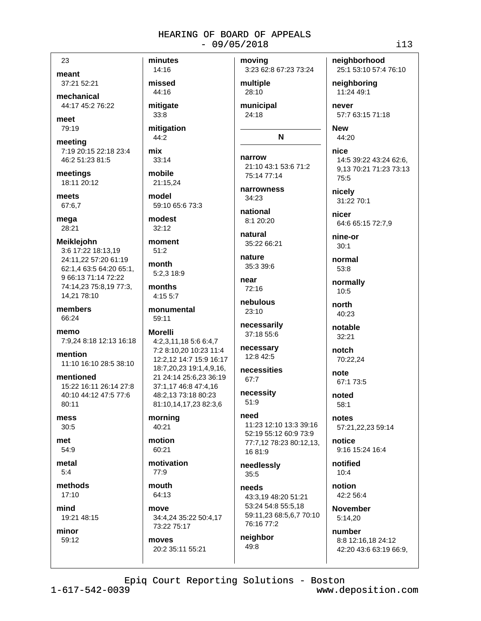23

meant

37:21 52:21

mechanical 44:17 45:2 76:22

meet 79:19

meeting 7:19 20:15 22:18 23:4 46:2 51:23 81:5

meetings 18:11 20:12

meets 67:6,7

mega 28:21

**Meiklejohn** 3:6 17:22 18:13.19 24:11,22 57:20 61:19 62:1,4 63:5 64:20 65:1, 9 66:13 71:14 72:22 74:14,23 75:8,19 77:3, 14,21 78:10

members 66:24

memo 7:9,24 8:18 12:13 16:18

mention 11:10 16:10 28:5 38:10

mentioned 15:22 16:11 26:14 27:8 40:10 44:12 47:5 77:6 80:11

mess  $30:5$ 

met 54:9

metal  $5:4$ 

methods  $17:10$ 

mind

19:21 48:15

minor 59:12 minutes 14:16 missed 44:16 mitigate  $33:8$ mitigation 44:2 mix 33:14 mobile 21:15.24 model 59:10 65:6 73:3 modest  $32:12$ moment  $51:2$ month  $5:2.318:9$ months 4:15 5:7 monumental 59:11 **Morelli** 4:2,3,11,18 5:6 6:4,7 7:2 8:10.20 10:23 11:4 12:2,12 14:7 15:9 16:17 18:7,20,23 19:1,4,9,16, 21 24:14 25:6.23 36:19 37:1,17 46:8 47:4,16 48:2,13 73:18 80:23 81:10,14,17,23 82:3,6

### morning  $40:21$

motion 60:21

motivation 77:9

mouth 64:13

move 34:4,24 35:22 50:4,17 73:22 75:17

moves 20:2 35:11 55:21 moving 3:23 62:8 67:23 73:24

multiple 28:10 municipal

24:18

## N

narrow 21:10 43:1 53:6 71:2 75:14 77:14

narrowness 34:23

national 8:1 20:20

natural 35:22 66:21

nature 35:3 39:6 near

 $72:16$ nebulous

23:10 necessarily

> 37:18 55:6 necessary 12:8 42:5

necessities 67:7

necessity  $51:9$ 

### need

11:23 12:10 13:3 39:16 52:19 55:12 60:9 73:9 77:7,12 78:23 80:12,13, 1681:9 needlessly

 $35:5$ needs

43:3,19 48:20 51:21 53:24 54:8 55:5,18 59:11,23 68:5,6,7 70:10 76:16 77:2

neighbor 49:8

neighborhood

25:1 53:10 57:4 76:10 neighboring

11:24 49:1 never

57:7 63:15 71:18

**New** 44:20

nice 14:5 39:22 43:24 62:6, 9,13 70:21 71:23 73:13 75:5

nicely 31:22 70:1

nicer 64:6 65:15 72:7,9

nine-or  $30:1$ 

normal 53:8

normally  $10:5$ 

north 40:23

notable  $32:21$ 

notch 70:22,24

note 67:1 73:5

noted  $58:1$ 

notes 57:21,22,23 59:14

notice 9:16 15:24 16:4

notified  $10:4$ 

notion 42:2 56:4

**November** 5:14.20

number 8:8 12:16,18 24:12 42:20 43:6 63:19 66:9,

Epiq Court Reporting Solutions - Boston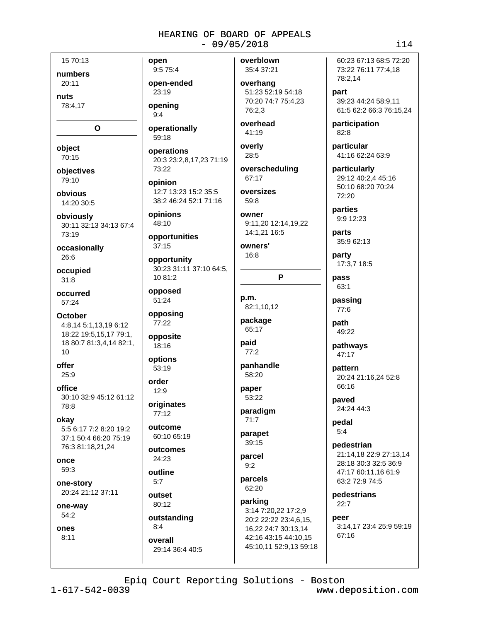15 70:13 numbers 20:11

nuts 78:4.17

O

- object
- $70:15$

objectives 79:10

obvious 14:20 30:5

obviously 30:11 32:13 34:13 67:4 73:19

occasionally 26:6

occupied  $31:8$ 

occurred 57:24

**October** 4:8.14 5:1.13.19 6:12 18:22 19:5,15,17 79:1, 18 80:7 81:3,4,14 82:1,  $10$ 

offer  $25:9$ 

office 30:10 32:9 45:12 61:12 78:8

okay 5:5 6:17 7:2 8:20 19:2 37:1 50:4 66:20 75:19 76:3 81:18,21,24

once 59:3

one-story 20:24 21:12 37:11

one-way  $54:2$ 

ones  $8:11$ 

open 9:5 75:4

open-ended 23:19

openina  $9:4$ 

59:18

operationally

operations 20:3 23:2,8,17,23 71:19 73:22

opinion 12:7 13:23 15:2 35:5 38:2 46:24 52:1 71:16

opinions 48:10

opportunities  $37:15$ 

opportunity 30:23 31:11 37:10 64:5, 10 81:2

opposed 51:24

opposing 77:22

opposite 18:16

options 53:19 order

 $12:9$ originates

77:12 outcome

60:10 65:19

outcomes  $24:23$ 

outline  $5.7$ 

outset 80:12

outstanding  $8:4$ overall 29:14 36:4 40:5 overblown 35:4 37:21

overhang 51:23 52:19 54:18 70:20 74:7 75:4.23 76:2.3

overhead 41:19

overly 28:5

overscheduling 67:17

oversizes  $59:8$ 

owner 9:11,20 12:14,19,22 14:1.21 16:5

owners'

16:8

P

p.m. 82:1,10,12

package 65:17

paid  $77:2$ 

panhandle 58:20

paper 53:22

paradigm  $71:7$ 

parapet

39:15 parcel  $9:2$ 

parcels 62:20

parking 3:14 7:20,22 17:2,9 20:2 22:22 23:4.6.15. 16.22 24:7 30:13.14 42:16 43:15 44:10,15 45:10,11 52:9,13 59:18 60:23 67:13 68:5 72:20 73:22 76:11 77:4,18 78:2,14

part 39:23 44:24 58:9.11 61:5 62:2 66:3 76:15,24

participation  $82:8$ 

particular 41:16 62:24 63:9

particularly 29:12 40:2,4 45:16 50:10 68:20 70:24 72:20

parties 9:9 12:23

parts 35:9 62:13

party 17:3,7 18:5

pass 63:1

passing  $77:6$ 

path 49:22

pathways 47:17

pattern 20:24 21:16.24 52:8 66:16

paved 24:24 44:3

pedal  $5:4$ 

pedestrian 21:14.18 22:9 27:13.14 28:18 30:3 32:5 36:9 47:17 60:11.16 61:9 63:2 72:9 74:5

pedestrians  $22:7$ 

neer 3:14,17 23:4 25:9 59:19 67:16

Epiq Court Reporting Solutions - Boston

 $1 - 617 - 542 - 0039$ 

www.deposition.com

### $114$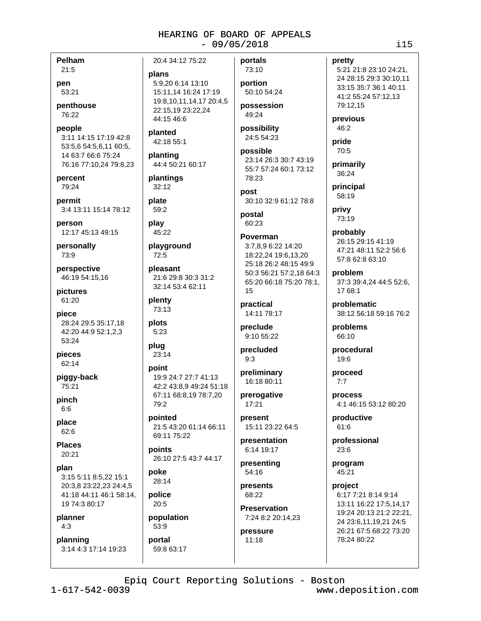Pelham

 $21:5$ pen

53:21

penthouse 76:22

people 3:11 14:15 17:19 42:8 53:5.6 54:5.6.11 60:5. 14 63:7 66:6 75:24 76:16 77:10,24 79:8,23

percent 79:24

permit 3:4 13:11 15:14 78:12

person 12:17 45:13 49:15

personally 73:9

perspective 46:19 54:15,16

pictures 61:20

piece 28:24 29:5 35:17,18 42:20 44:9 52:1,2,3 53:24

pieces 62:14

piggy-back 75:21

pinch  $6:6$ 

place  $62:6$ 

**Places** 20:21

plan 3:15 5:11 8:5,22 15:1 20:3,8 23:22,23 24:4,5 41:18 44:11 46:1 58:14. 19 74:3 80:17

planner  $4:3$ 

planning 3:14 4:3 17:14 19:23

20:4 34:12 75:22 plans 5:9,20 6:14 13:10 15:11,14 16:24 17:19

19:8,10,11,14,17 20:4,5 22:15.19 23:22.24 44:15 46:6

planted 42:18 55:1

planting 44:4 50:21 60:17

plantings  $32:12$ 

plate 59:2

play  $45:22$ 

playground  $72:5$ 

pleasant 21:6 29:8 30:3 31:2 32:14 53:4 62:11

plenty 73:13

plots  $5:23$ 

plug 23:14

### point 19:9 24:7 27:7 41:13 42:2 43:8,9 49:24 51:18 67:11 68:8,19 78:7,20 79:2

pointed 21:5 43:20 61:14 66:11 69:11 75:22

points 26:10 27:5 43:7 44:17

noke 28:14

police  $20:5$ 

population 53:9 portal

59:8 63:17

73:10 portion 50:10 54:24

portals

possession 49:24

possibility 24:5 54:23

possible 23:14 26:3 30:7 43:19 55:7 57:24 60:1 73:12 78:23

post 30:10 32:9 61:12 78:8

postal 60:23

### Poverman

3:7,8,9 6:22 14:20 18:22,24 19:6,13,20 25:18 26:2 48:15 49:9 50:3 56:21 57:2,18 64:3 65:20 66:18 75:20 78:1, 15

practical 14:11 78:17

preclude 9:10 55:22

precluded  $9:3$ 

preliminary 16:18 80:11

prerogative 17:21

present 15:11 23:22 64:5

presentation 6:14 19:17

presenting 54:16

presents 68:22

**Preservation** 7:24 8:2 20:14.23

pressure  $11:18$ 

pretty 5:21 21:8 23:10 24:21,

24 28:15 29:3 30:10,11 33:15 35:7 36:1 40:11 41:2 55:24 57:12,13 79:12,15

previous 46:2

pride 70:5

primarily 36:24

principal 58:19

privy 73:19

probably 26:15 29:15 41:19 47:21 48:11 52:2 56:6 57:8 62:8 63:10

problem 37:3 39:4,24 44:5 52:6, 17 68:1

problematic 38:12 56:18 59:16 76:2

problems 66:10

procedural 19:6

proceed  $7:7$ 

process 4:1 46:15 53:12 80:20

productive  $61:6$ 

professional  $23:6$ 

program 45:21

project 6:17 7:21 8:14 9:14 13:11 16:22 17:5,14,17 19:24 20:13 21:2 22:21, 24 23:6,11,19,21 24:5 26:21 67:5 68:22 73:20 78:24 80:22

Epiq Court Reporting Solutions - Boston

 $1 - 617 - 542 - 0039$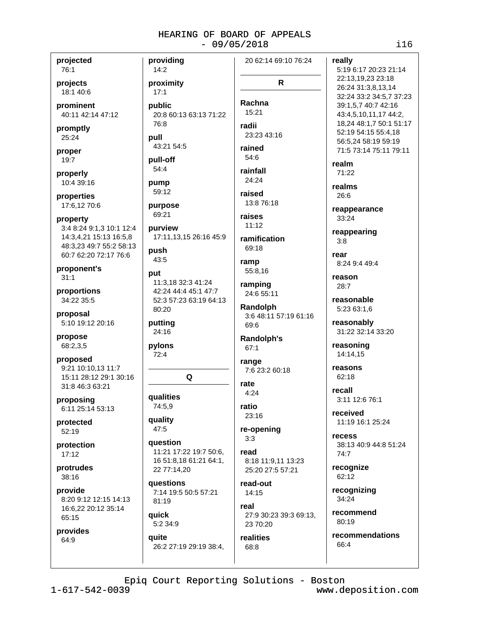projected 76:1

projects 18:1 40:6

prominent 40:11 42:14 47:12

promptly 25:24

proper 19:7

properly 10:4 39:16

properties 17:6,12 70:6

property 3:4 8:24 9:1,3 10:1 12:4 14:3,4,21 15:13 16:5,8 48:3,23 49:7 55:2 58:13 60:7 62:20 72:17 76:6

proponent's  $31:1$ 

proportions 34:22 35:5

proposal 5:10 19:12 20:16

propose 68:2,3,5

proposed 9:21 10:10,13 11:7 15:11 28:12 29:1 30:16 31:8 46:3 63:21

proposing 6:11 25:14 53:13

protected  $52:19$ 

protection  $17:12$ 

protrudes  $38.16$ 

provide 8:20 9:12 12:15 14:13 16:6,22 20:12 35:14 65:15

provides 64:9

providing 20 62:14 69:10 76:24 14:2 proximity  $17:1$ nublic 20:8 60:13 63:13 71:22 76:8 radii pull 43:21 54:5 54:6 pull-off 54:4 pump 59:12 purpose 69:21  $11:12$ purview 17:11,13,15 26:16 45:9 push 43:5 ramp put 11:3,18 32:3 41:24 42:24 44:4 45:1 47:7 52:3 57:23 63:19 64:13 Randolph 80:20 putting 69:6 24:16 pylons  $67:1$  $72:4$ range Q rate  $4:24$ qualities 74:5,9 ratio quality  $47:5$  $3:3$ **auestion** 11:21 17:22 19:7 50:6, read 16 51:8,18 61:21 64:1, 22 77:14,20 questions 7:14 19:5 50:5 57:21 81:19

**auick** 5:2 34:9

quite 26:2 27:19 29:19 38:4,

 $\mathsf{R}$ Rachna 15:21 23:23 43:16 rained rainfall 24:24 raised 13:8 76:18 raises

ramification 69:18

55:8,16

ramping 24:6 55:11

3:6 48:11 57:19 61:16

Randolph's

7:6 23:2 60:18

 $23:16$ 

re-opening

8:18 11:9,11 13:23 25:20 27:5 57:21

read-out 14:15

real 27:9 30:23 39:3 69:13, 23 70:20

realities 68:8

really 5:19 6:17 20:23 21:14 22:13,19,23 23:18 26:24 31:3,8,13,14 32:24 33:2 34:5,7 37:23 39:1,5,7 40:7 42:16 43:4,5,10,11,17 44:2, 18,24 48:1,7 50:1 51:17 52:19 54:15 55:4,18 56:5,24 58:19 59:19 71:5 73:14 75:11 79:11 realm  $71:22$ realms 26:6 reappearance  $33.24$ reappearing  $3:8$ rear 8:24 9:4 49:4 reason  $28:7$ reasonable 5:23 63:1,6 reasonably 31:22 32:14 33:20 reasoning 14:14,15 reasons 62:18 recall

3:11 12:6 76:1

received 11:19 16:1 25:24

recess 38:13 40:9 44:8 51:24  $74:7$ 

recognize 62:12

recognizing 34:24

recommend 80:19

recommendations 66:4

Epiq Court Reporting Solutions - Boston

 $1 - 617 - 542 - 0039$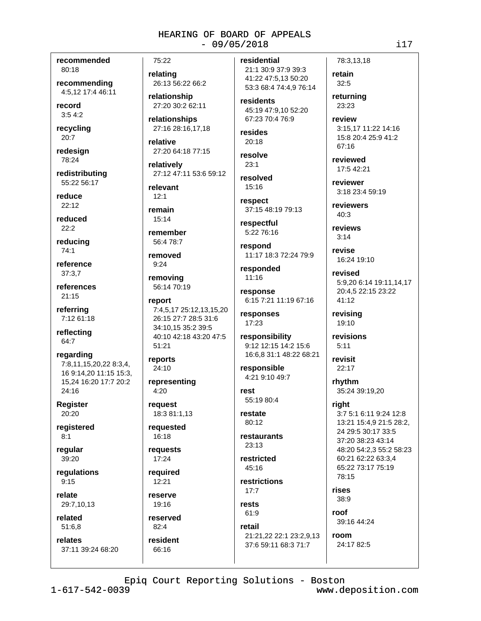recommended 80:18

recommending 4:5.12 17:4 46:11

record  $3:54:2$ 

recycling  $20:7$ 

redesign 78:24

redistributing 55:22 56:17

reduce  $22:12$ 

reduced  $22:2$ 

reducing  $74:1$ 

reference  $37:3.7$ 

references  $21:15$ 

referring 7:12 61:18

reflecting 64:7

regarding 7:8,11,15,20,22 8:3,4, 16 9:14,20 11:15 15:3, 15,24 16:20 17:7 20:2 24:16

**Register** 20:20

registered  $8:1$ 

reqular  $39:20$ 

regulations  $9:15$ 

relate 29:7,10,13

related 51:6.8

relates 37:11 39:24 68:20 75:22

relating 26:13 56:22 66:2

relationship 27:20 30:2 62:11

relationships 27:16 28:16,17,18

relative 27:20 64:18 77:15

relatively 27:12 47:11 53:6 59:12

relevant  $12:1$ 

remain 15:14

remember 56:4 78:7

removed

 $9:24$ removina

56:14 70:19

report 7:4,5,17 25:12,13,15,20 26:15 27:7 28:5 31:6 34:10.15 35:2 39:5 40:10 42:18 43:20 47:5 51:21

reports 24:10

representing 4:20

request 18:3 81:1,13

requested 16:18

requests 17:24

reauired  $12:21$ 

reserve 19:16

reserved  $82.4$ resident

66:16

residential 21:1 30:9 37:9 39:3 41:22 47:5,13 50:20 53:3 68:4 74:4,9 76:14

residents 45:19 47:9.10 52:20 67:23 70:4 76:9

resides  $20.18$ 

resolve  $23:1$ 

resolved  $15:16$ 

respect 37:15 48:19 79:13

respectful 5:22 76:16

respond 11:17 18:3 72:24 79:9

responded  $11:16$ 

response 6:15 7:21 11:19 67:16

responses 17:23

responsibility 9:12 12:15 14:2 15:6 16:6,8 31:1 48:22 68:21

responsible 4:21 9:10 49:7

rest 55:19 80:4

restate 80:12

restaurants  $23:13$ 

restricted  $45:16$ 

restrictions  $17:7$ 

rests 61:9 retail

21:21.22 22:1 23:2.9.13 37:6 59:11 68:3 71:7

78:3.13.18

returning 23:23

retain

 $32:5$ 

review 3:15.17 11:22 14:16 15:8 20:4 25:9 41:2 67:16

reviewed 17:5 42:21

reviewer 3:18 23:4 59:19

reviewers  $40:3$ 

reviews  $3.14$ 

revise 16:24 19:10

revised 5:9,20 6:14 19:11,14,17 20:4,5 22:15 23:22 41:12

revising 19:10

revisions  $5:11$ 

revisit  $22:17$ 

rhythm 35:24 39:19,20

right 3:7 5:1 6:11 9:24 12:8 13:21 15:4.9 21:5 28:2. 24 29:5 30:17 33:5 37:20 38:23 43:14 48:20 54:2.3 55:2 58:23 60:21 62:22 63:3.4 65:22 73:17 75:19 78:15

rises 38:9

roof 39:16 44:24

room 24:17 82:5

Epiq Court Reporting Solutions - Boston

 $i17$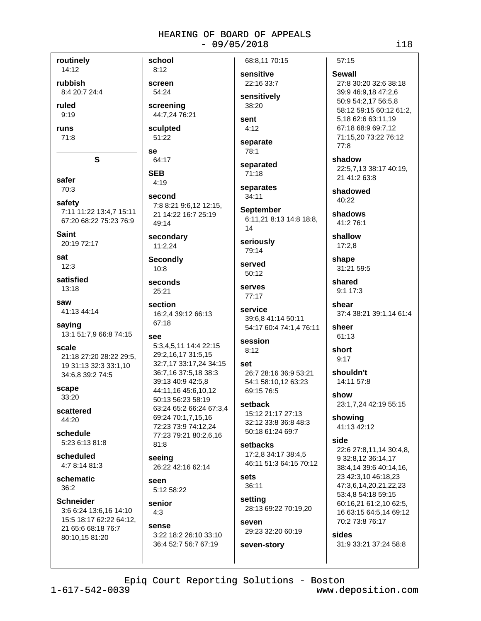routinely

14:12 rubbish

8:4 20:7 24:4

ruled

 $9:19$ 

runs  $71:8$ 

safer

70:3

safety 7:11 11:22 13:4,7 15:11 67:20 68:22 75:23 76:9

 $\mathbf{s}$ 

**Saint** 20:19 72:17

sat  $12:3$ 

satisfied  $13.18$ 

saw 41:13 44:14

saving 13:1 51:7,9 66:8 74:15

scale 21:18 27:20 28:22 29:5. 19 31:13 32:3 33:1,10 34:6,8 39:2 74:5

scape 33:20

scattered 44:20

schedule 5:23 6:13 81:8

scheduled 4:7 8:14 81:3

schematic  $36:2$ 

**Schneider** 3:6 6:24 13:6,16 14:10 15:5 18:17 62:22 64:12. 21 65:6 68:18 76:7 80:10,15 81:20

 $8:12$ screen

school

54:24 screening 44:7,24 76:21

sculpted 51:22

se

### 64:17 **SEB**

 $4:19$ second 7:8 8:21 9:6,12 12:15, 21 14:22 16:7 25:19

49:14 secondary

11:2,24

**Secondly**  $10:8$ 

25:21

seconds

section 16:2,4 39:12 66:13 67:18

### see

5:3,4,5,11 14:4 22:15 29:2,16,17 31:5,15 32:7,17 33:17,24 34:15 36:7.16 37:5.18 38:3 39:13 40:9 42:5.8 44:11.16 45:6.10.12 50:13 56:23 58:19 63:24 65:2 66:24 67:3,4 69:24 70:1,7,15,16 72:23 73:9 74:12,24 77:23 79:21 80:2,6,16  $81:8$ 

seeing 26:22 42:16 62:14

seen 5:12 58:22

senior  $4:3$ 

### sense

3:22 18:2 26:10 33:10 36:4 52:7 56:7 67:19

sensitive 22:16 33:7

68:8.11 70:15

sensitively 38:20

sent  $4:12$ 

separate 78:1

separated  $71:18$ 

separates  $34:11$ 

**September** 6:11,21 8:13 14:8 18:8, 14

seriously 79:14

served 50:12

serves 77:17

service 39:6,8 41:14 50:11 54:17 60:4 74:1,4 76:11

#### session  $8:12$

set 26:7 28:16 36:9 53:21 54:1 58:10,12 63:23 69:15 76:5

setback 15:12 21:17 27:13 32:12 33:8 36:8 48:3 50:18 61:24 69:7

### setbacks 17:2.8 34:17 38:4.5

46:11 51:3 64:15 70:12 sets

36:11

setting 28:13 69:22 70:19,20

SAVAN 29:23 32:20 60:19 seven-story

 $57:15$ 

### **Sewall**

27:8 30:20 32:6 38:18 39:9 46:9,18 47:2,6 50:9 54:2,17 56:5,8 58:12 59:15 60:12 61:2, 5,18 62:6 63:11,19 67:18 68:9 69:7,12 71:15.20 73:22 76:12  $77:8$ 

shadow 22:5,7,13 38:17 40:19, 21 41:2 63:8

shadowed 40:22

shadows 41:2 76:1

shallow  $17:2,8$ 

shape 31:21 59:5

shared  $9:117:3$ 

shear 37:4 38:21 39:1,14 61:4

sheer 61:13

short  $9:17$ 

shouldn't 14:11 57:8

show 23:1,7,24 42:19 55:15

showing 41:13 42:12

### side

22:6 27:8,11,14 30:4,8, 9 32:8.12 36:14.17 38:4,14 39:6 40:14,16, 23 42:3,10 46:18,23 47:3,6,14,20,21,22,23 53:4,8 54:18 59:15 60:16.21 61:2.10 62:5, 16 63:15 64:5,14 69:12 70:2 73:8 76:17

sides 31:9 33:21 37:24 58:8

Epiq Court Reporting Solutions - Boston

 $1 - 617 - 542 - 0039$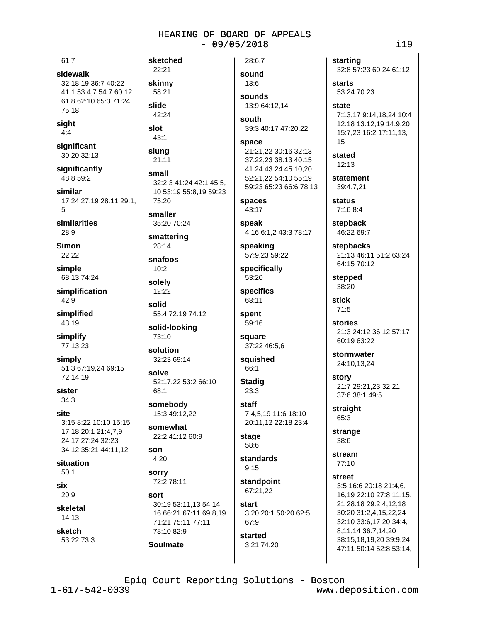| 61:7                                                                                              |
|---------------------------------------------------------------------------------------------------|
| sidewalk<br>32:18,19 36:7 40:22<br>41:1 53:4,7 54:7 60:12<br>61:8 62:10 65:3 71:24<br>75:18       |
| sight<br>4:4                                                                                      |
| significant<br>30:20 32:13                                                                        |
| significantly<br>48:8 59:2                                                                        |
| similar<br>17:24 27:19 28:11 29:1,<br>5                                                           |
| similarities<br>28:9                                                                              |
| Simon<br>22:22                                                                                    |
| simple<br>68:13 74:24                                                                             |
| simplification<br>42:9                                                                            |
| simplified<br>43:19                                                                               |
| simplify<br>77:13,23                                                                              |
| simply<br>51:3 67:19,24 69:15<br>72:14,19                                                         |
| sister<br>34:3                                                                                    |
| site<br>3:15 8:22 10:10 15:15<br>17:18 20:1 21:4,7,9<br>24:17 27:24 32:23<br>34:12 35:21 44:11,12 |
| situation<br>50:1                                                                                 |

slot

son

sort

78:10 82:9

**Soulmate** 

six  $20:9$ 

skeletal  $14:13$ 

sketch 53:22 73:3 sketched 28:6.7 22:21 sound skinny 13:6 58:21 sounds slide 13:9 64:12.14 42:24 south  $43:1$ space slung 21:11 small 32:2.3 41:24 42:1 45:5. 10 53:19 55:8,19 59:23 spaces 75:20 43:17 smaller 35:20 70:24 speak smattering 28:14 snafoos  $10:2$  $53:20$ solely specifics 12:22 68:11 solid 55:4 72:19 74:12 spent 59:16 solid-looking 73:10 square solution 32:23 69:14 squished 66:1 solve 52:17,22 53:2 66:10 **Stadig** 68:1  $23:3$ somebody staff 15:3 49:12,22 somewhat 22:2 41:12 60:9 stage 58:6 standards  $4:20$  $9:15$ sorry 72:2 78:11 67:21,22 start 30:19 53:11,13 54:14, 16 66:21 67:11 69:8,19 71:21 75:11 77:11

39:3 40:17 47:20.22

```
21:21.22 30:16 32:13
37:22,23 38:13 40:15
41:24 43:24 45:10,20
52:21,22 54:10 55:19
59:23 65:23 66:6 78:13
```
4:16 6:1,2 43:3 78:17

speaking 57:9,23 59:22

specifically

37:22 46:5,6

7:4,5,19 11:6 18:10 20:11,12 22:18 23:4

standpoint

3:20 20:1 50:20 62:5 67:9

started 3:21 74:20 starting 32:8 57:23 60:24 61:12 **starts** 53:24 70:23 state 7:13,17 9:14,18,24 10:4 12:18 13:12,19 14:9,20 15:7,23 16:2 17:11,13, 15 stated  $12:13$ statement 39:4.7.21 status 7:16 8:4 stepback 46:22 69:7 stepbacks 21:13 46:11 51:2 63:24 64:15 70:12 stepped 38:20 stick  $71.5$ stories 21:3 24:12 36:12 57:17 60:19 63:22 stormwater 24:10,13,24 story 21:7 29:21,23 32:21 37:6 38:1 49:5

straight 65:3

strange 38:6

stream 77:10

street 3:5 16:6 20:18 21:4,6, 16,19 22:10 27:8,11,15, 21 28:18 29:2,4,12,18 30:20 31:2,4,15,22,24 32:10 33:6,17,20 34:4, 8,11,14 36:7,14,20 38:15,18,19,20 39:9,24 47:11 50:14 52:8 53:14,

Epiq Court Reporting Solutions - Boston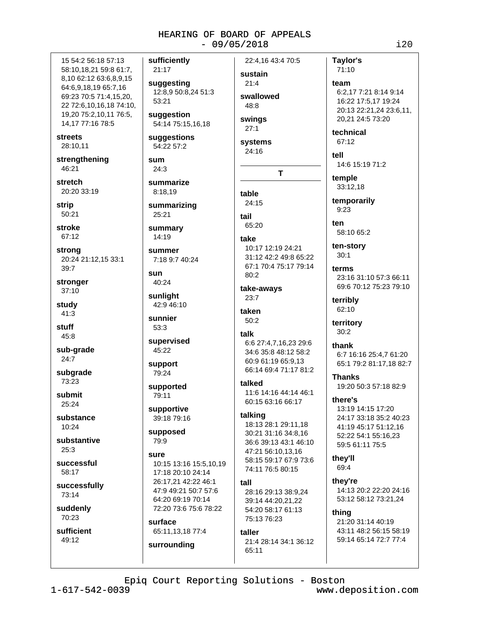15 54:2 56:18 57:13 58:10,18,21 59:8 61:7, 8,10 62:12 63:6,8,9,15 64:6,9,18,19 65:7,16 69:23 70:5 71:4,15,20, 22 72:6,10,16,18 74:10, 19,20 75:2,10,11 76:5, 14,17 77:16 78:5

**streets** 

28:10,11

strengthening 46:21

stretch 20:20 33:19

strip  $50:21$ 

stroke 67:12

strong 20:24 21:12,15 33:1 39:7

stronger  $37:10$ 

study  $41:3$ 

stuff  $45:8$ 

sub-grade  $24:7$ 

subarade 73:23

submit 25:24

substance  $10.24$ 

substantive  $25:3$ 

successful 58:17

successfully 73:14

suddenly 70:23

sufficient 49:12

sufficiently 21:17 suggesting 12:8,9 50:8,24 51:3  $53.21$ suggestion 54:14 75:15,16,18 suggestions 54:22 57:2 sum  $24.3$ summarize 8:18.19 summarizing 25:21 summary  $14:19$ summer 7:18 9:7 40:24 sun 40:24 sunlight 42:9 46:10 sunnier 53:3 supervised 45:22 support 79:24 supported 79:11 supportive 39:18 79:16 supposed

79:9 SUITA

10:15 13:16 15:5.10.19 17:18 20:10 24:14 26:17,21 42:22 46:1 47:9 49:21 50:7 57:6 64:20 69:19 70:14 72:20 73:6 75:6 78:22

### surface

65:11,13,18 77:4 surrounding

22:4.16 43:4 70:5 sustain  $21:4$ swallowed  $48.8$ swings  $27:1$ systems  $24:16$  $\mathbf T$ table  $24:15$ tail 65:20 take 10:17 12:19 24:21 31:12 42:2 49:8 65:22 67:1 70:4 75:17 79:14  $80:2$ take-aways 23:7 taken 50:2 talk 6:6 27:4,7,16,23 29:6 34:6 35:8 48:12 58:2 60:9 61:19 65:9.13 66:14 69:4 71:17 81:2 talked 11:6 14:16 44:14 46:1 60:15 63:16 66:17 talking 18:13 28:1 29:11.18 30:21 31:16 34:8.16 36:6 39:13 43:1 46:10 47:21 56:10,13,16

### tall

28:16 29:13 38:9,24 39:14 44:20,21,22 54:20 58:17 61:13 75:13 76:23

74:11 76:5 80:15

58:15 59:17 67:9 73:6

### taller

21:4 28:14 34:1 36:12 65:11

Taylor's 71:10 team 6:2.17 7:21 8:14 9:14 16:22 17:5,17 19:24 20:13 22:21,24 23:6,11, 20,21 24:5 73:20 technical 67:12

tell 14:6 15:19 71:2

temple

33:12.18

temporarily  $9:23$ 

 $tan$ 58:10 65:2

ten-story  $30:1$ 

terms 23:16 31:10 57:3 66:11 69:6 70:12 75:23 79:10

terribly 62:10

territory  $30:2$ 

thank 6:7 16:16 25:4.7 61:20 65:1 79:2 81:17,18 82:7

**Thanks** 19:20 50:3 57:18 82:9

there's 13:19 14:15 17:20 24:17 33:18 35:2 40:23

41:19 45:17 51:12.16 52:22 54:1 55:16,23 59:5 61:11 75:5

they'll 69:4

they're 14:13 20:2 22:20 24:16 53:12 58:12 73:21.24

thing 21:20 31:14 40:19 43:11 48:2 56:15 58:19 59:14 65:14 72:7 77:4

 $1 - 617 - 542 - 0039$ 

 $i20$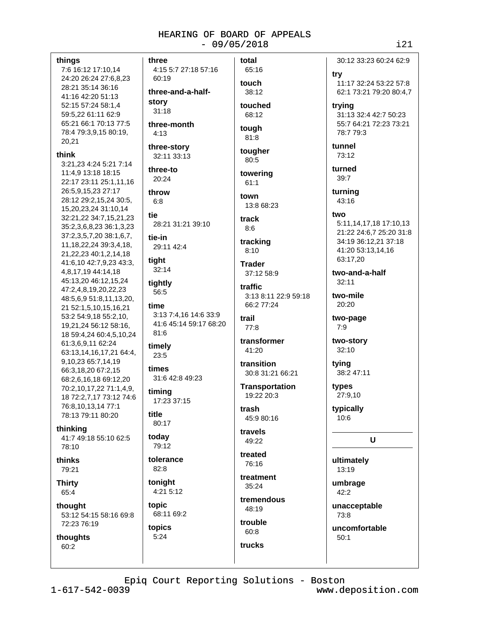### things

7:6 16:12 17:10,14 24:20 26:24 27:6,8,23 28:21 35:14 36:16 41:16 42:20 51:13 52:15 57:24 58:1,4 59:5.22 61:11 62:9 65:21 66:1 70:13 77:5 78:4 79:3,9,15 80:19, 20,21

#### think

3:21.23 4:24 5:21 7:14 11:4,9 13:18 18:15 22:17 23:11 25:1,11,16 26:5.9.15.23 27:17 28:12 29:2,15,24 30:5, 15,20,23,24 31:10,14 32:21,22 34:7,15,21,23 35:2,3,6,8,23 36:1,3,23 37:2,3,5,7,20 38:1,6,7, 11, 18, 22, 24 39: 3, 4, 18, 21, 22, 23 40: 1, 2, 14, 18 41:6,10 42:7,9,23 43:3, 4,8,17,19 44:14,18 45:13,20 46:12,15,24 47:2,4,8,19,20,22,23 48:5,6,9 51:8,11,13,20, 21 52:1,5,10,15,16,21 53:2 54:9,18 55:2,10, 19,21,24 56:12 58:16, 18 59:4,24 60:4,5,10,24 61:3,6,9,11 62:24 63:13,14,16,17,21 64:4, 9,10,23 65:7,14,19 66:3,18,20 67:2,15 68:2,6,16,18 69:12,20 70:2,10,17,22 71:1,4,9, 18 72:2,7,17 73:12 74:6 76:8,10,13,14 77:1 78:13 79:11 80:20

### thinking

41:7 49:18 55:10 62:5 78:10

thinks 79:21

**Thirty** 65:4

thought 53:12 54:15 58:16 69:8 72:23 76:19

### thoughts 60:2

three 4:15 5:7 27:18 57:16 60:19 three-and-a-halfstory  $31:18$ three-month  $4.13$ three-story 32:11 33:13

three-to  $20:24$ 

throw  $6:8$ 

tie 28:21 31:21 39:10

tie-in 29:11 42:4

tiaht 32:14

tightly 56:5

time 3:13 7:4,16 14:6 33:9 41:6 45:14 59:17 68:20  $81.6$ 

timely 23:5

times 31:6 42:8 49:23

timing 17:23 37:15

title 80:17

today 79:12

tolerance

 $82.8$ tonight 4:21 5:12

topic

68:11 69:2 topics  $5:24$ 

65:16 touch 38:12 touched 68:12

total

### tough 81:8

tougher 80:5

towering  $61:1$ 

town 13:8 68:23

#### track  $8:6$

tracking  $8:10$ 

**Trader** 37:12 58:9

traffic 3:13 8:11 22:9 59:18 66:2 77:24

### trail  $77.8$

transformer 41:20

transition 30:8 31:21 66:21

**Transportation** 19:22 20:3

trach 45:9 80:16

travels 49:22

treated 76:16

treatment  $35:24$ 

tremendous 48:19

trouble  $60:8$ 

trucks

turned  $39:7$ turning 43:16 two 5:11,14,17,18 17:10,13 21:22 24:6,7 25:20 31:8 34:19 36:12,21 37:18 41:20 53:13,14,16

two-and-a-half  $32:11$ 

63:17.20

two-mile 20:20

> two-page  $7:9$

two-story 32:10

tying 38:2 47:11

types 27:9,10

> typically  $10:6$

### $\mathbf U$

ultimately 13:19

umbrage 42:2

unacceptable 73:8

uncomfortable  $50:1$ 

30:12 33:23 60:24 62:9

11:17 32:24 53:22 57:8

62:1 73:21 79:20 80:4,7

31:13 32:4 42:7 50:23

55:7 64:21 72:23 73:21

try

trying

tunnel

73:12

78:7 79:3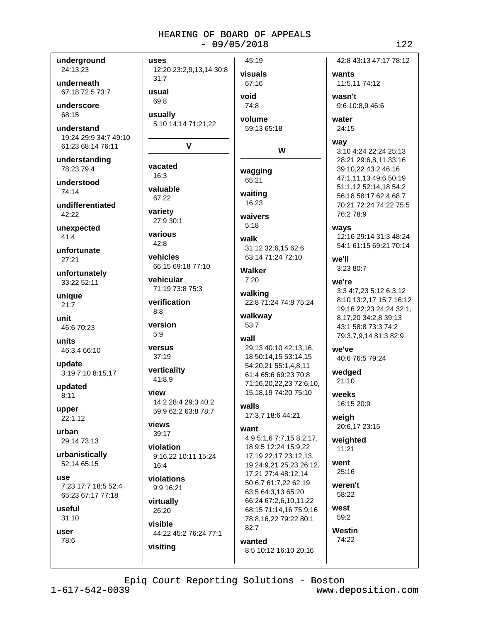| underground           | uses                                       | 45:19                                       | 42:8 43:13 47:17 78:12  |
|-----------------------|--------------------------------------------|---------------------------------------------|-------------------------|
| 24:13,23              | 12:20 23:2,9,13,14 30:8                    | visuals                                     | wants                   |
| underneath            | 31:7                                       | 67:16                                       | 11:5,11 74:12           |
| 67:18 72:5 73:7       | usual                                      |                                             |                         |
|                       | 69:8                                       | void                                        | wasn't                  |
| underscore            |                                            | 74:8                                        | 9:6 10:8,9 46:6         |
| 68:15                 | usually                                    | volume                                      | water                   |
| understand            | 5:10 14:14 71:21,22                        | 59:13 65:18                                 | 24:15                   |
| 19:24 29:9 34:7 49:10 |                                            |                                             | way                     |
| 61:23 68:14 76:11     | V                                          | W                                           | 3:10 4:24 22:24 25:13   |
| understanding         |                                            |                                             | 28:21 29:6,8,11 33:16   |
| 78:23 79:4            | vacated                                    | wagging                                     | 39:10,22 43:2 46:16     |
| understood            | 16:3                                       | 65:21                                       | 47:1,11,13 49:6 50:19   |
| 74:14                 | valuable                                   |                                             | 51:1,12 52:14,18 54:2   |
|                       | 67:22                                      | waiting<br>16:23                            | 56:18 58:17 62:4 68:7   |
| undifferentiated      | variety                                    |                                             | 70:21 72:24 74:22 75:5  |
| 42:22                 | 27:9 30:1                                  | waivers                                     | 76:2 78:9               |
| unexpected            |                                            | 5:18                                        | ways                    |
| 41:4                  | various                                    | walk                                        | 12:16 29:14 31:3 48:24  |
| unfortunate           | 42:8                                       | 31:12 32:6,15 62:6                          | 54:1 61:15 69:21 70:14  |
| 27:21                 | vehicles                                   | 63:14 71:24 72:10                           | we'll                   |
|                       | 66:15 69:18 77:10                          | Walker                                      | 3:23 80:7               |
| unfortunately         | vehicular                                  | 7:20                                        | we're                   |
| 33:22 52:11           | 71:19 73:8 75:3                            |                                             | 3:3 4:7,23 5:12 6:3,12  |
| unique                |                                            | walking                                     | 8:10 13:2,17 15:7 16:12 |
| 21:7                  | verification<br>8:8                        | 22:8 71:24 74:8 75:24                       | 19:16 22:23 24:24 32:1, |
| unit                  |                                            | walkway                                     | 8,17,20 34:2,8 39:13    |
| 46:6 70:23            | version                                    | 53:7                                        | 43:1 58:8 73:3 74:2     |
|                       | 5:9                                        | wall                                        | 79:3,7,9,14 81:3 82:9   |
| units<br>46:3,4 66:10 | versus                                     | 29:13 40:10 42:13,16,                       | we've                   |
|                       | 37:19                                      | 18 50:14,15 53:14,15                        | 40:6 76:5 79:24         |
| update                | verticality                                | 54:20,21 55:1,4,8,11                        |                         |
| 3:19 7:10 8:15,17     | 41:8,9                                     | 61:4 65:6 69:23 70:8                        | wedged<br>21:10         |
| updated               |                                            | 71:16,20,22,23 72:6,10,                     |                         |
| 8:11                  | view                                       | 15, 18, 19 74: 20 75: 10                    | weeks                   |
| upper                 | 14:2 28:4 29:3 40:2<br>59:9 62:2 63:8 78:7 | walls                                       | 16:15 20:9              |
| 22:1,12               |                                            | 17:3,7 18:6 44:21                           | weigh                   |
|                       | views                                      | want                                        | 20:6,17 23:15           |
| urban<br>29:14 73:13  | 39:17                                      | 4:9 5:1,6 7:7,15 8:2,17,                    | weighted                |
|                       | violation                                  | 18 9:5 12:24 15:9,22                        | 11:21                   |
| urbanistically        | 9:16,22 10:11 15:24                        | 17:19 22:17 23:12,13,                       |                         |
| 52:14 65:15           | 16:4                                       | 19 24:9,21 25:23 26:12,                     | went                    |
| use                   | violations                                 | 17,21 27:4 48:12,14                         | 25:16                   |
| 7:23 17:7 18:5 52:4   | 9:9 16:21                                  | 50:6,7 61:7,22 62:19                        | weren't                 |
| 65:23 67:17 77:18     |                                            | 63:5 64:3,13 65:20<br>66:24 67:2,6,10,11,22 | 58:22                   |
| useful                | virtually<br>26:20                         | 68:15 71:14,16 75:9,16                      | west                    |
| 31:10                 |                                            | 78:8,16,22 79:22 80:1                       | 59:2                    |
|                       | visible                                    | 82:7                                        | Westin                  |
| user<br>78:6          | 44:22 45:2 76:24 77:1                      |                                             | 74:22                   |
|                       | visiting                                   | wanted<br>8:5 10:12 16:10 20:16             |                         |
|                       |                                            |                                             |                         |
|                       |                                            |                                             |                         |

Epiq Court Reporting Solutions - Boston

i22